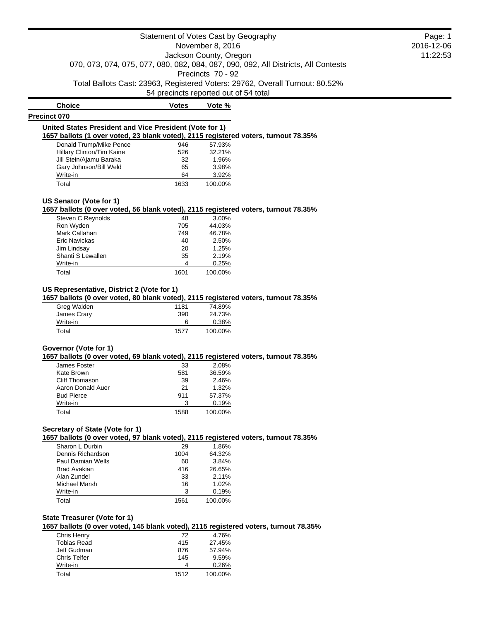**Choice Votes Votes Vote % Precinct 070 United States President and Vice President (Vote for 1) 1657 ballots (1 over voted, 23 blank voted), 2115 registered voters, turnout 78.35%** Donald Trump/Mike Pence 946 57.93% Hillary Clinton/Tim Kaine 526 32.21% Jill Stein/Ajamu Baraka 32 1.96% Gary Johnson/Bill Weld 65 3.98% Write-in 64 3.92%

Total 1633 100.00%

#### **US Senator (Vote for 1)**

**1657 ballots (0 over voted, 56 blank voted), 2115 registered voters, turnout 78.35%**

| Steven C Reynolds | 48   | 3.00%   |
|-------------------|------|---------|
| Ron Wyden         | 705  | 44.03%  |
| Mark Callahan     | 749  | 46.78%  |
| Eric Navickas     | 40   | 2.50%   |
| Jim Lindsay       | 20   | 1.25%   |
| Shanti S Lewallen | 35   | 2.19%   |
| Write-in          | 4    | 0.25%   |
| Total             | 1601 | 100.00% |

# **US Representative, District 2 (Vote for 1)**

**1657 ballots (0 over voted, 80 blank voted), 2115 registered voters, turnout 78.35%**

| Greg Walden | 1181 | 74.89%  |
|-------------|------|---------|
| James Crary | 390  | 24.73%  |
| Write-in    | 6    | 0.38%   |
| Total       | 1577 | 100.00% |

# **Governor (Vote for 1)**

**1657 ballots (0 over voted, 69 blank voted), 2115 registered voters, turnout 78.35%**

| James Foster      | 33   | 2.08%    |
|-------------------|------|----------|
| Kate Brown        | 581  | 36.59%   |
| Cliff Thomason    | 39   | 2.46%    |
| Aaron Donald Auer | 21   | $1.32\%$ |
| <b>Bud Pierce</b> | 911  | 57.37%   |
| Write-in          | З    | 0.19%    |
| Total             | 1588 | 100.00%  |

# **Secretary of State (Vote for 1)**

**1657 ballots (0 over voted, 97 blank voted), 2115 registered voters, turnout 78.35%**

| Sharon L Durbin   | 29   | 1.86%   |
|-------------------|------|---------|
| Dennis Richardson | 1004 | 64.32%  |
| Paul Damian Wells | 60   | 3.84%   |
| Brad Avakian      | 416  | 26.65%  |
| Alan Zundel       | 33   | 2.11%   |
| Michael Marsh     | 16   | 1.02%   |
| Write-in          | 3    | 0.19%   |
| Total             | 1561 | 100.00% |

# **State Treasurer (Vote for 1)**

**1657 ballots (0 over voted, 145 blank voted), 2115 registered voters, turnout 78.35%**

| Tobias Read<br>415<br>Jeff Gudman<br>876<br><b>Chris Telfer</b><br>145<br>Write-in<br>4<br>Total<br>1512 | Chris Henry | 72 | 4.76%   |
|----------------------------------------------------------------------------------------------------------|-------------|----|---------|
|                                                                                                          |             |    | 27.45%  |
|                                                                                                          |             |    | 57.94%  |
|                                                                                                          |             |    | 9.59%   |
|                                                                                                          |             |    | 0.26%   |
|                                                                                                          |             |    | 100.00% |

Page: 1 2016-12-06 11:22:53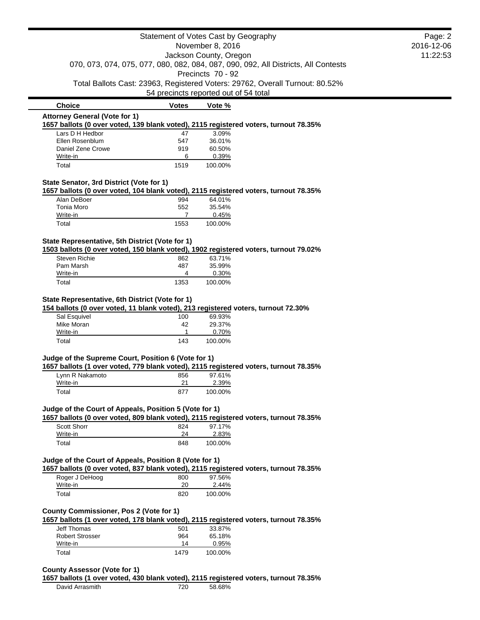|                                                                                                                                      |              | Statement of Votes Cast by Geography                                               |  | Page: 2    |
|--------------------------------------------------------------------------------------------------------------------------------------|--------------|------------------------------------------------------------------------------------|--|------------|
| November 8, 2016                                                                                                                     |              |                                                                                    |  | 2016-12-06 |
|                                                                                                                                      |              | Jackson County, Oregon                                                             |  | 11:22:53   |
|                                                                                                                                      |              | 070, 073, 074, 075, 077, 080, 082, 084, 087, 090, 092, All Districts, All Contests |  |            |
|                                                                                                                                      |              | Precincts 70 - 92                                                                  |  |            |
|                                                                                                                                      |              | Total Ballots Cast: 23963, Registered Voters: 29762, Overall Turnout: 80.52%       |  |            |
|                                                                                                                                      |              | 54 precincts reported out of 54 total                                              |  |            |
| <b>Choice</b>                                                                                                                        | <b>Votes</b> | Vote %                                                                             |  |            |
| <b>Attorney General (Vote for 1)</b>                                                                                                 |              |                                                                                    |  |            |
| 1657 ballots (0 over voted, 139 blank voted), 2115 registered voters, turnout 78.35%                                                 |              |                                                                                    |  |            |
| Lars D H Hedbor<br>Ellen Rosenblum                                                                                                   | 47<br>547    | 3.09%<br>36.01%                                                                    |  |            |
| Daniel Zene Crowe                                                                                                                    | 919          | 60.50%                                                                             |  |            |
| Write-in                                                                                                                             | 6            | 0.39%                                                                              |  |            |
| Total                                                                                                                                | 1519         | 100.00%                                                                            |  |            |
|                                                                                                                                      |              |                                                                                    |  |            |
| State Senator, 3rd District (Vote for 1)<br>1657 ballots (0 over voted, 104 blank voted), 2115 registered voters, turnout 78.35%     |              |                                                                                    |  |            |
| Alan DeBoer                                                                                                                          | 994          | 64.01%                                                                             |  |            |
| Tonia Moro                                                                                                                           | 552          | 35.54%                                                                             |  |            |
| Write-in                                                                                                                             | 7            | 0.45%                                                                              |  |            |
| Total                                                                                                                                | 1553         | 100.00%                                                                            |  |            |
| State Representative, 5th District (Vote for 1)                                                                                      |              |                                                                                    |  |            |
| 1503 ballots (0 over voted, 150 blank voted), 1902 registered voters, turnout 79.02%                                                 |              |                                                                                    |  |            |
| <b>Steven Richie</b>                                                                                                                 | 862          | 63.71%                                                                             |  |            |
| Pam Marsh                                                                                                                            | 487          | 35.99%                                                                             |  |            |
| Write-in                                                                                                                             | 4            | 0.30%                                                                              |  |            |
| Total                                                                                                                                | 1353         | 100.00%                                                                            |  |            |
|                                                                                                                                      |              |                                                                                    |  |            |
| State Representative, 6th District (Vote for 1)<br>154 ballots (0 over voted, 11 blank voted), 213 registered voters, turnout 72.30% |              |                                                                                    |  |            |
| Sal Esquivel                                                                                                                         | 100          | 69.93%                                                                             |  |            |
| Mike Moran                                                                                                                           | 42           | 29.37%                                                                             |  |            |
| Write-in                                                                                                                             | 1            | 0.70%                                                                              |  |            |
| Total                                                                                                                                | 143          | 100.00%                                                                            |  |            |
|                                                                                                                                      |              |                                                                                    |  |            |
| Judge of the Supreme Court, Position 6 (Vote for 1)                                                                                  |              |                                                                                    |  |            |
|                                                                                                                                      |              |                                                                                    |  |            |
| 1657 ballots (1 over voted, 779 blank voted), 2115 registered voters, turnout 78.35%                                                 |              |                                                                                    |  |            |
| Lynn R Nakamoto                                                                                                                      | 856          | 97.61%                                                                             |  |            |
| Write-in                                                                                                                             | 21           | 2.39%                                                                              |  |            |
| Total                                                                                                                                | 877          | 100.00%                                                                            |  |            |
| Judge of the Court of Appeals, Position 5 (Vote for 1)                                                                               |              |                                                                                    |  |            |
| 1657 ballots (0 over voted, 809 blank voted), 2115 registered voters, turnout 78.35%                                                 |              |                                                                                    |  |            |
| Scott Shorr                                                                                                                          | 824          | 97.17%                                                                             |  |            |
| Write-in                                                                                                                             | 24           | 2.83%                                                                              |  |            |
| Total                                                                                                                                | 848          | 100.00%                                                                            |  |            |
|                                                                                                                                      |              |                                                                                    |  |            |
| Judge of the Court of Appeals, Position 8 (Vote for 1)                                                                               |              |                                                                                    |  |            |
| 1657 ballots (0 over voted, 837 blank voted), 2115 registered voters, turnout 78.35%                                                 |              |                                                                                    |  |            |
| Roger J DeHoog                                                                                                                       | 800          | 97.56%                                                                             |  |            |
| Write-in<br>Total                                                                                                                    | 20<br>820    | 2.44%<br>100.00%                                                                   |  |            |
|                                                                                                                                      |              |                                                                                    |  |            |
| County Commissioner, Pos 2 (Vote for 1)                                                                                              |              |                                                                                    |  |            |
|                                                                                                                                      |              |                                                                                    |  |            |
| 1657 ballots (1 over voted, 178 blank voted), 2115 registered voters, turnout 78.35%<br><b>Jeff Thomas</b>                           | 501          | 33.87%                                                                             |  |            |
| <b>Robert Strosser</b><br>Write-in                                                                                                   | 964<br>14    | 65.18%                                                                             |  |            |
| Total                                                                                                                                | 1479         | 0.95%<br>100.00%                                                                   |  |            |

**1657 ballots (1 over voted, 430 blank voted), 2115 registered voters, turnout 78.35%**

David Arrasmith 720 58.68%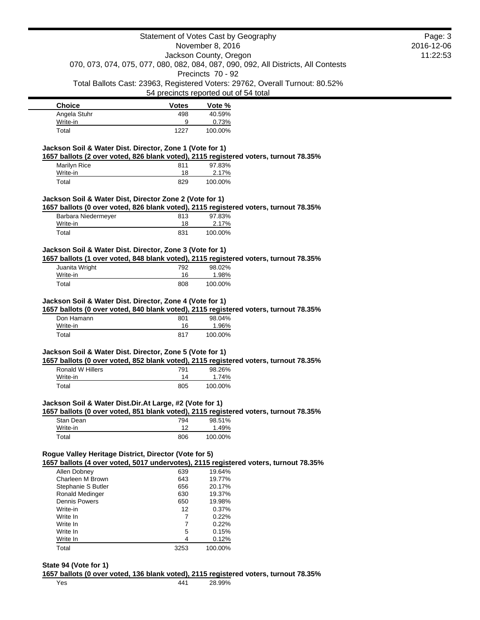|                                                                               |                  | Statement of Votes Cast by Geography                                                                     |  | Page: 3<br>2016-12-06 |
|-------------------------------------------------------------------------------|------------------|----------------------------------------------------------------------------------------------------------|--|-----------------------|
|                                                                               | November 8, 2016 |                                                                                                          |  |                       |
|                                                                               |                  | Jackson County, Oregon                                                                                   |  | 11:22:53              |
|                                                                               |                  | 070, 073, 074, 075, 077, 080, 082, 084, 087, 090, 092, All Districts, All Contests                       |  |                       |
|                                                                               |                  | Precincts 70 - 92                                                                                        |  |                       |
|                                                                               |                  | Total Ballots Cast: 23963, Registered Voters: 29762, Overall Turnout: 80.52%                             |  |                       |
|                                                                               |                  | 54 precincts reported out of 54 total                                                                    |  |                       |
| <b>Choice</b>                                                                 | Votes            | Vote %                                                                                                   |  |                       |
| Angela Stuhr                                                                  | 498              | 40.59%                                                                                                   |  |                       |
| Write-in<br>Total                                                             | 9<br>1227        | 0.73%<br>100.00%                                                                                         |  |                       |
| Jackson Soil & Water Dist. Director, Zone 1 (Vote for 1)                      |                  |                                                                                                          |  |                       |
|                                                                               |                  | 1657 ballots (2 over voted, 826 blank voted), 2115 registered voters, turnout 78.35%                     |  |                       |
| Marilyn Rice                                                                  | 811              | 97.83%                                                                                                   |  |                       |
| Write-in                                                                      | 18               | 2.17%                                                                                                    |  |                       |
| Total                                                                         | 829              | 100.00%                                                                                                  |  |                       |
| Jackson Soil & Water Dist, Director Zone 2 (Vote for 1)                       |                  |                                                                                                          |  |                       |
|                                                                               |                  | 1657 ballots (0 over voted, 826 blank voted), 2115 registered voters, turnout 78.35%                     |  |                       |
| Barbara Niedermeyer                                                           | 813              | 97.83%                                                                                                   |  |                       |
| Write-in                                                                      | 18               | 2.17%                                                                                                    |  |                       |
| Total                                                                         | 831              | 100.00%                                                                                                  |  |                       |
|                                                                               |                  |                                                                                                          |  |                       |
| Jackson Soil & Water Dist. Director, Zone 3 (Vote for 1)                      |                  | 1657 ballots (1 over voted, 848 blank voted), 2115 registered voters, turnout 78.35%                     |  |                       |
| Juanita Wright                                                                | 792              | 98.02%                                                                                                   |  |                       |
|                                                                               |                  |                                                                                                          |  |                       |
|                                                                               |                  |                                                                                                          |  |                       |
| Write-in<br>Total<br>Jackson Soil & Water Dist. Director, Zone 4 (Vote for 1) | 16<br>808        | 1.98%<br>100.00%<br>1657 ballots (0 over voted, 840 blank voted), 2115 registered voters, turnout 78.35% |  |                       |
| Don Hamann                                                                    | 801              | 98.04%                                                                                                   |  |                       |
| Write-in                                                                      | 16               | 1.96%                                                                                                    |  |                       |
| Total                                                                         | 817              | 100.00%                                                                                                  |  |                       |
|                                                                               |                  |                                                                                                          |  |                       |
| Jackson Soil & Water Dist. Director, Zone 5 (Vote for 1)                      |                  |                                                                                                          |  |                       |
|                                                                               |                  | 1657 ballots (0 over voted, 852 blank voted), 2115 registered voters, turnout 78.35%                     |  |                       |
| <b>Ronald W Hillers</b>                                                       | 791              | 98.26%                                                                                                   |  |                       |
| Write-in                                                                      | 14               | 1.74%                                                                                                    |  |                       |
| Total                                                                         | 805              | 100.00%                                                                                                  |  |                       |
| Jackson Soil & Water Dist.Dir.At Large, #2 (Vote for 1)                       |                  |                                                                                                          |  |                       |
|                                                                               |                  | 1657 ballots (0 over voted, 851 blank voted), 2115 registered voters, turnout 78.35%                     |  |                       |
| Stan Dean                                                                     | 794              | 98.51%                                                                                                   |  |                       |
| Write-in                                                                      | 12               | 1.49%                                                                                                    |  |                       |
| Total                                                                         | 806              | 100.00%                                                                                                  |  |                       |
| Rogue Valley Heritage District, Director (Vote for 5)                         |                  |                                                                                                          |  |                       |
|                                                                               |                  | 1657 ballots (4 over voted, 5017 undervotes), 2115 registered voters, turnout 78.35%                     |  |                       |
| Allen Dobney                                                                  | 639              | 19.64%                                                                                                   |  |                       |
| Charleen M Brown                                                              | 643              | 19.77%                                                                                                   |  |                       |
| Stephanie S Butler                                                            | 656              | 20.17%                                                                                                   |  |                       |
| Ronald Medinger                                                               | 630              | 19.37%                                                                                                   |  |                       |
| <b>Dennis Powers</b>                                                          | 650              | 19.98%                                                                                                   |  |                       |
| Write-in                                                                      | 12               | 0.37%                                                                                                    |  |                       |
| Write In                                                                      | 7                | 0.22%                                                                                                    |  |                       |
| Write In                                                                      | 7                | 0.22%                                                                                                    |  |                       |
| Write In<br>Write In                                                          | 5<br>4           | 0.15%<br>0.12%                                                                                           |  |                       |

**State 94 (Vote for 1)**

**1657 ballots (0 over voted, 136 blank voted), 2115 registered voters, turnout 78.35%**

Yes 441 28.99%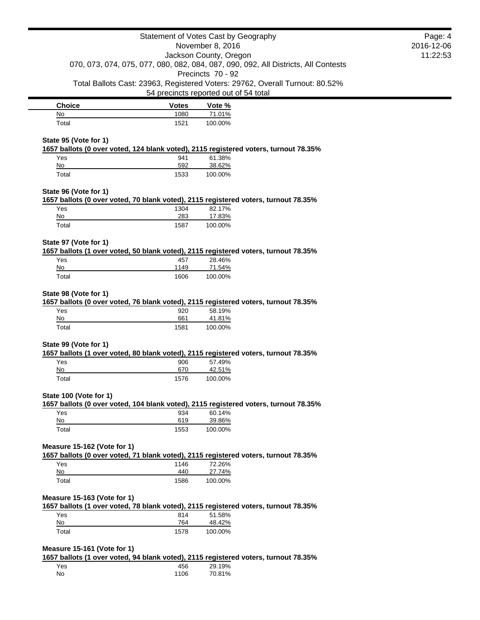|                             | Statement of Votes Cast by Geography                                                       |                             |                                                                                      | Page: 4                |
|-----------------------------|--------------------------------------------------------------------------------------------|-----------------------------|--------------------------------------------------------------------------------------|------------------------|
|                             |                                                                                            | November 8, 2016            |                                                                                      | 2016-12-06<br>11:22:53 |
|                             |                                                                                            | Jackson County, Oregon      | 070, 073, 074, 075, 077, 080, 082, 084, 087, 090, 092, All Districts, All Contests   |                        |
|                             |                                                                                            | Precincts 70 - 92           |                                                                                      |                        |
|                             |                                                                                            |                             | Total Ballots Cast: 23963, Registered Voters: 29762, Overall Turnout: 80.52%         |                        |
|                             | 54 precincts reported out of 54 total                                                      |                             |                                                                                      |                        |
| <b>Choice</b>               | <b>Votes</b>                                                                               | Vote %                      |                                                                                      |                        |
| No                          | 1080                                                                                       | 71.01%                      |                                                                                      |                        |
| Total                       | 1521                                                                                       | 100.00%                     |                                                                                      |                        |
| State 95 (Vote for 1)       |                                                                                            |                             | 1657 ballots (0 over voted, 124 blank voted), 2115 registered voters, turnout 78.35% |                        |
| Yes                         | 941                                                                                        | 61.38%                      |                                                                                      |                        |
| No<br>Total                 | 592<br>1533                                                                                | 38.62%<br>100.00%           |                                                                                      |                        |
|                             |                                                                                            |                             |                                                                                      |                        |
| State 96 (Vote for 1)       | 1657 ballots (0 over voted, 70 blank voted), 2115 registered voters, turnout 78.35%        |                             |                                                                                      |                        |
| Yes                         | 1304                                                                                       | 82.17%                      |                                                                                      |                        |
| No                          | 283                                                                                        | 17.83%                      |                                                                                      |                        |
| Total                       | 1587                                                                                       | 100.00%                     |                                                                                      |                        |
| State 97 (Vote for 1)       |                                                                                            |                             |                                                                                      |                        |
| Yes                         | 1657 ballots (1 over voted, 50 blank voted), 2115 registered voters, turnout 78.35%<br>457 | 28.46%                      |                                                                                      |                        |
| No                          | 1149                                                                                       | 71.54%                      |                                                                                      |                        |
| Total                       | 1606                                                                                       | 100.00%                     |                                                                                      |                        |
| Yes<br>No<br>Total          | 920<br>661<br>1581                                                                         | 58.19%<br>41.81%<br>100.00% |                                                                                      |                        |
| State 99 (Vote for 1)       |                                                                                            |                             |                                                                                      |                        |
|                             | 1657 ballots (1 over voted, 80 blank voted), 2115 registered voters, turnout 78.35%        |                             |                                                                                      |                        |
| Yes                         | 906                                                                                        | 57.49%                      |                                                                                      |                        |
| No                          | 670                                                                                        | 42.51%                      |                                                                                      |                        |
| Total                       | 1576                                                                                       | 100.00%                     |                                                                                      |                        |
| State 100 (Vote for 1)      |                                                                                            |                             | 1657 ballots (0 over voted, 104 blank voted), 2115 registered voters, turnout 78.35% |                        |
| Yes                         | 934                                                                                        | 60.14%                      |                                                                                      |                        |
| No                          | 619                                                                                        | 39.86%                      |                                                                                      |                        |
| Total                       | 1553                                                                                       | 100.00%                     |                                                                                      |                        |
| Measure 15-162 (Vote for 1) |                                                                                            |                             |                                                                                      |                        |
|                             | 1657 ballots (0 over voted, 71 blank voted), 2115 registered voters, turnout 78.35%        |                             |                                                                                      |                        |
| Yes<br>No                   | 1146<br>440                                                                                | 72.26%<br>27.74%            |                                                                                      |                        |
| Total                       | 1586                                                                                       | 100.00%                     |                                                                                      |                        |
|                             |                                                                                            |                             |                                                                                      |                        |
| Measure 15-163 (Vote for 1) | 1657 ballots (1 over voted, 78 blank voted), 2115 registered voters, turnout 78.35%        |                             |                                                                                      |                        |
| Yes                         | 814                                                                                        | 51.58%                      |                                                                                      |                        |
| No                          | 764                                                                                        | 48.42%                      |                                                                                      |                        |
| Total                       | 1578                                                                                       | 100.00%                     |                                                                                      |                        |
| Measure 15-161 (Vote for 1) |                                                                                            |                             |                                                                                      |                        |
|                             | 1657 ballots (1 over voted, 94 blank voted), 2115 registered voters, turnout 78.35%        |                             |                                                                                      |                        |
| Yes<br>No                   | 456<br>1106                                                                                | 29.19%<br>70.81%            |                                                                                      |                        |
|                             |                                                                                            |                             |                                                                                      |                        |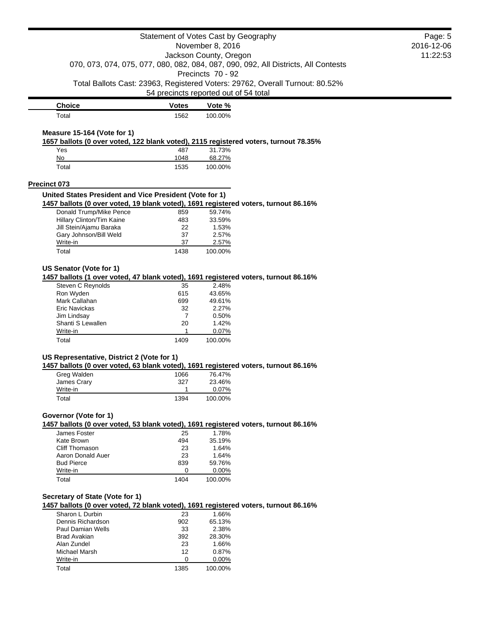|                                                                                                                                                |              | Statement of Votes Cast by Geography  |                                                                                    | Page: 5    |
|------------------------------------------------------------------------------------------------------------------------------------------------|--------------|---------------------------------------|------------------------------------------------------------------------------------|------------|
|                                                                                                                                                |              | November 8, 2016                      |                                                                                    | 2016-12-06 |
|                                                                                                                                                |              | Jackson County, Oregon                |                                                                                    | 11:22:53   |
|                                                                                                                                                |              |                                       | 070, 073, 074, 075, 077, 080, 082, 084, 087, 090, 092, All Districts, All Contests |            |
|                                                                                                                                                |              | Precincts 70 - 92                     |                                                                                    |            |
|                                                                                                                                                |              |                                       | Total Ballots Cast: 23963, Registered Voters: 29762, Overall Turnout: 80.52%       |            |
|                                                                                                                                                |              | 54 precincts reported out of 54 total |                                                                                    |            |
| <b>Choice</b>                                                                                                                                  | <b>Votes</b> | Vote %                                |                                                                                    |            |
| Total                                                                                                                                          | 1562         | 100.00%                               |                                                                                    |            |
|                                                                                                                                                |              |                                       |                                                                                    |            |
| Measure 15-164 (Vote for 1)                                                                                                                    |              |                                       |                                                                                    |            |
| 1657 ballots (0 over voted, 122 blank voted), 2115 registered voters, turnout 78.35%                                                           |              |                                       |                                                                                    |            |
| Yes                                                                                                                                            | 487          | 31.73%                                |                                                                                    |            |
| No                                                                                                                                             | 1048         | 68.27%                                |                                                                                    |            |
| Total                                                                                                                                          | 1535         | 100.00%                               |                                                                                    |            |
| <b>Precinct 073</b>                                                                                                                            |              |                                       |                                                                                    |            |
|                                                                                                                                                |              |                                       |                                                                                    |            |
| United States President and Vice President (Vote for 1)<br>1457 ballots (0 over voted, 19 blank voted), 1691 registered voters, turnout 86.16% |              |                                       |                                                                                    |            |
| Donald Trump/Mike Pence                                                                                                                        | 859          | 59.74%                                |                                                                                    |            |
| Hillary Clinton/Tim Kaine                                                                                                                      | 483          | 33.59%                                |                                                                                    |            |
| Jill Stein/Ajamu Baraka                                                                                                                        | 22           | 1.53%                                 |                                                                                    |            |
| Gary Johnson/Bill Weld                                                                                                                         | 37           | 2.57%                                 |                                                                                    |            |
| Write-in                                                                                                                                       | 37           | 2.57%                                 |                                                                                    |            |
| Total                                                                                                                                          | 1438         | 100.00%                               |                                                                                    |            |
|                                                                                                                                                |              |                                       |                                                                                    |            |
| US Senator (Vote for 1)                                                                                                                        |              |                                       |                                                                                    |            |
| 1457 ballots (1 over voted, 47 blank voted), 1691 registered voters, turnout 86.16%                                                            |              |                                       |                                                                                    |            |
| Steven C Reynolds                                                                                                                              | 35           | 2.48%                                 |                                                                                    |            |
| Ron Wyden                                                                                                                                      | 615          | 43.65%                                |                                                                                    |            |
| Mark Callahan                                                                                                                                  | 699          | 49.61%                                |                                                                                    |            |
| Eric Navickas                                                                                                                                  | 32           | 2.27%                                 |                                                                                    |            |
| Jim Lindsay                                                                                                                                    | 7            | 0.50%                                 |                                                                                    |            |
| Shanti S Lewallen<br>Write-in                                                                                                                  | 20<br>1      | 1.42%<br>0.07%                        |                                                                                    |            |
| Total                                                                                                                                          | 1409         | 100.00%                               |                                                                                    |            |
|                                                                                                                                                |              |                                       |                                                                                    |            |
| US Representative, District 2 (Vote for 1)                                                                                                     |              |                                       |                                                                                    |            |
| 1457 ballots (0 over voted, 63 blank voted), 1691 registered voters, turnout 86.16%                                                            |              |                                       |                                                                                    |            |
| Greg Walden                                                                                                                                    | 1066         | 76.47%                                |                                                                                    |            |
| James Crary                                                                                                                                    | 327          | 23.46%                                |                                                                                    |            |
| Write-in                                                                                                                                       | 1            | 0.07%                                 |                                                                                    |            |
| Total                                                                                                                                          | 1394         | 100.00%                               |                                                                                    |            |
|                                                                                                                                                |              |                                       |                                                                                    |            |
| Governor (Vote for 1)                                                                                                                          |              |                                       |                                                                                    |            |
| 1457 ballots (0 over voted, 53 blank voted), 1691 registered voters, turnout 86.16%                                                            |              |                                       |                                                                                    |            |
| James Foster                                                                                                                                   | 25           | 1.78%                                 |                                                                                    |            |
| Kate Brown                                                                                                                                     | 494          | 35.19%                                |                                                                                    |            |
| Cliff Thomason                                                                                                                                 | 23           | 1.64%                                 |                                                                                    |            |
| Aaron Donald Auer                                                                                                                              | 23           | 1.64%                                 |                                                                                    |            |
| <b>Bud Pierce</b><br>Write-in                                                                                                                  | 839<br>0     | 59.76%<br>0.00%                       |                                                                                    |            |
| Total                                                                                                                                          | 1404         | 100.00%                               |                                                                                    |            |
|                                                                                                                                                |              |                                       |                                                                                    |            |
| Secretary of State (Vote for 1)                                                                                                                |              |                                       |                                                                                    |            |
| 1457 ballots (0 over voted, 72 blank voted), 1691 registered voters, turnout 86.16%                                                            |              |                                       |                                                                                    |            |
| Sharon L Durbin                                                                                                                                | 23           | 1.66%                                 |                                                                                    |            |
| Dennis Richardson                                                                                                                              | 902          | 65.13%                                |                                                                                    |            |
| <b>Paul Damian Wells</b>                                                                                                                       | 33           | 2.38%                                 |                                                                                    |            |
| <b>Brad Avakian</b>                                                                                                                            | 392          | 28.30%                                |                                                                                    |            |
| Alan Zundel                                                                                                                                    | 23           | 1.66%                                 |                                                                                    |            |
| Michael Marsh                                                                                                                                  | 12           | 0.87%                                 |                                                                                    |            |
| Write-in                                                                                                                                       | 0            | 0.00%                                 |                                                                                    |            |
| Total                                                                                                                                          | 1385         | 100.00%                               |                                                                                    |            |

11:22:53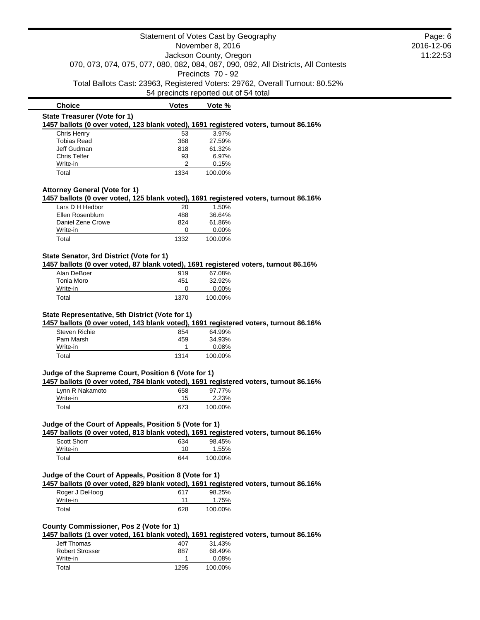| Statement of Votes Cast by Geography<br>November 8, 2016                                                                        |                                                                                                              |                                       |                                                                              | Page: 6                |
|---------------------------------------------------------------------------------------------------------------------------------|--------------------------------------------------------------------------------------------------------------|---------------------------------------|------------------------------------------------------------------------------|------------------------|
|                                                                                                                                 |                                                                                                              |                                       |                                                                              | 2016-12-06<br>11:22:53 |
|                                                                                                                                 | Jackson County, Oregon<br>070, 073, 074, 075, 077, 080, 082, 084, 087, 090, 092, All Districts, All Contests |                                       |                                                                              |                        |
|                                                                                                                                 |                                                                                                              |                                       |                                                                              |                        |
|                                                                                                                                 |                                                                                                              | Precincts 70 - 92                     |                                                                              |                        |
|                                                                                                                                 |                                                                                                              | 54 precincts reported out of 54 total | Total Ballots Cast: 23963, Registered Voters: 29762, Overall Turnout: 80.52% |                        |
| <b>Choice</b>                                                                                                                   | <b>Votes</b>                                                                                                 | Vote %                                |                                                                              |                        |
| <b>State Treasurer (Vote for 1)</b>                                                                                             |                                                                                                              |                                       |                                                                              |                        |
| 1457 ballots (0 over voted, 123 blank voted), 1691 registered voters, turnout 86.16%                                            |                                                                                                              |                                       |                                                                              |                        |
| Chris Henry                                                                                                                     | 53                                                                                                           | 3.97%                                 |                                                                              |                        |
| <b>Tobias Read</b><br>Jeff Gudman                                                                                               | 368<br>818                                                                                                   | 27.59%<br>61.32%                      |                                                                              |                        |
| <b>Chris Telfer</b>                                                                                                             | 93                                                                                                           | 6.97%                                 |                                                                              |                        |
| Write-in                                                                                                                        | 2                                                                                                            | 0.15%                                 |                                                                              |                        |
| Total                                                                                                                           | 1334                                                                                                         | 100.00%                               |                                                                              |                        |
| <b>Attorney General (Vote for 1)</b>                                                                                            |                                                                                                              |                                       |                                                                              |                        |
| 1457 ballots (0 over voted, 125 blank voted), 1691 registered voters, turnout 86.16%                                            |                                                                                                              |                                       |                                                                              |                        |
| Lars D H Hedbor                                                                                                                 | 20                                                                                                           | 1.50%                                 |                                                                              |                        |
| Ellen Rosenblum                                                                                                                 | 488                                                                                                          | 36.64%                                |                                                                              |                        |
| Daniel Zene Crowe                                                                                                               | 824                                                                                                          | 61.86%                                |                                                                              |                        |
| Write-in                                                                                                                        | 0                                                                                                            | 0.00%                                 |                                                                              |                        |
| Total                                                                                                                           | 1332                                                                                                         | 100.00%                               |                                                                              |                        |
| State Senator, 3rd District (Vote for 1)                                                                                        |                                                                                                              |                                       |                                                                              |                        |
| 1457 ballots (0 over voted, 87 blank voted), 1691 registered voters, turnout 86.16%                                             |                                                                                                              |                                       |                                                                              |                        |
| Alan DeBoer                                                                                                                     | 919<br>451                                                                                                   | 67.08%<br>32.92%                      |                                                                              |                        |
|                                                                                                                                 |                                                                                                              |                                       |                                                                              |                        |
| Tonia Moro                                                                                                                      |                                                                                                              |                                       |                                                                              |                        |
| Write-in<br>Total<br>State Representative, 5th District (Vote for 1)                                                            | 0<br>1370                                                                                                    | 0.00%<br>100.00%                      |                                                                              |                        |
| 1457 ballots (0 over voted, 143 blank voted), 1691 registered voters, turnout 86.16%<br><b>Steven Richie</b><br>Pam Marsh       | 854<br>459                                                                                                   | 64.99%<br>34.93%                      |                                                                              |                        |
| Write-in                                                                                                                        | 1                                                                                                            | 0.08%                                 |                                                                              |                        |
| Total                                                                                                                           | 1314                                                                                                         | 100.00%                               |                                                                              |                        |
| Judge of the Supreme Court, Position 6 (Vote for 1)                                                                             |                                                                                                              |                                       |                                                                              |                        |
| 1457 ballots (0 over voted, 784 blank voted), 1691 registered voters, turnout 86.16%                                            |                                                                                                              |                                       |                                                                              |                        |
| Lynn R Nakamoto                                                                                                                 | 658                                                                                                          | 97.77%                                |                                                                              |                        |
| Write-in                                                                                                                        | 15                                                                                                           | 2.23%                                 |                                                                              |                        |
| Total                                                                                                                           | 673                                                                                                          | 100.00%                               |                                                                              |                        |
| Judge of the Court of Appeals, Position 5 (Vote for 1)                                                                          |                                                                                                              |                                       |                                                                              |                        |
| 1457 ballots (0 over voted, 813 blank voted), 1691 registered voters, turnout 86.16%                                            |                                                                                                              |                                       |                                                                              |                        |
| <b>Scott Shorr</b>                                                                                                              | 634                                                                                                          | 98.45%                                |                                                                              |                        |
| Write-in<br>Total                                                                                                               | 10<br>644                                                                                                    | 1.55%<br>100.00%                      |                                                                              |                        |
|                                                                                                                                 |                                                                                                              |                                       |                                                                              |                        |
| Judge of the Court of Appeals, Position 8 (Vote for 1)                                                                          |                                                                                                              |                                       |                                                                              |                        |
| 1457 ballots (0 over voted, 829 blank voted), 1691 registered voters, turnout 86.16%                                            |                                                                                                              |                                       |                                                                              |                        |
| Roger J DeHoog<br>Write-in                                                                                                      | 617<br>11                                                                                                    | 98.25%<br>1.75%                       |                                                                              |                        |
| Total                                                                                                                           | 628                                                                                                          | 100.00%                               |                                                                              |                        |
|                                                                                                                                 |                                                                                                              |                                       |                                                                              |                        |
| County Commissioner, Pos 2 (Vote for 1)<br>1457 ballots (1 over voted, 161 blank voted), 1691 registered voters, turnout 86.16% |                                                                                                              |                                       |                                                                              |                        |
| <b>Jeff Thomas</b>                                                                                                              | 407                                                                                                          | 31.43%                                |                                                                              |                        |
| <b>Robert Strosser</b>                                                                                                          | 887                                                                                                          | 68.49%                                |                                                                              |                        |
| Write-in<br>Total                                                                                                               | 1<br>1295                                                                                                    | 0.08%<br>100.00%                      |                                                                              |                        |

 $\blacksquare$ 

 $\blacksquare$  $\overline{\phantom{a}}$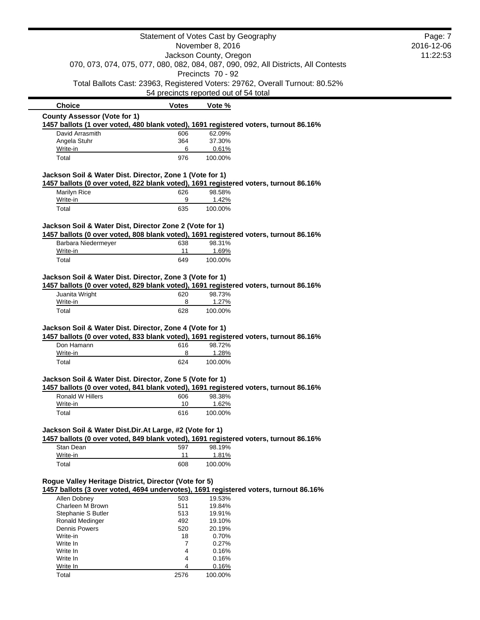|                                                          |              | Statement of Votes Cast by Geography                                                                                  | Page: 7    |
|----------------------------------------------------------|--------------|-----------------------------------------------------------------------------------------------------------------------|------------|
|                                                          |              | November 8, 2016                                                                                                      | 2016-12-06 |
|                                                          |              | Jackson County, Oregon                                                                                                | 11:22:53   |
|                                                          |              | 070, 073, 074, 075, 077, 080, 082, 084, 087, 090, 092, All Districts, All Contests<br>Precincts 70 - 92               |            |
|                                                          |              | Total Ballots Cast: 23963, Registered Voters: 29762, Overall Turnout: 80.52%<br>54 precincts reported out of 54 total |            |
| <b>Choice</b>                                            | <b>Votes</b> | Vote %                                                                                                                |            |
| <b>County Assessor (Vote for 1)</b>                      |              |                                                                                                                       |            |
|                                                          |              | 1457 ballots (1 over voted, 480 blank voted), 1691 registered voters, turnout 86.16%                                  |            |
| David Arrasmith                                          | 606          | 62.09%                                                                                                                |            |
| Angela Stuhr                                             | 364          | 37.30%                                                                                                                |            |
| Write-in<br>Total                                        | 6<br>976     | 0.61%<br>100.00%                                                                                                      |            |
|                                                          |              |                                                                                                                       |            |
| Jackson Soil & Water Dist. Director, Zone 1 (Vote for 1) |              |                                                                                                                       |            |
|                                                          |              | 1457 ballots (0 over voted, 822 blank voted), 1691 registered voters, turnout 86.16%                                  |            |
| Marilyn Rice<br>Write-in                                 | 626<br>9     | 98.58%<br>1.42%                                                                                                       |            |
| Total                                                    | 635          | 100.00%                                                                                                               |            |
|                                                          |              |                                                                                                                       |            |
| Jackson Soil & Water Dist, Director Zone 2 (Vote for 1)  |              |                                                                                                                       |            |
|                                                          |              | 1457 ballots (0 over voted, 808 blank voted), 1691 registered voters, turnout 86.16%                                  |            |
| Barbara Niedermeyer                                      | 638<br>11    | 98.31%                                                                                                                |            |
| Write-in<br>Total                                        | 649          | 1.69%<br>100.00%                                                                                                      |            |
|                                                          |              |                                                                                                                       |            |
| Jackson Soil & Water Dist. Director, Zone 3 (Vote for 1) |              | 1457 ballots (0 over voted, 829 blank voted), 1691 registered voters, turnout 86.16%                                  |            |
| Juanita Wright                                           | 620          | 98.73%                                                                                                                |            |
| Write-in                                                 | 8            | 1.27%                                                                                                                 |            |
| Total                                                    | 628          | 100.00%                                                                                                               |            |
| Jackson Soil & Water Dist. Director, Zone 4 (Vote for 1) |              |                                                                                                                       |            |
|                                                          |              | 1457 ballots (0 over voted, 833 blank voted), 1691 registered voters, turnout 86.16%                                  |            |
| Don Hamann                                               | 616          | 98.72%                                                                                                                |            |
| Write-in                                                 | 8            | 1.28%                                                                                                                 |            |
| Total                                                    | 624          | 100.00%                                                                                                               |            |
| Jackson Soil & Water Dist. Director, Zone 5 (Vote for 1) |              |                                                                                                                       |            |
|                                                          |              | 1457 ballots (0 over voted, 841 blank voted), 1691 registered voters, turnout 86.16%                                  |            |
| <b>Ronald W Hillers</b>                                  | 606          | 98.38%                                                                                                                |            |
| Write-in                                                 | 10           | 1.62%                                                                                                                 |            |
| Total                                                    | 616          | 100.00%                                                                                                               |            |
| Jackson Soil & Water Dist.Dir.At Large, #2 (Vote for 1)  |              |                                                                                                                       |            |
|                                                          |              | 1457 ballots (0 over voted, 849 blank voted), 1691 registered voters, turnout 86.16%                                  |            |
| Stan Dean                                                | 597          | 98.19%                                                                                                                |            |
| Write-in                                                 | 11           | 1.81%                                                                                                                 |            |
| Total                                                    | 608          | 100.00%                                                                                                               |            |
| Rogue Valley Heritage District, Director (Vote for 5)    |              |                                                                                                                       |            |
|                                                          |              | 1457 ballots (3 over voted, 4694 undervotes), 1691 registered voters, turnout 86.16%                                  |            |
| Allen Dobney                                             | 503          | 19.53%                                                                                                                |            |
| Charleen M Brown                                         | 511          | 19.84%                                                                                                                |            |
| Stephanie S Butler                                       | 513          | 19.91%                                                                                                                |            |
| Ronald Medinger<br>Dennis Powers                         | 492<br>520   | 19.10%<br>20.19%                                                                                                      |            |
| Write-in                                                 | 18           | 0.70%                                                                                                                 |            |
| Write In                                                 | 7            | 0.27%                                                                                                                 |            |
| Write In                                                 | 4            | 0.16%                                                                                                                 |            |
| Write In                                                 | 4            | 0.16%                                                                                                                 |            |
| Write In                                                 | 4            | 0.16%                                                                                                                 |            |
| Total                                                    | 2576         | 100.00%                                                                                                               |            |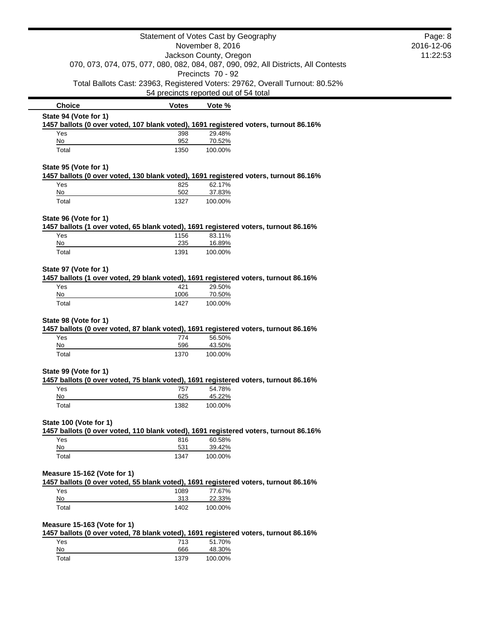|                             |              | Statement of Votes Cast by Geography                                                          | Page: 8    |
|-----------------------------|--------------|-----------------------------------------------------------------------------------------------|------------|
|                             |              | November 8, 2016                                                                              | 2016-12-06 |
|                             |              | Jackson County, Oregon                                                                        | 11:22:53   |
|                             |              | 070, 073, 074, 075, 077, 080, 082, 084, 087, 090, 092, All Districts, All Contests            |            |
|                             |              | Precincts 70 - 92                                                                             |            |
|                             |              | Total Ballots Cast: 23963, Registered Voters: 29762, Overall Turnout: 80.52%                  |            |
|                             |              | 54 precincts reported out of 54 total                                                         |            |
| <b>Choice</b>               | <b>Votes</b> | Vote %                                                                                        |            |
| State 94 (Vote for 1)       |              | 1457 ballots (0 over voted, 107 blank voted), 1691 registered voters, turnout 86.16%          |            |
| Yes                         | 398          | 29.48%                                                                                        |            |
| No                          | 952          | 70.52%                                                                                        |            |
| Total                       | 1350         | 100.00%                                                                                       |            |
| State 95 (Vote for 1)       |              |                                                                                               |            |
|                             |              | 1457 ballots (0 over voted, 130 blank voted), 1691 registered voters, turnout 86.16%          |            |
| Yes                         | 825<br>502   | 62.17%                                                                                        |            |
| $No$<br>Total               | 1327         | 37.83%<br>100.00%                                                                             |            |
|                             |              |                                                                                               |            |
| State 96 (Vote for 1)       |              |                                                                                               |            |
|                             |              | 1457 ballots (1 over voted, 65 blank voted), 1691 registered voters, turnout 86.16%           |            |
| Yes<br>No                   | 1156<br>235  | 83.11%<br>16.89%                                                                              |            |
| Total                       | 1391         | 100.00%                                                                                       |            |
|                             |              |                                                                                               |            |
| State 97 (Vote for 1)       |              |                                                                                               |            |
|                             |              | 1457 ballots (1 over voted, 29 blank voted), 1691 registered voters, turnout 86.16%           |            |
| Yes<br>No                   | 421<br>1006  | 29.50%<br>70.50%                                                                              |            |
| Total                       | 1427         | 100.00%                                                                                       |            |
|                             |              |                                                                                               |            |
| State 98 (Vote for 1)       |              |                                                                                               |            |
| Yes                         | 774          | 1457 ballots (0 over voted, 87 blank voted), 1691 registered voters, turnout 86.16%<br>56.50% |            |
| No                          | 596          | 43.50%                                                                                        |            |
| Total                       | 1370         | 100.00%                                                                                       |            |
|                             |              |                                                                                               |            |
| State 99 (Vote for 1)       |              | 1457 ballots (0 over voted, 75 blank voted), 1691 registered voters, turnout 86.16%           |            |
| Yes                         | 757          | 54.78%                                                                                        |            |
| No                          | 625          | 45.22%                                                                                        |            |
| Total                       | 1382         | 100.00%                                                                                       |            |
| State 100 (Vote for 1)      |              |                                                                                               |            |
|                             |              | 1457 ballots (0 over voted, 110 blank voted), 1691 registered voters, turnout 86.16%          |            |
| Yes                         | 816          | 60.58%                                                                                        |            |
| No                          | 531          | 39.42%                                                                                        |            |
| Total                       | 1347         | 100.00%                                                                                       |            |
| Measure 15-162 (Vote for 1) |              |                                                                                               |            |
|                             |              | 1457 ballots (0 over voted, 55 blank voted), 1691 registered voters, turnout 86.16%           |            |
| Yes                         | 1089         | 77.67%                                                                                        |            |
| No                          | 313          | 22.33%                                                                                        |            |
| Total                       | 1402         | 100.00%                                                                                       |            |
| Measure 15-163 (Vote for 1) |              |                                                                                               |            |
|                             |              | 1457 ballots (0 over voted, 78 blank voted), 1691 registered voters, turnout 86.16%           |            |
| Yes                         | 713          | 51.70%                                                                                        |            |
| No                          | 666          | 48.30%                                                                                        |            |
| Total                       | 1379         | 100.00%                                                                                       |            |

 $\blacksquare$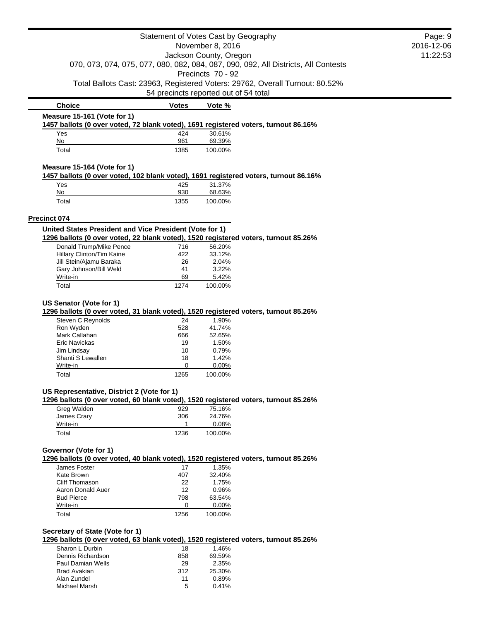| Statement of Votes Cast by Geography                                                                                                           |                  |                                       | Page: 9                                                                            |  |
|------------------------------------------------------------------------------------------------------------------------------------------------|------------------|---------------------------------------|------------------------------------------------------------------------------------|--|
| November 8, 2016                                                                                                                               |                  |                                       | 2016-12-06                                                                         |  |
| Jackson County, Oregon                                                                                                                         |                  |                                       | 11:22:53                                                                           |  |
|                                                                                                                                                |                  |                                       | 070, 073, 074, 075, 077, 080, 082, 084, 087, 090, 092, All Districts, All Contests |  |
|                                                                                                                                                |                  | Precincts 70 - 92                     |                                                                                    |  |
|                                                                                                                                                |                  |                                       | Total Ballots Cast: 23963, Registered Voters: 29762, Overall Turnout: 80.52%       |  |
|                                                                                                                                                |                  | 54 precincts reported out of 54 total |                                                                                    |  |
| <b>Choice</b>                                                                                                                                  | <b>Votes</b>     | Vote %                                |                                                                                    |  |
| Measure 15-161 (Vote for 1)                                                                                                                    |                  |                                       |                                                                                    |  |
| 1457 ballots (0 over voted, 72 blank voted), 1691 registered voters, turnout 86.16%                                                            |                  |                                       |                                                                                    |  |
| Yes                                                                                                                                            | 424              | 30.61%                                |                                                                                    |  |
| No<br>Total                                                                                                                                    | 961<br>1385      | 69.39%<br>100.00%                     |                                                                                    |  |
|                                                                                                                                                |                  |                                       |                                                                                    |  |
| Measure 15-164 (Vote for 1)                                                                                                                    |                  |                                       |                                                                                    |  |
| 1457 ballots (0 over voted, 102 blank voted), 1691 registered voters, turnout 86.16%                                                           |                  |                                       |                                                                                    |  |
| Yes                                                                                                                                            | 425              | 31.37%                                |                                                                                    |  |
| No                                                                                                                                             | 930              | 68.63%                                |                                                                                    |  |
| Total                                                                                                                                          | 1355             | 100.00%                               |                                                                                    |  |
|                                                                                                                                                |                  |                                       |                                                                                    |  |
| Precinct 074                                                                                                                                   |                  |                                       |                                                                                    |  |
| United States President and Vice President (Vote for 1)<br>1296 ballots (0 over voted, 22 blank voted), 1520 registered voters, turnout 85.26% |                  |                                       |                                                                                    |  |
| Donald Trump/Mike Pence                                                                                                                        | 716              | 56.20%                                |                                                                                    |  |
| Hillary Clinton/Tim Kaine                                                                                                                      | 422              | 33.12%                                |                                                                                    |  |
| Jill Stein/Ajamu Baraka                                                                                                                        | 26               | 2.04%                                 |                                                                                    |  |
| Gary Johnson/Bill Weld                                                                                                                         | 41               | 3.22%                                 |                                                                                    |  |
| Write-in                                                                                                                                       | 69               | 5.42%                                 |                                                                                    |  |
| Total                                                                                                                                          | 1274             | 100.00%                               |                                                                                    |  |
| Ron Wyden<br>Mark Callahan<br>Eric Navickas                                                                                                    | 528<br>666<br>19 | 41.74%<br>52.65%<br>1.50%             |                                                                                    |  |
| Jim Lindsay<br>Shanti S Lewallen                                                                                                               | 10<br>18         | 0.79%<br>1.42%                        |                                                                                    |  |
| Write-in                                                                                                                                       | 0                | 0.00%                                 |                                                                                    |  |
| Total                                                                                                                                          | 1265             | 100.00%                               |                                                                                    |  |
|                                                                                                                                                |                  |                                       |                                                                                    |  |
| US Representative, District 2 (Vote for 1)                                                                                                     |                  |                                       |                                                                                    |  |
| 1296 ballots (0 over voted, 60 blank voted), 1520 registered voters, turnout 85.26%<br>Greg Walden                                             | 929              | 75.16%                                |                                                                                    |  |
| James Crary                                                                                                                                    | 306              | 24.76%                                |                                                                                    |  |
| Write-in                                                                                                                                       | $\mathbf{1}$     | 0.08%                                 |                                                                                    |  |
| Total                                                                                                                                          | 1236             | 100.00%                               |                                                                                    |  |
|                                                                                                                                                |                  |                                       |                                                                                    |  |
| Governor (Vote for 1)<br>1296 ballots (0 over voted, 40 blank voted), 1520 registered voters, turnout 85.26%                                   |                  |                                       |                                                                                    |  |
| James Foster                                                                                                                                   | 17               | 1.35%                                 |                                                                                    |  |
| Kate Brown                                                                                                                                     | 407              | 32.40%                                |                                                                                    |  |
| Cliff Thomason                                                                                                                                 | 22               | 1.75%                                 |                                                                                    |  |
| Aaron Donald Auer                                                                                                                              | 12               | 0.96%                                 |                                                                                    |  |
| <b>Bud Pierce</b>                                                                                                                              | 798              | 63.54%                                |                                                                                    |  |
| Write-in                                                                                                                                       | 0                | 0.00%                                 |                                                                                    |  |
| Total                                                                                                                                          | 1256             | 100.00%                               |                                                                                    |  |
|                                                                                                                                                |                  |                                       |                                                                                    |  |
| Secretary of State (Vote for 1)                                                                                                                |                  |                                       |                                                                                    |  |
| 1296 ballots (0 over voted, 63 blank voted), 1520 registered voters, turnout 85.26%<br>Sharon L Durbin                                         |                  |                                       |                                                                                    |  |
| Dennis Richardson                                                                                                                              | 18<br>858        | 1.46%<br>69.59%                       |                                                                                    |  |
| Paul Damian Wells                                                                                                                              | 29               | 2.35%                                 |                                                                                    |  |
|                                                                                                                                                |                  |                                       |                                                                                    |  |

Paul Damian Wells 29 2.35% Brad Avakian 312 25.30% Alan Zundel 11 0.89%

Michael Marsh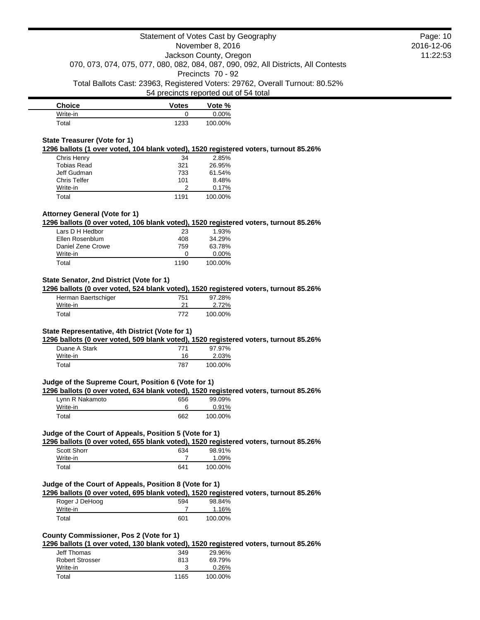| <b>Choice</b> | <b>Votes</b> | Vote %   |
|---------------|--------------|----------|
| Write-in      |              | $0.00\%$ |
| $\tau$ otal   | 1233         | 100.00%  |

### **State Treasurer (Vote for 1)**

**1296 ballots (1 over voted, 104 blank voted), 1520 registered voters, turnout 85.26%**

| Chris Henry  | 34   | 2.85%   |
|--------------|------|---------|
| Tobias Read  | 321  | 26.95%  |
| Jeff Gudman  | 733  | 61.54%  |
| Chris Telfer | 101  | 8.48%   |
| Write-in     |      | 0.17%   |
| Total        | 1191 | 100.00% |

# **Attorney General (Vote for 1)**

**1296 ballots (0 over voted, 106 blank voted), 1520 registered voters, turnout 85.26%**

| Lars D H Hedbor   | 23   | 1.93%    |
|-------------------|------|----------|
| Ellen Rosenblum   | 408  | 34.29%   |
| Daniel Zene Crowe | 759  | 63.78%   |
| Write-in          |      | $0.00\%$ |
| Total             | 1190 | 100.00%  |

# **State Senator, 2nd District (Vote for 1)**

**1296 ballots (0 over voted, 524 blank voted), 1520 registered voters, turnout 85.26%**

| Herman Baertschiger | 751 | 97.28%  |
|---------------------|-----|---------|
| Write-in            | 21  | 2.72%   |
| Total               | 772 | 100.00% |

# **State Representative, 4th District (Vote for 1)**

**1296 ballots (0 over voted, 509 blank voted), 1520 registered voters, turnout 85.26%**

| Duane A Stark | 771 | 97.97%  |
|---------------|-----|---------|
| Write-in      | 16  | 2.03%   |
| Total         | 787 | 100.00% |

# **Judge of the Supreme Court, Position 6 (Vote for 1)**

**1296 ballots (0 over voted, 634 blank voted), 1520 registered voters, turnout 85.26%**

| Lynn R Nakamoto | 656 | 99.09%  |
|-----------------|-----|---------|
| Write-in        |     | 0.91%   |
| Total           | 662 | 100.00% |

#### **Judge of the Court of Appeals, Position 5 (Vote for 1)**

**1296 ballots (0 over voted, 655 blank voted), 1520 registered voters, turnout 85.26%**

| <b>Scott Shorr</b> | 634 | 98.91%  |
|--------------------|-----|---------|
| Write-in           |     | 1.09%   |
| Total              | 641 | 100.00% |

## **Judge of the Court of Appeals, Position 8 (Vote for 1)**

**1296 ballots (0 over voted, 695 blank voted), 1520 registered voters, turnout 85.26%**

| Roger J DeHoog | 594 | 98.84%  |
|----------------|-----|---------|
| Write-in       |     | 1.16%   |
| Total          | 601 | 100.00% |

# **County Commissioner, Pos 2 (Vote for 1)**

**1296 ballots (1 over voted, 130 blank voted), 1520 registered voters, turnout 85.26%**

| Jeff Thomas     | 349  | 29.96%  |
|-----------------|------|---------|
| Robert Strosser | 813  | 69.79%  |
| Write-in        |      | 0.26%   |
| Total           | 1165 | 100.00% |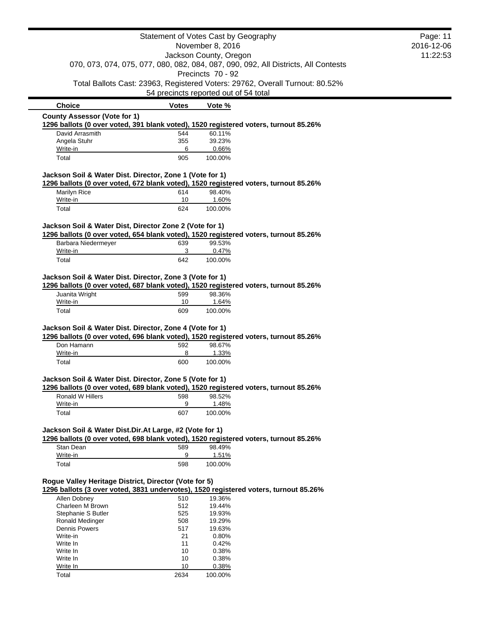|                                                          |              | Statement of Votes Cast by Geography                                                                    | Page: 11   |
|----------------------------------------------------------|--------------|---------------------------------------------------------------------------------------------------------|------------|
|                                                          |              | November 8, 2016                                                                                        | 2016-12-06 |
|                                                          |              | Jackson County, Oregon                                                                                  | 11:22:53   |
|                                                          |              | 070, 073, 074, 075, 077, 080, 082, 084, 087, 090, 092, All Districts, All Contests<br>Precincts 70 - 92 |            |
|                                                          |              | Total Ballots Cast: 23963, Registered Voters: 29762, Overall Turnout: 80.52%                            |            |
|                                                          |              | 54 precincts reported out of 54 total                                                                   |            |
| <b>Choice</b>                                            | <b>Votes</b> | Vote %                                                                                                  |            |
| <b>County Assessor (Vote for 1)</b>                      |              |                                                                                                         |            |
|                                                          |              | 1296 ballots (0 over voted, 391 blank voted), 1520 registered voters, turnout 85.26%                    |            |
| David Arrasmith                                          | 544          | 60.11%                                                                                                  |            |
| Angela Stuhr                                             | 355          | 39.23%                                                                                                  |            |
| Write-in<br>Total                                        | 6<br>905     | 0.66%<br>100.00%                                                                                        |            |
|                                                          |              |                                                                                                         |            |
| Jackson Soil & Water Dist. Director, Zone 1 (Vote for 1) |              | 1296 ballots (0 over voted, 672 blank voted), 1520 registered voters, turnout 85.26%                    |            |
| Marilyn Rice                                             | 614          | 98.40%                                                                                                  |            |
| Write-in                                                 | 10           | 1.60%                                                                                                   |            |
| Total                                                    | 624          | 100.00%                                                                                                 |            |
| Jackson Soil & Water Dist, Director Zone 2 (Vote for 1)  |              |                                                                                                         |            |
|                                                          |              | 1296 ballots (0 over voted, 654 blank voted), 1520 registered voters, turnout 85.26%                    |            |
| Barbara Niedermeyer                                      | 639          | 99.53%                                                                                                  |            |
| Write-in                                                 | 3            | 0.47%                                                                                                   |            |
| Total                                                    | 642          | 100.00%                                                                                                 |            |
| Juanita Wright<br>Write-in                               | 599<br>10    | 98.36%<br>1.64%                                                                                         |            |
| Total                                                    | 609          | 100.00%                                                                                                 |            |
| Jackson Soil & Water Dist. Director, Zone 4 (Vote for 1) |              |                                                                                                         |            |
|                                                          |              | 1296 ballots (0 over voted, 696 blank voted), 1520 registered voters, turnout 85.26%                    |            |
| Don Hamann                                               | 592          | 98.67%                                                                                                  |            |
| Write-in                                                 | 8            | 1.33%                                                                                                   |            |
| Total                                                    | 600          | 100.00%                                                                                                 |            |
| Jackson Soil & Water Dist. Director, Zone 5 (Vote for 1) |              |                                                                                                         |            |
|                                                          |              | 1296 ballots (0 over voted, 689 blank voted), 1520 registered voters, turnout 85.26%                    |            |
| Ronald W Hillers<br>Write-in                             | 598<br>9     | 98.52%<br>1.48%                                                                                         |            |
| Total                                                    | 607          | 100.00%                                                                                                 |            |
| Jackson Soil & Water Dist.Dir.At Large, #2 (Vote for 1)  |              |                                                                                                         |            |
|                                                          |              | 1296 ballots (0 over voted, 698 blank voted), 1520 registered voters, turnout 85.26%                    |            |
| Stan Dean                                                | 589          | 98.49%                                                                                                  |            |
| Write-in                                                 | 9            | 1.51%                                                                                                   |            |
| Total                                                    | 598          | 100.00%                                                                                                 |            |
|                                                          |              |                                                                                                         |            |
| Rogue Valley Heritage District, Director (Vote for 5)    |              | 1296 ballots (3 over voted, 3831 undervotes), 1520 registered voters, turnout 85.26%                    |            |
| Allen Dobney                                             | 510          | 19.36%                                                                                                  |            |
| Charleen M Brown                                         | 512          | 19.44%                                                                                                  |            |
| Stephanie S Butler                                       | 525          | 19.93%                                                                                                  |            |
| Ronald Medinger                                          | 508          | 19.29%                                                                                                  |            |
| Dennis Powers                                            | 517          | 19.63%                                                                                                  |            |
| Write-in                                                 | 21           | 0.80%                                                                                                   |            |
| Write In                                                 | 11           | 0.42%                                                                                                   |            |
| Write In                                                 | 10           | 0.38%                                                                                                   |            |

Write In 2008 2014 10 0.38% Write In 10 0.38% Total 2634 100.00%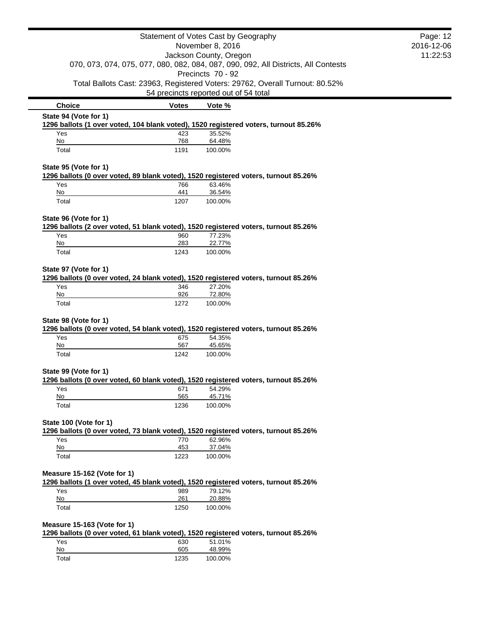|                                            |              | Statement of Votes Cast by Geography                                                                                  | Page: 12   |
|--------------------------------------------|--------------|-----------------------------------------------------------------------------------------------------------------------|------------|
| November 8, 2016<br>Jackson County, Oregon |              |                                                                                                                       | 2016-12-06 |
|                                            |              |                                                                                                                       | 11:22:53   |
|                                            |              | 070, 073, 074, 075, 077, 080, 082, 084, 087, 090, 092, All Districts, All Contests                                    |            |
|                                            |              | Precincts 70 - 92                                                                                                     |            |
|                                            |              | Total Ballots Cast: 23963, Registered Voters: 29762, Overall Turnout: 80.52%<br>54 precincts reported out of 54 total |            |
| <b>Choice</b>                              | <b>Votes</b> | Vote %                                                                                                                |            |
| State 94 (Vote for 1)                      |              |                                                                                                                       |            |
|                                            |              | 1296 ballots (1 over voted, 104 blank voted), 1520 registered voters, turnout 85.26%                                  |            |
| Yes                                        | 423          | 35.52%                                                                                                                |            |
| No                                         | 768          | 64.48%                                                                                                                |            |
| Total                                      | 1191         | 100.00%                                                                                                               |            |
| State 95 (Vote for 1)                      |              |                                                                                                                       |            |
|                                            |              | 1296 ballots (0 over voted, 89 blank voted), 1520 registered voters, turnout 85.26%                                   |            |
| Yes                                        | 766          | 63.46%                                                                                                                |            |
| No                                         | 441          | 36.54%                                                                                                                |            |
| Total                                      | 1207         | 100.00%                                                                                                               |            |
| State 96 (Vote for 1)                      |              |                                                                                                                       |            |
|                                            |              | 1296 ballots (2 over voted, 51 blank voted), 1520 registered voters, turnout 85.26%                                   |            |
| Yes                                        | 960          | 77.23%                                                                                                                |            |
| No                                         | 283          | 22.77%                                                                                                                |            |
| Total                                      | 1243         | 100.00%                                                                                                               |            |
| State 97 (Vote for 1)                      |              |                                                                                                                       |            |
|                                            |              | 1296 ballots (0 over voted, 24 blank voted), 1520 registered voters, turnout 85.26%                                   |            |
| Yes                                        | 346          | 27.20%                                                                                                                |            |
| No                                         | 926          | 72.80%                                                                                                                |            |
| Total                                      | 1272         | 100.00%                                                                                                               |            |
| State 98 (Vote for 1)                      |              |                                                                                                                       |            |
|                                            |              | 1296 ballots (0 over voted, 54 blank voted), 1520 registered voters, turnout 85.26%                                   |            |
| Yes                                        | 675          | 54.35%                                                                                                                |            |
| No                                         | 567          | 45.65%                                                                                                                |            |
| Total                                      | 1242         | 100.00%                                                                                                               |            |
|                                            |              |                                                                                                                       |            |
| State 99 (Vote for 1)                      |              |                                                                                                                       |            |
| Yes                                        |              | 1296 ballots (0 over voted, 60 blank voted), 1520 registered voters, turnout 85.26%<br>54.29%                         |            |
| No                                         | 671<br>565   | 45.71%                                                                                                                |            |
| Total                                      | 1236         | 100.00%                                                                                                               |            |
|                                            |              |                                                                                                                       |            |
| State 100 (Vote for 1)                     |              |                                                                                                                       |            |
| Yes                                        | 770          | 1296 ballots (0 over voted, 73 blank voted), 1520 registered voters, turnout 85.26%<br>62.96%                         |            |
| No                                         | 453          | 37.04%                                                                                                                |            |
| Total                                      | 1223         | 100.00%                                                                                                               |            |
|                                            |              |                                                                                                                       |            |
| Measure 15-162 (Vote for 1)                |              |                                                                                                                       |            |
|                                            |              | 1296 ballots (1 over voted, 45 blank voted), 1520 registered voters, turnout 85.26%                                   |            |
| Yes                                        | 989          | 79.12%                                                                                                                |            |
| No                                         | <u>261</u>   | 20.88%                                                                                                                |            |
| Total                                      | 1250         | 100.00%                                                                                                               |            |
| Measure 15-163 (Vote for 1)                |              |                                                                                                                       |            |
|                                            |              | 1296 ballots (0 over voted, 61 blank voted), 1520 registered voters, turnout 85.26%                                   |            |
| Yes                                        | 630          | 51.01%                                                                                                                |            |
| $\underline{\mathsf{No}}$                  | 605          | 48.99%                                                                                                                |            |
| Total                                      | 1235         | 100.00%                                                                                                               |            |

 $\blacksquare$  $\overline{\phantom{0}}$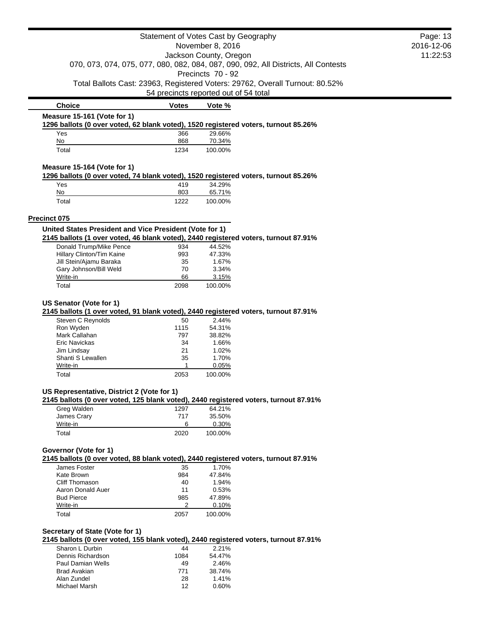|                                                                                                                                                   | Statement of Votes Cast by Geography  |                                                      |                                                                                    | Page: 13   |
|---------------------------------------------------------------------------------------------------------------------------------------------------|---------------------------------------|------------------------------------------------------|------------------------------------------------------------------------------------|------------|
|                                                                                                                                                   |                                       | November 8, 2016                                     |                                                                                    | 2016-12-06 |
|                                                                                                                                                   |                                       | Jackson County, Oregon                               |                                                                                    | 11:22:53   |
|                                                                                                                                                   |                                       |                                                      | 070, 073, 074, 075, 077, 080, 082, 084, 087, 090, 092, All Districts, All Contests |            |
|                                                                                                                                                   |                                       | Precincts 70 - 92                                    |                                                                                    |            |
|                                                                                                                                                   |                                       |                                                      | Total Ballots Cast: 23963, Registered Voters: 29762, Overall Turnout: 80.52%       |            |
|                                                                                                                                                   | 54 precincts reported out of 54 total |                                                      |                                                                                    |            |
| <b>Choice</b>                                                                                                                                     | <b>Votes</b>                          | Vote %                                               |                                                                                    |            |
| Measure 15-161 (Vote for 1)                                                                                                                       |                                       |                                                      |                                                                                    |            |
| 1296 ballots (0 over voted, 62 blank voted), 1520 registered voters, turnout 85.26%                                                               |                                       |                                                      |                                                                                    |            |
| Yes                                                                                                                                               | 366                                   | 29.66%                                               |                                                                                    |            |
| No                                                                                                                                                | 868                                   | 70.34%                                               |                                                                                    |            |
| Total                                                                                                                                             | 1234                                  | 100.00%                                              |                                                                                    |            |
| Measure 15-164 (Vote for 1)                                                                                                                       |                                       |                                                      |                                                                                    |            |
| 1296 ballots (0 over voted, 74 blank voted), 1520 registered voters, turnout 85.26%                                                               |                                       |                                                      |                                                                                    |            |
| Yes                                                                                                                                               | 419                                   | 34.29%                                               |                                                                                    |            |
| No                                                                                                                                                | 803                                   | 65.71%                                               |                                                                                    |            |
| Total                                                                                                                                             | 1222                                  | 100.00%                                              |                                                                                    |            |
| Precinct 075                                                                                                                                      |                                       |                                                      |                                                                                    |            |
| United States President and Vice President (Vote for 1)                                                                                           |                                       |                                                      |                                                                                    |            |
| 2145 ballots (1 over voted, 46 blank voted), 2440 registered voters, turnout 87.91%<br>Donald Trump/Mike Pence                                    | 934                                   | 44.52%                                               |                                                                                    |            |
| Hillary Clinton/Tim Kaine                                                                                                                         | 993                                   | 47.33%                                               |                                                                                    |            |
| Jill Stein/Ajamu Baraka                                                                                                                           | 35                                    | 1.67%                                                |                                                                                    |            |
| Gary Johnson/Bill Weld                                                                                                                            | 70                                    | 3.34%                                                |                                                                                    |            |
| Write-in                                                                                                                                          | 66                                    | 3.15%                                                |                                                                                    |            |
| Total                                                                                                                                             | 2098                                  | 100.00%                                              |                                                                                    |            |
| Steven C Reynolds<br>Ron Wyden<br>Mark Callahan<br><b>Eric Navickas</b><br>Jim Lindsay<br>Shanti S Lewallen                                       | 50<br>1115<br>797<br>34<br>21<br>35   | 2.44%<br>54.31%<br>38.82%<br>1.66%<br>1.02%<br>1.70% |                                                                                    |            |
| Write-in                                                                                                                                          |                                       | 0.05%                                                |                                                                                    |            |
| Total                                                                                                                                             | 2053                                  | 100.00%                                              |                                                                                    |            |
| US Representative, District 2 (Vote for 1)<br>2145 ballots (0 over voted, 125 blank voted), 2440 registered voters, turnout 87.91%<br>Greg Walden | 1297                                  | 64.21%                                               |                                                                                    |            |
| James Crary                                                                                                                                       | 717                                   | 35.50%                                               |                                                                                    |            |
| Write-in                                                                                                                                          | 6                                     | 0.30%                                                |                                                                                    |            |
| Total                                                                                                                                             | 2020                                  | 100.00%                                              |                                                                                    |            |
| Governor (Vote for 1)<br>2145 ballots (0 over voted, 88 blank voted), 2440 registered voters, turnout 87.91%                                      |                                       |                                                      |                                                                                    |            |
| James Foster<br>Kate Brown                                                                                                                        | 35<br>984                             | 1.70%<br>47.84%                                      |                                                                                    |            |
| Cliff Thomason                                                                                                                                    | 40                                    | 1.94%                                                |                                                                                    |            |
| Aaron Donald Auer                                                                                                                                 | 11                                    | 0.53%                                                |                                                                                    |            |
| <b>Bud Pierce</b>                                                                                                                                 | 985                                   | 47.89%                                               |                                                                                    |            |
| Write-in                                                                                                                                          | 2                                     | 0.10%                                                |                                                                                    |            |
| Total                                                                                                                                             | 2057                                  | 100.00%                                              |                                                                                    |            |
| Secretary of State (Vote for 1)<br>2145 ballots (0 over voted, 155 blank voted), 2440 registered voters, turnout 87.91%                           |                                       |                                                      |                                                                                    |            |
| Sharon L Durbin                                                                                                                                   | 44                                    | 2.21%                                                |                                                                                    |            |
| Dennis Richardson                                                                                                                                 | 1084                                  | 54.47%                                               |                                                                                    |            |
| <b>Paul Damian Wells</b>                                                                                                                          | 49                                    | 2.46%                                                |                                                                                    |            |
|                                                                                                                                                   |                                       |                                                      |                                                                                    |            |

Paul Damian Wells 49 2.46% Brad Avakian 771 38.74% Alan Zundel 28 1.41%

Michael Marsh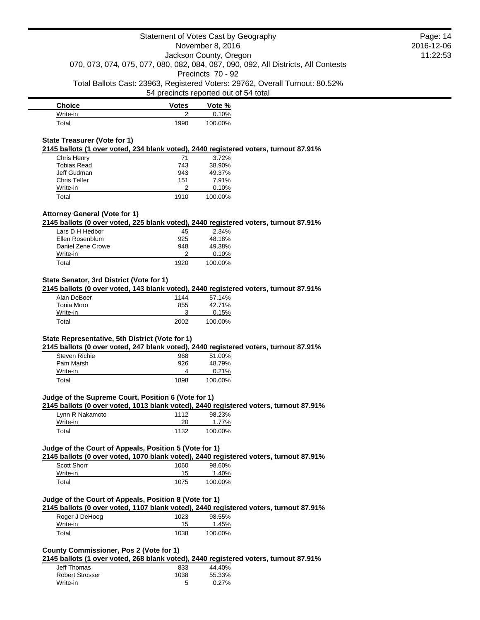| <b>Choice</b> | <b>Votes</b> | Vote %  |
|---------------|--------------|---------|
| Write-in      |              | 0.10%   |
| Total         | 1990         | 100.00% |

### **State Treasurer (Vote for 1)**

**2145 ballots (1 over voted, 234 blank voted), 2440 registered voters, turnout 87.91%**

| Chris Henry         | 71   | 3.72%   |
|---------------------|------|---------|
| Tobias Read         | 743  | 38.90%  |
| Jeff Gudman         | 943  | 49.37%  |
| <b>Chris Telfer</b> | 151  | 7.91%   |
| Write-in            | າ    | 0.10%   |
| Total               | 1910 | 100.00% |

# **Attorney General (Vote for 1)**

**2145 ballots (0 over voted, 225 blank voted), 2440 registered voters, turnout 87.91%**

| Lars D H Hedbor   | 45   | 2.34%   |
|-------------------|------|---------|
| Ellen Rosenblum   | 925  | 48.18%  |
| Daniel Zene Crowe | 948  | 49.38%  |
| Write-in          |      | 0.10%   |
| Total             | 1920 | 100.00% |

# **State Senator, 3rd District (Vote for 1)**

**2145 ballots (0 over voted, 143 blank voted), 2440 registered voters, turnout 87.91%**

| Alan DeBoer | 1144 | 57.14%  |
|-------------|------|---------|
| Tonia Moro  | 855  | 42.71%  |
| Write-in    |      | 0.15%   |
| Total       | 2002 | 100.00% |

### **State Representative, 5th District (Vote for 1)**

**2145 ballots (0 over voted, 247 blank voted), 2440 registered voters, turnout 87.91%**

| Steven Richie | 968  | 51.00%  |
|---------------|------|---------|
| Pam Marsh     | 926  | 48.79%  |
| Write-in      |      | 0.21%   |
| Total         | 1898 | 100.00% |

## **Judge of the Supreme Court, Position 6 (Vote for 1)**

**2145 ballots (0 over voted, 1013 blank voted), 2440 registered voters, turnout 87.91%**

| Lynn R Nakamoto | 1112 | 98.23%  |
|-----------------|------|---------|
| Write-in        | 20   | 1.77%   |
| Total           | 1132 | 100.00% |

### **Judge of the Court of Appeals, Position 5 (Vote for 1)**

**2145 ballots (0 over voted, 1070 blank voted), 2440 registered voters, turnout 87.91%**

| <b>Scott Shorr</b> | 1060 | 98.60%  |
|--------------------|------|---------|
| Write-in           | 15   | 1.40%   |
| Total              | 1075 | 100.00% |

### **Judge of the Court of Appeals, Position 8 (Vote for 1)**

**2145 ballots (0 over voted, 1107 blank voted), 2440 registered voters, turnout 87.91%**

| Roger J DeHoog | 1023 | 98.55%  |
|----------------|------|---------|
| Write-in       | 15   | 1.45%   |
| Total          | 1038 | 100.00% |

## **County Commissioner, Pos 2 (Vote for 1)**

**2145 ballots (1 over voted, 268 blank voted), 2440 registered voters, turnout 87.91%**

| Jeff Thomas            | 833  | 44.40% |
|------------------------|------|--------|
| <b>Robert Strosser</b> | 1038 | 55.33% |
| Write-in               | 5    | 0.27%  |

Page: 14 2016-12-06 11:22:53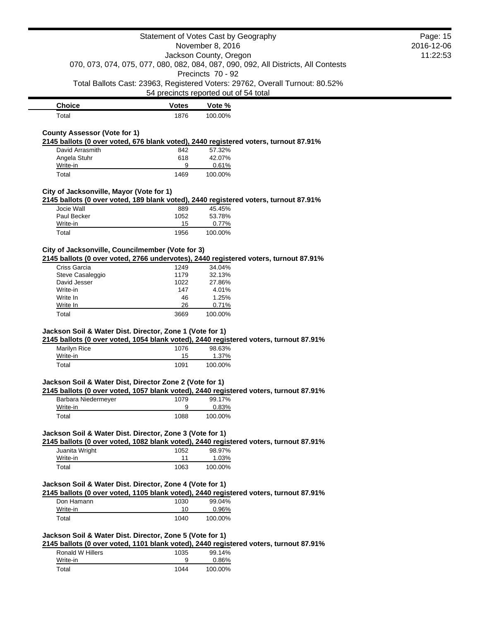| <b>Choice</b> | <b>Votes</b> | Vote %  |
|---------------|--------------|---------|
| $\tau$ otal   | 1876         | 100.00% |

# **County Assessor (Vote for 1)**

**2145 ballots (0 over voted, 676 blank voted), 2440 registered voters, turnout 87.91%**

| David Arrasmith | 842  | 57.32%  |
|-----------------|------|---------|
| Angela Stuhr    | 618  | 42.07%  |
| Write-in        | 9    | 0.61%   |
| Total           | 1469 | 100.00% |

### **City of Jacksonville, Mayor (Vote for 1)**

**2145 ballots (0 over voted, 189 blank voted), 2440 registered voters, turnout 87.91%**

| Jocie Wall  | 889  | 45.45%   |
|-------------|------|----------|
| Paul Becker | 1052 | 53.78%   |
| Write-in    | 15   | $0.77\%$ |
| Total       | 1956 | 100.00%  |

# **City of Jacksonville, Councilmember (Vote for 3)**

**2145 ballots (0 over voted, 2766 undervotes), 2440 registered voters, turnout 87.91%**

| Criss Garcia     | 1249 | 34.04%  |
|------------------|------|---------|
| Steve Casaleggio | 1179 | 32.13%  |
| David Jesser     | 1022 | 27.86%  |
| Write-in         | 147  | 4.01%   |
| Write In         | 46   | 1.25%   |
| Write In         | 26   | 0.71%   |
| Total            | 3669 | 100.00% |

#### **Jackson Soil & Water Dist. Director, Zone 1 (Vote for 1)**

**2145 ballots (0 over voted, 1054 blank voted), 2440 registered voters, turnout 87.91%**

| Marilyn Rice | 1076 | 98.63%  |
|--------------|------|---------|
| Write-in     | 15   | 1.37%   |
| Total        | 1091 | 100.00% |

### **Jackson Soil & Water Dist, Director Zone 2 (Vote for 1)**

**2145 ballots (0 over voted, 1057 blank voted), 2440 registered voters, turnout 87.91%**

| Barbara Niedermeyer | 1079 | 99.17%  |
|---------------------|------|---------|
| Write-in            |      | 0.83%   |
| Total               | 1088 | 100.00% |

#### **Jackson Soil & Water Dist. Director, Zone 3 (Vote for 1)**

**2145 ballots (0 over voted, 1082 blank voted), 2440 registered voters, turnout 87.91%**

| Juanita Wright | 1052 | 98.97%  |
|----------------|------|---------|
| Write-in       | 11   | 1.03%   |
| Total          | 1063 | 100.00% |

### **Jackson Soil & Water Dist. Director, Zone 4 (Vote for 1)**

**2145 ballots (0 over voted, 1105 blank voted), 2440 registered voters, turnout 87.91%**

| Don Hamann | 1030 | 99.04%   |
|------------|------|----------|
| Write-in   | 10   | $0.96\%$ |
| Total      | 1040 | 100.00%  |

# **Jackson Soil & Water Dist. Director, Zone 5 (Vote for 1)**

**2145 ballots (0 over voted, 1101 blank voted), 2440 registered voters, turnout 87.91%**

| Ronald W Hillers | 1035 | 99.14%  |
|------------------|------|---------|
| Write-in         |      | 0.86%   |
| Total            | 1044 | 100.00% |

# Page: 15 2016-12-06 11:22:53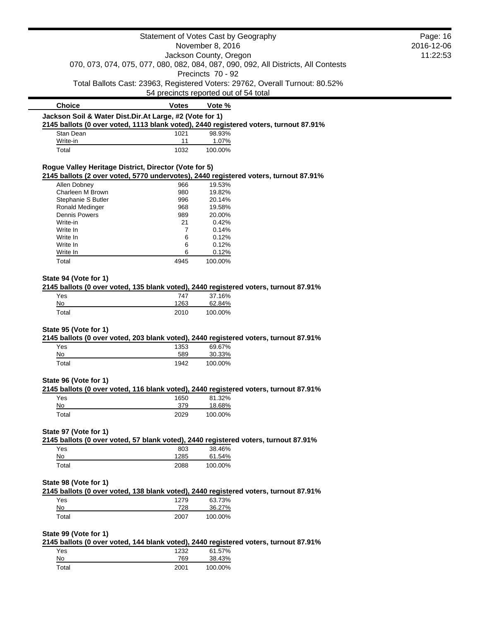|                                                                                                        |                     | Statement of Votes Cast by Geography                                                                                | Page: 16   |
|--------------------------------------------------------------------------------------------------------|---------------------|---------------------------------------------------------------------------------------------------------------------|------------|
|                                                                                                        |                     | November 8, 2016                                                                                                    | 2016-12-06 |
|                                                                                                        |                     | Jackson County, Oregon                                                                                              | 11:22:53   |
|                                                                                                        |                     | 070, 073, 074, 075, 077, 080, 082, 084, 087, 090, 092, All Districts, All Contests<br>Precincts 70 - 92             |            |
|                                                                                                        |                     | Total Ballots Cast: 23963, Registered Voters: 29762, Overall Turnout: 80.52%                                        |            |
|                                                                                                        |                     | 54 precincts reported out of 54 total                                                                               |            |
| <b>Choice</b>                                                                                          | <b>Votes</b>        | Vote %                                                                                                              |            |
| Jackson Soil & Water Dist.Dir.At Large, #2 (Vote for 1)                                                |                     |                                                                                                                     |            |
|                                                                                                        |                     | 2145 ballots (0 over voted, 1113 blank voted), 2440 registered voters, turnout 87.91%                               |            |
| Stan Dean                                                                                              | 1021                | 98.93%                                                                                                              |            |
| Write-in<br>Total                                                                                      | 11<br>1032          | 1.07%<br>100.00%                                                                                                    |            |
|                                                                                                        |                     |                                                                                                                     |            |
| Rogue Valley Heritage District, Director (Vote for 5)                                                  |                     | 2145 ballots (2 over voted, 5770 undervotes), 2440 registered voters, turnout 87.91%                                |            |
| Allen Dobney                                                                                           | 966                 | 19.53%                                                                                                              |            |
| Charleen M Brown                                                                                       | 980                 | 19.82%                                                                                                              |            |
| Stephanie S Butler                                                                                     | 996                 | 20.14%                                                                                                              |            |
| Ronald Medinger                                                                                        | 968                 | 19.58%                                                                                                              |            |
| <b>Dennis Powers</b>                                                                                   |                     |                                                                                                                     |            |
|                                                                                                        | 989                 | 20.00%                                                                                                              |            |
| Write-in                                                                                               | 21                  | 0.42%                                                                                                               |            |
| Write In                                                                                               | 7                   | 0.14%                                                                                                               |            |
| Write In                                                                                               | 6                   | 0.12%                                                                                                               |            |
| Write In                                                                                               | 6                   | 0.12%                                                                                                               |            |
| Write In                                                                                               | 6                   | 0.12%                                                                                                               |            |
| Total                                                                                                  | 4945                | 100.00%                                                                                                             |            |
| Yes                                                                                                    | 747                 | 2145 ballots (0 over voted, 135 blank voted), 2440 registered voters, turnout 87.91%                                |            |
| No                                                                                                     | 1263                | 37.16%<br>62.84%                                                                                                    |            |
| Total                                                                                                  | 2010                | 100.00%                                                                                                             |            |
| Yes<br>No<br>Total                                                                                     | 1353<br>589<br>1942 | 2145 ballots (0 over voted, 203 blank voted), 2440 registered voters, turnout 87.91%<br>69.67%<br>30.33%<br>100.00% |            |
|                                                                                                        |                     |                                                                                                                     |            |
| Yes                                                                                                    | 1650                | 2145 ballots (0 over voted, 116 blank voted), 2440 registered voters, turnout 87.91%<br>81.32%                      |            |
| No                                                                                                     | 379                 | 18.68%                                                                                                              |            |
| Total                                                                                                  | 2029                | 100.00%                                                                                                             |            |
|                                                                                                        |                     |                                                                                                                     |            |
|                                                                                                        |                     | 2145 ballots (0 over voted, 57 blank voted), 2440 registered voters, turnout 87.91%                                 |            |
| Yes                                                                                                    | 803                 | 38.46%                                                                                                              |            |
| No                                                                                                     | 1285                | 61.54%                                                                                                              |            |
| Total                                                                                                  | 2088                | 100.00%                                                                                                             |            |
|                                                                                                        |                     | 2145 ballots (0 over voted, 138 blank voted), 2440 registered voters, turnout 87.91%                                |            |
| Yes                                                                                                    | 1279                | 63.73%                                                                                                              |            |
| State 95 (Vote for 1)<br>State 96 (Vote for 1)<br>State 97 (Vote for 1)<br>State 98 (Vote for 1)<br>No | 728                 | 36.27%                                                                                                              |            |
| Total                                                                                                  | 2007                | 100.00%                                                                                                             |            |
| State 99 (Vote for 1)                                                                                  |                     |                                                                                                                     |            |
|                                                                                                        |                     | 2145 ballots (0 over voted, 144 blank voted), 2440 registered voters, turnout 87.91%                                |            |
| Yes                                                                                                    | 1232                | 61.57%                                                                                                              |            |
| No                                                                                                     | 769                 | 38.43%                                                                                                              |            |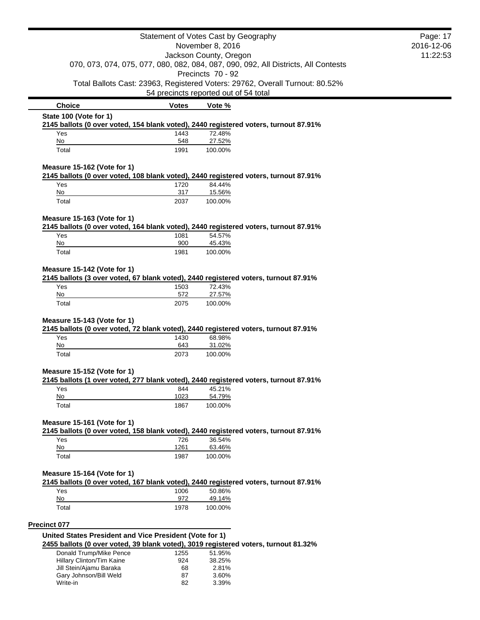|                                                                                                                     |              | Statement of Votes Cast by Geography                                                                                  | Page: 17   |
|---------------------------------------------------------------------------------------------------------------------|--------------|-----------------------------------------------------------------------------------------------------------------------|------------|
|                                                                                                                     |              | November 8, 2016                                                                                                      | 2016-12-06 |
|                                                                                                                     |              | Jackson County, Oregon                                                                                                | 11:22:53   |
|                                                                                                                     |              | 070, 073, 074, 075, 077, 080, 082, 084, 087, 090, 092, All Districts, All Contests<br>Precincts 70 - 92               |            |
|                                                                                                                     |              | Total Ballots Cast: 23963, Registered Voters: 29762, Overall Turnout: 80.52%<br>54 precincts reported out of 54 total |            |
| <b>Choice</b>                                                                                                       | <b>Votes</b> | Vote %                                                                                                                |            |
| State 100 (Vote for 1)<br>2145 ballots (0 over voted, 154 blank voted), 2440 registered voters, turnout 87.91%      |              |                                                                                                                       |            |
| Yes                                                                                                                 | 1443         | 72.48%                                                                                                                |            |
| No                                                                                                                  | 548          | 27.52%                                                                                                                |            |
| Total                                                                                                               | 1991         | 100.00%                                                                                                               |            |
| Measure 15-162 (Vote for 1)                                                                                         |              |                                                                                                                       |            |
| Yes                                                                                                                 | 1720         | 2145 ballots (0 over voted, 108 blank voted), 2440 registered voters, turnout 87.91%<br>84.44%                        |            |
| No                                                                                                                  | 317          | 15.56%                                                                                                                |            |
| Total                                                                                                               | 2037         | 100.00%                                                                                                               |            |
| Measure 15-163 (Vote for 1)                                                                                         |              |                                                                                                                       |            |
|                                                                                                                     |              | 2145 ballots (0 over voted, 164 blank voted), 2440 registered voters, turnout 87.91%                                  |            |
| Yes<br>No                                                                                                           | 1081<br>900  | 54.57%                                                                                                                |            |
| Total                                                                                                               | 1981         | 45.43%<br>100.00%                                                                                                     |            |
|                                                                                                                     |              |                                                                                                                       |            |
| Measure 15-142 (Vote for 1)                                                                                         |              |                                                                                                                       |            |
| 2145 ballots (3 over voted, 67 blank voted), 2440 registered voters, turnout 87.91%                                 |              |                                                                                                                       |            |
| Yes                                                                                                                 | 1503         | 72.43%                                                                                                                |            |
| No                                                                                                                  | 572          | 27.57%                                                                                                                |            |
| Total                                                                                                               | 2075         | 100.00%                                                                                                               |            |
| Measure 15-143 (Vote for 1)                                                                                         |              |                                                                                                                       |            |
|                                                                                                                     |              | 2145 ballots (0 over voted, 72 blank voted), 2440 registered voters, turnout 87.91%                                   |            |
| Yes                                                                                                                 | 1430         | 68.98%                                                                                                                |            |
| No                                                                                                                  | 643          | 31.02%                                                                                                                |            |
| Total                                                                                                               | 2073         | 100.00%                                                                                                               |            |
| Measure 15-152 (Vote for 1)                                                                                         |              |                                                                                                                       |            |
| 2145 ballots (1 over voted, 277 blank voted), 2440 registered voters, turnout 87.91%                                |              |                                                                                                                       |            |
| Yes<br>No                                                                                                           | 844<br>1023  | 45.21%<br>54.79%                                                                                                      |            |
| Total                                                                                                               | 1867         | 100.00%                                                                                                               |            |
|                                                                                                                     |              |                                                                                                                       |            |
| Measure 15-161 (Vote for 1)                                                                                         |              |                                                                                                                       |            |
| 2145 ballots (0 over voted, 158 blank voted), 2440 registered voters, turnout 87.91%                                |              |                                                                                                                       |            |
| Yes<br>No                                                                                                           | 726<br>1261  | 36.54%<br>63.46%                                                                                                      |            |
| Total                                                                                                               | 1987         | 100.00%                                                                                                               |            |
|                                                                                                                     |              |                                                                                                                       |            |
| Measure 15-164 (Vote for 1)<br>2145 ballots (0 over voted, 167 blank voted), 2440 registered voters, turnout 87.91% |              |                                                                                                                       |            |
| Yes                                                                                                                 | 1006         | 50.86%                                                                                                                |            |
| No                                                                                                                  | 972          | 49.14%                                                                                                                |            |
| Total                                                                                                               | 1978         | 100.00%                                                                                                               |            |
| <b>Precinct 077</b>                                                                                                 |              |                                                                                                                       |            |
| United States President and Vice President (Vote for 1)                                                             |              |                                                                                                                       |            |
| 2455 ballots (0 over voted, 39 blank voted), 3019 registered voters, turnout 81.32%                                 |              |                                                                                                                       |            |
| Donald Trump/Mike Pence<br>Hillary Clinton/Tim Kaine                                                                | 1255<br>924  | 51.95%<br>38.25%                                                                                                      |            |
| Jill Stein/Ajamu Baraka                                                                                             | 68           | 2.81%                                                                                                                 |            |
| Gary Johnson/Bill Weld                                                                                              | 87           | 3.60%                                                                                                                 |            |
| Write-in                                                                                                            | 82           | 3.39%                                                                                                                 |            |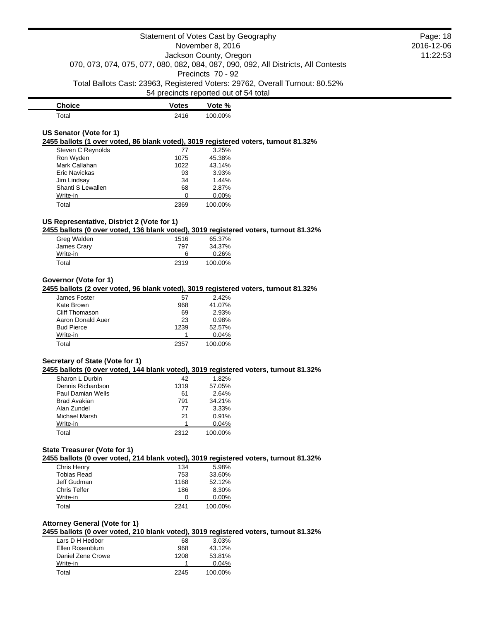| <b>Choice</b> | <b>Votes</b> | Vote %  |
|---------------|--------------|---------|
| $\tau$ otal   | 2416         | 100.00% |

# **US Senator (Vote for 1)**

**2455 ballots (1 over voted, 86 blank voted), 3019 registered voters, turnout 81.32%**

| Steven C Reynolds | 77   | 3.25%   |
|-------------------|------|---------|
| Ron Wyden         | 1075 | 45.38%  |
| Mark Callahan     | 1022 | 43.14%  |
| Eric Navickas     | 93   | 3.93%   |
| Jim Lindsay       | 34   | 1.44%   |
| Shanti S Lewallen | 68   | 2.87%   |
| Write-in          |      | 0.00%   |
| Total             | 2369 | 100.00% |

# **US Representative, District 2 (Vote for 1)**

**2455 ballots (0 over voted, 136 blank voted), 3019 registered voters, turnout 81.32%**

| Greg Walden | 1516 | 65.37%  |
|-------------|------|---------|
| James Crary | 797  | 34.37%  |
| Write-in    | 6    | 0.26%   |
| Total       | 2319 | 100.00% |

# **Governor (Vote for 1)**

**2455 ballots (2 over voted, 96 blank voted), 3019 registered voters, turnout 81.32%**

| James Foster      | 57   | 2.42%   |
|-------------------|------|---------|
| Kate Brown        | 968  | 41.07%  |
| Cliff Thomason    | 69   | 2.93%   |
| Aaron Donald Auer | 23   | 0.98%   |
| <b>Bud Pierce</b> | 1239 | 52.57%  |
| Write-in          |      | 0.04%   |
| Total             | 2357 | 100.00% |

#### **Secretary of State (Vote for 1)**

**2455 ballots (0 over voted, 144 blank voted), 3019 registered voters, turnout 81.32%**

| Sharon L Durbin     | 42   | 1.82%   |
|---------------------|------|---------|
| Dennis Richardson   | 1319 | 57.05%  |
| Paul Damian Wells   | 61   | 2.64%   |
| <b>Brad Avakian</b> | 791  | 34.21%  |
| Alan Zundel         | 77   | 3.33%   |
| Michael Marsh       | 21   | 0.91%   |
| Write-in            |      | 0.04%   |
| Total               | 2312 | 100.00% |

# **State Treasurer (Vote for 1)**

**2455 ballots (0 over voted, 214 blank voted), 3019 registered voters, turnout 81.32%**

| Chris Henry  | 134  | 5.98%    |
|--------------|------|----------|
| Tobias Read  | 753  | 33.60%   |
| Jeff Gudman  | 1168 | 52.12%   |
| Chris Telfer | 186  | 8.30%    |
| Write-in     |      | $0.00\%$ |
| Total        | 2241 | 100.00%  |

## **Attorney General (Vote for 1)**

**2455 ballots (0 over voted, 210 blank voted), 3019 registered voters, turnout 81.32%**

| Lars D H Hedbor   | 68   | 3.03%   |
|-------------------|------|---------|
| Ellen Rosenblum   | 968  | 43.12%  |
| Daniel Zene Crowe | 1208 | 53.81%  |
| Write-in          |      | 0.04%   |
| Total             | 2245 | 100.00% |

Page: 18 2016-12-06 11:22:53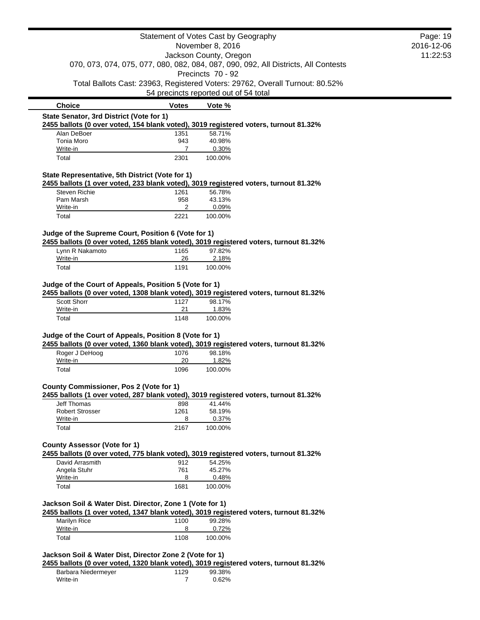|                                                                                                                                                   |                | Statement of Votes Cast by Geography  |                                                                                    | Page: 19 |
|---------------------------------------------------------------------------------------------------------------------------------------------------|----------------|---------------------------------------|------------------------------------------------------------------------------------|----------|
| November 8, 2016                                                                                                                                  |                | 2016-12-06                            |                                                                                    |          |
|                                                                                                                                                   |                | Jackson County, Oregon                |                                                                                    | 11:22:53 |
|                                                                                                                                                   |                | Precincts 70 - 92                     | 070, 073, 074, 075, 077, 080, 082, 084, 087, 090, 092, All Districts, All Contests |          |
|                                                                                                                                                   |                |                                       | Total Ballots Cast: 23963, Registered Voters: 29762, Overall Turnout: 80.52%       |          |
|                                                                                                                                                   |                | 54 precincts reported out of 54 total |                                                                                    |          |
| <b>Choice</b>                                                                                                                                     | <b>Votes</b>   | Vote %                                |                                                                                    |          |
| State Senator, 3rd District (Vote for 1)<br>2455 ballots (0 over voted, 154 blank voted), 3019 registered voters, turnout 81.32%                  |                |                                       |                                                                                    |          |
| Alan DeBoer                                                                                                                                       | 1351           | 58.71%                                |                                                                                    |          |
| Tonia Moro                                                                                                                                        | 943            | 40.98%                                |                                                                                    |          |
| Write-in                                                                                                                                          | $\overline{7}$ | 0.30%                                 |                                                                                    |          |
| Total                                                                                                                                             | 2301           | 100.00%                               |                                                                                    |          |
| State Representative, 5th District (Vote for 1)                                                                                                   |                |                                       |                                                                                    |          |
| 2455 ballots (1 over voted, 233 blank voted), 3019 registered voters, turnout 81.32%                                                              |                |                                       |                                                                                    |          |
| Steven Richie                                                                                                                                     | 1261           | 56.78%                                |                                                                                    |          |
| Pam Marsh<br>Write-in                                                                                                                             | 958<br>2       | 43.13%<br>0.09%                       |                                                                                    |          |
| Total                                                                                                                                             | 2221           | 100.00%                               |                                                                                    |          |
| Judge of the Supreme Court, Position 6 (Vote for 1)                                                                                               |                |                                       |                                                                                    |          |
| 2455 ballots (0 over voted, 1265 blank voted), 3019 registered voters, turnout 81.32%                                                             |                |                                       |                                                                                    |          |
| Lynn R Nakamoto                                                                                                                                   | 1165           | 97.82%                                |                                                                                    |          |
| Write-in                                                                                                                                          | 26             | 2.18%                                 |                                                                                    |          |
| Total                                                                                                                                             | 1191           | 100.00%                               |                                                                                    |          |
| Judge of the Court of Appeals, Position 5 (Vote for 1)<br>2455 ballots (0 over voted, 1308 blank voted), 3019 registered voters, turnout 81.32%   |                |                                       |                                                                                    |          |
| Scott Shorr<br>Write-in                                                                                                                           | 1127<br>21     | 98.17%<br>1.83%                       |                                                                                    |          |
| Total                                                                                                                                             | 1148           | 100.00%                               |                                                                                    |          |
| Judge of the Court of Appeals, Position 8 (Vote for 1)                                                                                            |                |                                       |                                                                                    |          |
| 2455 ballots (0 over voted, 1360 blank voted), 3019 registered voters, turnout 81.32%                                                             |                |                                       |                                                                                    |          |
| Roger J DeHoog                                                                                                                                    | 1076           | 98.18%                                |                                                                                    |          |
| Write-in<br>Total                                                                                                                                 | 20<br>1096     | 1.82%<br>100.00%                      |                                                                                    |          |
|                                                                                                                                                   |                |                                       |                                                                                    |          |
| County Commissioner, Pos 2 (Vote for 1)<br>2455 ballots (1 over voted, 287 blank voted), 3019 registered voters, turnout 81.32%                   |                |                                       |                                                                                    |          |
| <b>Jeff Thomas</b>                                                                                                                                | 898            | 41.44%                                |                                                                                    |          |
| <b>Robert Strosser</b>                                                                                                                            | 1261           | 58.19%                                |                                                                                    |          |
| Write-in<br>Total                                                                                                                                 | 8<br>2167      | 0.37%                                 |                                                                                    |          |
|                                                                                                                                                   |                | 100.00%                               |                                                                                    |          |
| <b>County Assessor (Vote for 1)</b>                                                                                                               |                |                                       |                                                                                    |          |
| 2455 ballots (0 over voted, 775 blank voted), 3019 registered voters, turnout 81.32%                                                              |                |                                       |                                                                                    |          |
| David Arrasmith                                                                                                                                   | 912            | 54.25%                                |                                                                                    |          |
| Angela Stuhr<br>Write-in                                                                                                                          | 761<br>8       | 45.27%                                |                                                                                    |          |
| Total                                                                                                                                             | 1681           | 0.48%<br>100.00%                      |                                                                                    |          |
|                                                                                                                                                   |                |                                       |                                                                                    |          |
| Jackson Soil & Water Dist. Director, Zone 1 (Vote for 1)<br>2455 ballots (1 over voted, 1347 blank voted), 3019 registered voters, turnout 81.32% |                |                                       |                                                                                    |          |
| <b>Marilyn Rice</b>                                                                                                                               | 1100           | 99.28%                                |                                                                                    |          |
| Write-in                                                                                                                                          | 8              | 0.72%                                 |                                                                                    |          |
| Total                                                                                                                                             | 1108           | 100.00%                               |                                                                                    |          |

| Barbara Niedermeyer | 1129 | 99.38% |
|---------------------|------|--------|
| Write-in            |      | 0.62%  |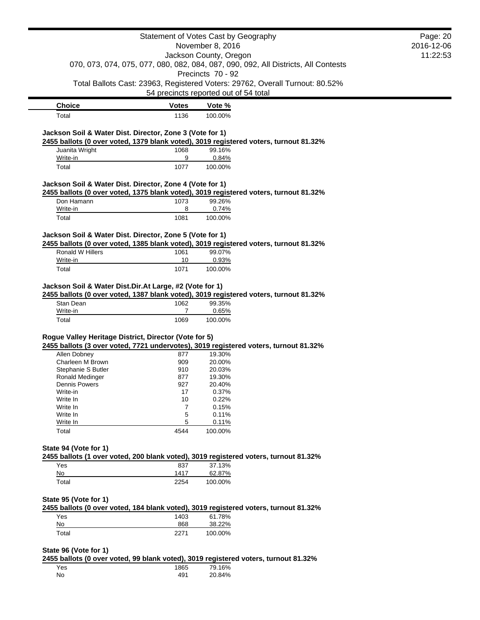|                                                          |              | Statement of Votes Cast by Geography                                                  | Page: 20   |
|----------------------------------------------------------|--------------|---------------------------------------------------------------------------------------|------------|
|                                                          |              | November 8, 2016                                                                      | 2016-12-06 |
|                                                          |              | Jackson County, Oregon                                                                | 11:22:53   |
|                                                          |              | 070, 073, 074, 075, 077, 080, 082, 084, 087, 090, 092, All Districts, All Contests    |            |
|                                                          |              | Precincts 70 - 92                                                                     |            |
|                                                          |              | Total Ballots Cast: 23963, Registered Voters: 29762, Overall Turnout: 80.52%          |            |
|                                                          |              | 54 precincts reported out of 54 total                                                 |            |
| <b>Choice</b>                                            | <b>Votes</b> | Vote %                                                                                |            |
| Total                                                    | 1136         | 100.00%                                                                               |            |
|                                                          |              |                                                                                       |            |
| Jackson Soil & Water Dist. Director, Zone 3 (Vote for 1) |              | 2455 ballots (0 over voted, 1379 blank voted), 3019 registered voters, turnout 81.32% |            |
| Juanita Wright                                           | 1068         | 99.16%                                                                                |            |
| Write-in                                                 | 9            | 0.84%                                                                                 |            |
| Total                                                    | 1077         | 100.00%                                                                               |            |
|                                                          |              |                                                                                       |            |
| Jackson Soil & Water Dist. Director, Zone 4 (Vote for 1) |              |                                                                                       |            |
|                                                          |              | 2455 ballots (0 over voted, 1375 blank voted), 3019 registered voters, turnout 81.32% |            |
| Don Hamann<br>Write-in                                   | 1073<br>8    | 99.26%<br>0.74%                                                                       |            |
| Total                                                    | 1081         | 100.00%                                                                               |            |
|                                                          |              |                                                                                       |            |
| Jackson Soil & Water Dist. Director, Zone 5 (Vote for 1) |              |                                                                                       |            |
|                                                          |              | 2455 ballots (0 over voted, 1385 blank voted), 3019 registered voters, turnout 81.32% |            |
| Ronald W Hillers                                         | 1061         | 99.07%                                                                                |            |
| Write-in                                                 | 10           | 0.93%                                                                                 |            |
| Total                                                    | 1071         | 100.00%                                                                               |            |
| Jackson Soil & Water Dist.Dir.At Large, #2 (Vote for 1)  |              |                                                                                       |            |
|                                                          |              | 2455 ballots (0 over voted, 1387 blank voted), 3019 registered voters, turnout 81.32% |            |
| Stan Dean                                                | 1062         | 99.35%                                                                                |            |
| Write-in                                                 | 7            | 0.65%                                                                                 |            |
| Total                                                    | 1069         | 100.00%                                                                               |            |
|                                                          |              |                                                                                       |            |
| Rogue Valley Heritage District, Director (Vote for 5)    |              | 2455 ballots (3 over voted, 7721 undervotes), 3019 registered voters, turnout 81.32%  |            |
| Allen Dobney                                             | 877          | 19.30%                                                                                |            |
| Charleen M Brown                                         | 909          | 20.00%                                                                                |            |
| Stephanie S Butler                                       | 910          | 20.03%                                                                                |            |
| Ronald Medinger                                          | 877          | 19.30%                                                                                |            |
| Dennis Powers                                            | 927          | 20.40%                                                                                |            |
| Write-in                                                 | 17           | 0.37%                                                                                 |            |
| Write In                                                 | 10           | 0.22%                                                                                 |            |
| Write In                                                 | 7            | 0.15%                                                                                 |            |
| Write In                                                 | 5            | 0.11%                                                                                 |            |
| Write In                                                 | 5            | 0.11%                                                                                 |            |
| Total                                                    | 4544         | 100.00%                                                                               |            |
|                                                          |              |                                                                                       |            |
| State 94 (Vote for 1)                                    |              |                                                                                       |            |
|                                                          |              | 2455 ballots (1 over voted, 200 blank voted), 3019 registered voters, turnout 81.32%  |            |
| Yes                                                      | 837          | 37.13%                                                                                |            |
| No                                                       | 1417         | 62.87%                                                                                |            |
| Total                                                    | 2254         | 100.00%                                                                               |            |
|                                                          |              |                                                                                       |            |
| State 95 (Vote for 1)                                    |              | 2455 ballots (0 over voted, 184 blank voted), 3019 registered voters, turnout 81.32%  |            |
| Yes                                                      | 1403         | 61.78%                                                                                |            |
| No                                                       | 868          | 38.22%                                                                                |            |
| Total                                                    | 2271         | 100.00%                                                                               |            |
|                                                          |              |                                                                                       |            |
| State 96 (Vote for 1)                                    |              |                                                                                       |            |
|                                                          |              | 2455 ballots (0 over voted, 99 blank voted), 3019 registered voters, turnout 81.32%   |            |
| Yes                                                      | 1865         | 79.16%                                                                                |            |
| No.                                                      | 491          | 20.84%                                                                                |            |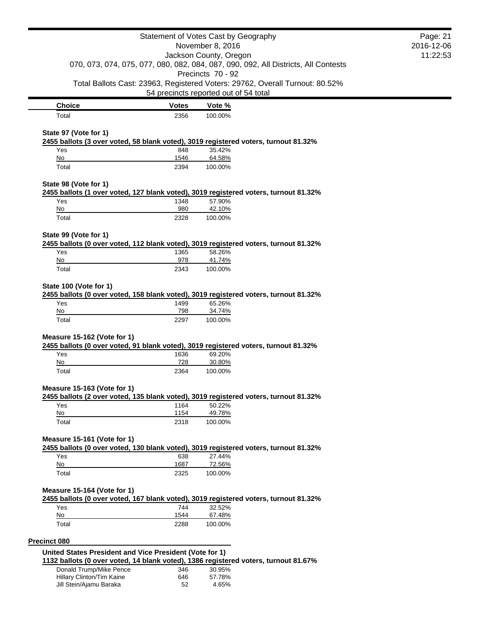|                                                         |              | Statement of Votes Cast by Geography                                                 | Page: 21 |
|---------------------------------------------------------|--------------|--------------------------------------------------------------------------------------|----------|
| November 8, 2016<br>Jackson County, Oregon              |              | 2016-12-06                                                                           |          |
|                                                         |              | 070, 073, 074, 075, 077, 080, 082, 084, 087, 090, 092, All Districts, All Contests   | 11:22:53 |
|                                                         |              | Precincts 70 - 92                                                                    |          |
|                                                         |              | Total Ballots Cast: 23963, Registered Voters: 29762, Overall Turnout: 80.52%         |          |
|                                                         |              | 54 precincts reported out of 54 total                                                |          |
| <b>Choice</b>                                           | <b>Votes</b> | Vote %                                                                               |          |
| Total                                                   | 2356         | 100.00%                                                                              |          |
|                                                         |              |                                                                                      |          |
| State 97 (Vote for 1)                                   |              | 2455 ballots (3 over voted, 58 blank voted), 3019 registered voters, turnout 81.32%  |          |
| Yes                                                     | 848          | 35.42%                                                                               |          |
| No                                                      | 1546         | 64.58%                                                                               |          |
| Total                                                   | 2394         | 100.00%                                                                              |          |
| State 98 (Vote for 1)                                   |              |                                                                                      |          |
|                                                         |              | 2455 ballots (1 over voted, 127 blank voted), 3019 registered voters, turnout 81.32% |          |
| Yes                                                     | 1348         | 57.90%                                                                               |          |
| No<br>Total                                             | 980<br>2328  | 42.10%<br>100.00%                                                                    |          |
|                                                         |              |                                                                                      |          |
| State 99 (Vote for 1)                                   |              |                                                                                      |          |
|                                                         |              | 2455 ballots (0 over voted, 112 blank voted), 3019 registered voters, turnout 81.32% |          |
| Yes                                                     | 1365         | 58.26%                                                                               |          |
| No<br>Total                                             | 978<br>2343  | 41.74%<br>100.00%                                                                    |          |
|                                                         |              |                                                                                      |          |
| State 100 (Vote for 1)                                  |              |                                                                                      |          |
|                                                         |              | 2455 ballots (0 over voted, 158 blank voted), 3019 registered voters, turnout 81.32% |          |
| Yes                                                     | 1499         | 65.26%                                                                               |          |
| No<br>Total                                             | 798<br>2297  | 34.74%<br>100.00%                                                                    |          |
|                                                         |              |                                                                                      |          |
| Measure 15-162 (Vote for 1)                             |              |                                                                                      |          |
|                                                         |              | 2455 ballots (0 over voted, 91 blank voted), 3019 registered voters, turnout 81.32%  |          |
| Yes                                                     | 1636         | 69.20%                                                                               |          |
| No<br>Total                                             | 728<br>2364  | 30.80%<br>100.00%                                                                    |          |
|                                                         |              |                                                                                      |          |
| Measure 15-163 (Vote for 1)                             |              |                                                                                      |          |
|                                                         |              | 2455 ballots (2 over voted, 135 blank voted), 3019 registered voters, turnout 81.32% |          |
| Yes                                                     | 1164         | 50.22%                                                                               |          |
| No                                                      | 1154         | 49.78%                                                                               |          |
| Total                                                   | 2318         | 100.00%                                                                              |          |
| Measure 15-161 (Vote for 1)                             |              |                                                                                      |          |
|                                                         |              | 2455 ballots (0 over voted, 130 blank voted), 3019 registered voters, turnout 81.32% |          |
| Yes                                                     | 638          | 27.44%                                                                               |          |
| No                                                      | 1687         | 72.56%                                                                               |          |
| Total                                                   | 2325         | 100.00%                                                                              |          |
| Measure 15-164 (Vote for 1)                             |              |                                                                                      |          |
|                                                         |              | 2455 ballots (0 over voted, 167 blank voted), 3019 registered voters, turnout 81.32% |          |
| Yes                                                     | 744          | 32.52%                                                                               |          |
| No                                                      | 1544         | 67.48%                                                                               |          |
| Total                                                   | 2288         | 100.00%                                                                              |          |
|                                                         |              |                                                                                      |          |
| Precinct 080                                            |              |                                                                                      |          |
| United States President and Vice President (Vote for 1) |              | 1132 ballots (0 over voted, 14 blank voted), 1386 registered voters, turnout 81.67%  |          |
| Donald Trump/Mike Pence                                 | 346          | 30.95%                                                                               |          |
| Hillary Clinton/Tim Kaine                               | 646          | 57.78%                                                                               |          |
| Jill Stein/Ajamu Baraka                                 | 52           | 4.65%                                                                                |          |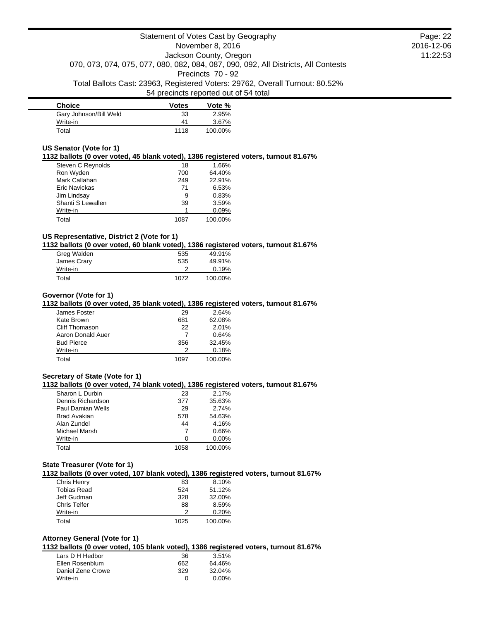| <b>Choice</b>          | <b>Votes</b> | Vote %  |
|------------------------|--------------|---------|
| Gary Johnson/Bill Weld | 33           | 2.95%   |
| Write-in               | 41           | 3.67%   |
| Total                  | 1118         | 100.00% |

### **US Senator (Vote for 1)**

#### **1132 ballots (0 over voted, 45 blank voted), 1386 registered voters, turnout 81.67%**

| 18   | 1.66%   |
|------|---------|
| 700  | 64.40%  |
| 249  | 22.91%  |
| 71   | 6.53%   |
| 9    | 0.83%   |
| 39   | 3.59%   |
|      | 0.09%   |
| 1087 | 100.00% |
|      |         |

# **US Representative, District 2 (Vote for 1)**

### **1132 ballots (0 over voted, 60 blank voted), 1386 registered voters, turnout 81.67%**

| Greg Walden | 535  | 49.91%  |
|-------------|------|---------|
| James Crary | 535  | 49.91%  |
| Write-in    |      | 0.19%   |
| Total       | 1072 | 100.00% |

#### **Governor (Vote for 1)**

#### **1132 ballots (0 over voted, 35 blank voted), 1386 registered voters, turnout 81.67%**

| James Foster      | 29   | 2.64%   |
|-------------------|------|---------|
| Kate Brown        | 681  | 62.08%  |
| Cliff Thomason    | 22   | 2.01%   |
| Aaron Donald Auer |      | 0.64%   |
| <b>Bud Pierce</b> | 356  | 32.45%  |
| Write-in          | 2    | 0.18%   |
| Total             | 1097 | 100.00% |

## **Secretary of State (Vote for 1)**

#### **1132 ballots (0 over voted, 74 blank voted), 1386 registered voters, turnout 81.67%**

| Sharon L Durbin          | 23   | 2.17%    |
|--------------------------|------|----------|
| Dennis Richardson        | 377  | 35.63%   |
| <b>Paul Damian Wells</b> | 29   | 2.74%    |
| <b>Brad Avakian</b>      | 578  | 54.63%   |
| Alan Zundel              | 44   | 4.16%    |
| Michael Marsh            |      | 0.66%    |
| Write-in                 | O    | $0.00\%$ |
| Total                    | 1058 | 100.00%  |

#### **State Treasurer (Vote for 1)**

**1132 ballots (0 over voted, 107 blank voted), 1386 registered voters, turnout 81.67%**

| 83   | 8.10%   |
|------|---------|
| 524  | 51.12%  |
| 328  | 32.00%  |
| 88   | 8.59%   |
|      | 0.20%   |
| 1025 | 100.00% |
|      |         |

# **Attorney General (Vote for 1)**

# **1132 ballots (0 over voted, 105 blank voted), 1386 registered voters, turnout 81.67%**

| Lars D H Hedbor   | 36  | 3.51%  |
|-------------------|-----|--------|
| Ellen Rosenblum   | 662 | 64.46% |
| Daniel Zene Crowe | 329 | 32.04% |
| Write-in          | O   | 0.00%  |

Page: 22 2016-12-06 11:22:53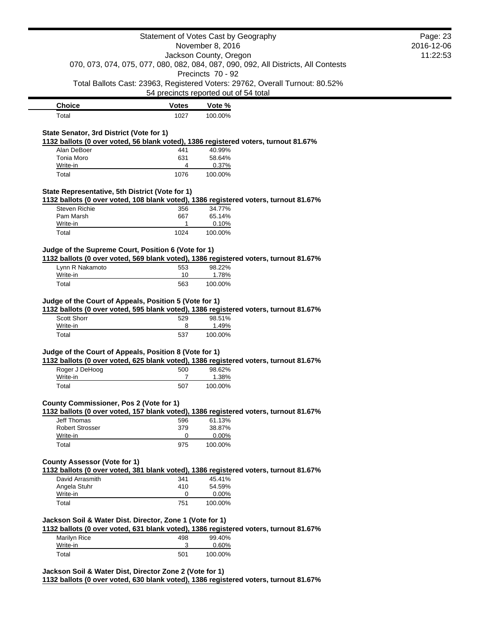|                                                                                                                                                | Statement of Votes Cast by Geography  |                        |                                                                                    | Page: 23   |
|------------------------------------------------------------------------------------------------------------------------------------------------|---------------------------------------|------------------------|------------------------------------------------------------------------------------|------------|
|                                                                                                                                                |                                       | November 8, 2016       |                                                                                    | 2016-12-06 |
|                                                                                                                                                |                                       | Jackson County, Oregon |                                                                                    | 11:22:53   |
|                                                                                                                                                |                                       |                        | 070, 073, 074, 075, 077, 080, 082, 084, 087, 090, 092, All Districts, All Contests |            |
|                                                                                                                                                |                                       | Precincts 70 - 92      | Total Ballots Cast: 23963, Registered Voters: 29762, Overall Turnout: 80.52%       |            |
|                                                                                                                                                | 54 precincts reported out of 54 total |                        |                                                                                    |            |
| <b>Choice</b>                                                                                                                                  | <b>Votes</b>                          | Vote %                 |                                                                                    |            |
| Total                                                                                                                                          | 1027                                  | 100.00%                |                                                                                    |            |
|                                                                                                                                                |                                       |                        |                                                                                    |            |
| State Senator, 3rd District (Vote for 1)<br>1132 ballots (0 over voted, 56 blank voted), 1386 registered voters, turnout 81.67%                |                                       |                        |                                                                                    |            |
| Alan DeBoer                                                                                                                                    | 441                                   | 40.99%                 |                                                                                    |            |
| Tonia Moro                                                                                                                                     | 631                                   | 58.64%                 |                                                                                    |            |
| Write-in                                                                                                                                       | 4                                     | 0.37%                  |                                                                                    |            |
| Total                                                                                                                                          | 1076                                  | 100.00%                |                                                                                    |            |
| State Representative, 5th District (Vote for 1)                                                                                                |                                       |                        |                                                                                    |            |
| 1132 ballots (0 over voted, 108 blank voted), 1386 registered voters, turnout 81.67%                                                           |                                       |                        |                                                                                    |            |
| <b>Steven Richie</b>                                                                                                                           | 356                                   | 34.77%                 |                                                                                    |            |
| Pam Marsh                                                                                                                                      | 667<br>1                              | 65.14%                 |                                                                                    |            |
| Write-in<br>Total                                                                                                                              | 1024                                  | 0.10%<br>100.00%       |                                                                                    |            |
|                                                                                                                                                |                                       |                        |                                                                                    |            |
| Judge of the Supreme Court, Position 6 (Vote for 1)                                                                                            |                                       |                        |                                                                                    |            |
| 1132 ballots (0 over voted, 569 blank voted), 1386 registered voters, turnout 81.67%                                                           |                                       |                        |                                                                                    |            |
| Lynn R Nakamoto<br>Write-in                                                                                                                    | 553<br>10                             | 98.22%<br>1.78%        |                                                                                    |            |
| Total                                                                                                                                          | 563                                   | 100.00%                |                                                                                    |            |
|                                                                                                                                                |                                       |                        |                                                                                    |            |
| Judge of the Court of Appeals, Position 5 (Vote for 1)<br>1132 ballots (0 over voted, 595 blank voted), 1386 registered voters, turnout 81.67% |                                       |                        |                                                                                    |            |
| Scott Shorr                                                                                                                                    | 529                                   | 98.51%                 |                                                                                    |            |
| Write-in                                                                                                                                       | 8                                     | 1.49%                  |                                                                                    |            |
| Total                                                                                                                                          | 537                                   | 100.00%                |                                                                                    |            |
| Judge of the Court of Appeals, Position 8 (Vote for 1)                                                                                         |                                       |                        |                                                                                    |            |
| 1132 ballots (0 over voted, 625 blank voted), 1386 registered voters, turnout 81.67%                                                           |                                       |                        |                                                                                    |            |
| Roger J DeHoog                                                                                                                                 | 500                                   | 98.62%                 |                                                                                    |            |
| Write-in<br>Total                                                                                                                              | $\overline{7}$                        | 1.38%                  |                                                                                    |            |
|                                                                                                                                                | 507                                   | 100.00%                |                                                                                    |            |
| County Commissioner, Pos 2 (Vote for 1)                                                                                                        |                                       |                        |                                                                                    |            |
| 1132 ballots (0 over voted, 157 blank voted), 1386 registered voters, turnout 81.67%                                                           |                                       |                        |                                                                                    |            |
| <b>Jeff Thomas</b>                                                                                                                             | 596                                   | 61.13%                 |                                                                                    |            |
| <b>Robert Strosser</b><br>Write-in                                                                                                             | 379<br>0                              | 38.87%<br>0.00%        |                                                                                    |            |
| Total                                                                                                                                          | 975                                   | 100.00%                |                                                                                    |            |
|                                                                                                                                                |                                       |                        |                                                                                    |            |
| <b>County Assessor (Vote for 1)</b>                                                                                                            |                                       |                        |                                                                                    |            |
| 1132 ballots (0 over voted, 381 blank voted), 1386 registered voters, turnout 81.67%                                                           |                                       |                        |                                                                                    |            |
| David Arrasmith<br>Angela Stuhr                                                                                                                | 341<br>410                            | 45.41%<br>54.59%       |                                                                                    |            |
| Write-in                                                                                                                                       | 0                                     | 0.00%                  |                                                                                    |            |
| Total                                                                                                                                          | 751                                   | 100.00%                |                                                                                    |            |
|                                                                                                                                                |                                       |                        |                                                                                    |            |
| Jackson Soil & Water Dist. Director, Zone 1 (Vote for 1)                                                                                       |                                       |                        |                                                                                    |            |
| 1132 ballots (0 over voted, 631 blank voted), 1386 registered voters, turnout 81.67%<br>Marilyn Rice                                           | 498                                   | 99.40%                 |                                                                                    |            |
|                                                                                                                                                |                                       | 0.60%                  |                                                                                    |            |
| Write-in                                                                                                                                       | 3                                     |                        |                                                                                    |            |

**1132 ballots (0 over voted, 630 blank voted), 1386 registered voters, turnout 81.67%**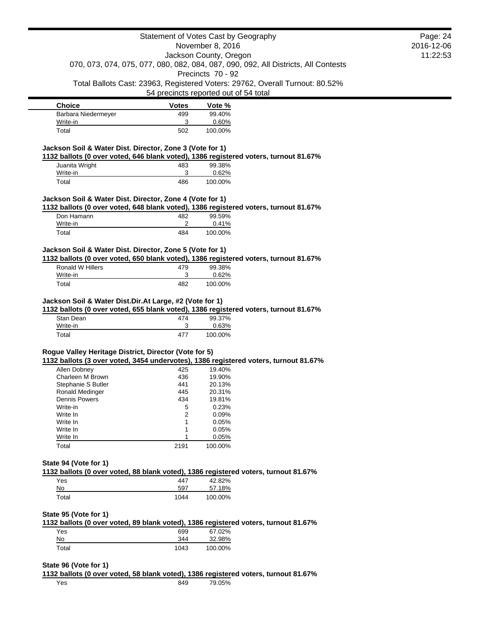|                                                                      |                | Statement of Votes Cast by Geography                                                           | Page: 24   |
|----------------------------------------------------------------------|----------------|------------------------------------------------------------------------------------------------|------------|
|                                                                      |                | November 8, 2016                                                                               | 2016-12-06 |
|                                                                      |                | Jackson County, Oregon                                                                         | 11:22:53   |
|                                                                      |                | 070, 073, 074, 075, 077, 080, 082, 084, 087, 090, 092, All Districts, All Contests             |            |
|                                                                      |                | Precincts 70 - 92                                                                              |            |
|                                                                      |                | Total Ballots Cast: 23963, Registered Voters: 29762, Overall Turnout: 80.52%                   |            |
|                                                                      |                | 54 precincts reported out of 54 total                                                          |            |
| <b>Choice</b>                                                        | <b>Votes</b>   | Vote %                                                                                         |            |
| Barbara Niedermeyer                                                  | 499            | 99.40%                                                                                         |            |
| Write-in                                                             | 3              | 0.60%                                                                                          |            |
| Total                                                                | 502            | 100.00%                                                                                        |            |
| Jackson Soil & Water Dist. Director, Zone 3 (Vote for 1)             |                |                                                                                                |            |
|                                                                      |                | 1132 ballots (0 over voted, 646 blank voted), 1386 registered voters, turnout 81.67%           |            |
| Juanita Wright<br>Write-in                                           | 483<br>3       | 99.38%<br>0.62%                                                                                |            |
| Total                                                                | 486            | 100.00%                                                                                        |            |
|                                                                      |                |                                                                                                |            |
| Jackson Soil & Water Dist. Director, Zone 4 (Vote for 1)             |                | 1132 ballots (0 over voted, 648 blank voted), 1386 registered voters, turnout 81.67%           |            |
| Don Hamann                                                           | 482            | 99.59%                                                                                         |            |
| Write-in                                                             | 2              | 0.41%                                                                                          |            |
| Total                                                                | 484            | 100.00%                                                                                        |            |
| Jackson Soil & Water Dist. Director, Zone 5 (Vote for 1)             |                |                                                                                                |            |
|                                                                      |                | 1132 ballots (0 over voted, 650 blank voted), 1386 registered voters, turnout 81.67%           |            |
| <b>Ronald W Hillers</b>                                              | 479            | 99.38%                                                                                         |            |
| Write-in                                                             | 3              | 0.62%                                                                                          |            |
|                                                                      |                |                                                                                                |            |
| Total                                                                | 482            | 100.00%                                                                                        |            |
| Jackson Soil & Water Dist.Dir.At Large, #2 (Vote for 1)<br>Stan Dean | 474            | 1132 ballots (0 over voted, 655 blank voted), 1386 registered voters, turnout 81.67%<br>99.37% |            |
| Write-in                                                             | 3              | 0.63%                                                                                          |            |
| Total                                                                | 477            | 100.00%                                                                                        |            |
|                                                                      |                |                                                                                                |            |
| Rogue Valley Heritage District, Director (Vote for 5)                |                |                                                                                                |            |
| Allen Dobney                                                         | 425            | 1132 ballots (3 over voted, 3454 undervotes), 1386 registered voters, turnout 81.67%<br>19.40% |            |
| Charleen M Brown                                                     | 436            | 19.90%                                                                                         |            |
| Stephanie S Butler                                                   | 441            | 20.13%                                                                                         |            |
| Ronald Medinger                                                      | 445            | 20.31%                                                                                         |            |
| <b>Dennis Powers</b>                                                 | 434            | 19.81%                                                                                         |            |
| Write-in                                                             | 5              | 0.23%                                                                                          |            |
| Write In                                                             | $\overline{2}$ | 0.09%                                                                                          |            |
| Write In                                                             | 1              | 0.05%                                                                                          |            |
| Write In                                                             | 1              | 0.05%                                                                                          |            |
| Write In                                                             | 1              | 0.05%                                                                                          |            |
| Total                                                                | 2191           | 100.00%                                                                                        |            |
|                                                                      |                |                                                                                                |            |
| State 94 (Vote for 1)                                                |                |                                                                                                |            |
|                                                                      |                | 1132 ballots (0 over voted, 88 blank voted), 1386 registered voters, turnout 81.67%            |            |
| Yes                                                                  | 447            | 42.82%                                                                                         |            |
| No                                                                   | 597            | 57.18%                                                                                         |            |
| Total                                                                | 1044           | 100.00%                                                                                        |            |
|                                                                      |                |                                                                                                |            |
| State 95 (Vote for 1)                                                |                | 1132 ballots (0 over voted, 89 blank voted), 1386 registered voters, turnout 81.67%            |            |
| Yes                                                                  | 699            | 67.02%                                                                                         |            |
| No                                                                   | 344            | 32.98%                                                                                         |            |

# **State 96 (Vote for 1)**

**1132 ballots (0 over voted, 58 blank voted), 1386 registered voters, turnout 81.67%** Yes 849 79.05%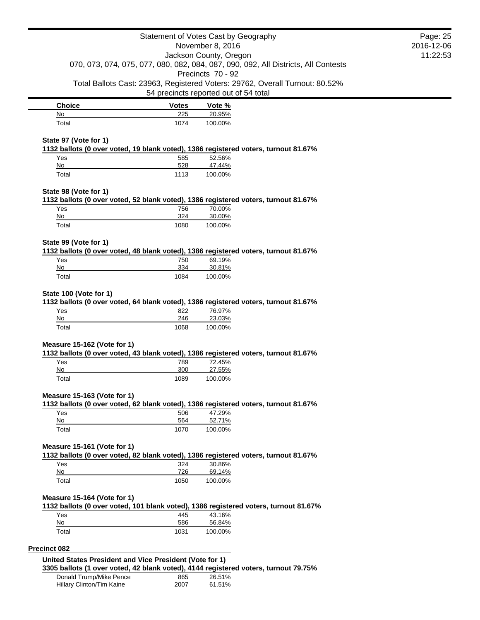|                                                         |                    | Statement of Votes Cast by Geography                                                                    | Page: 25   |
|---------------------------------------------------------|--------------------|---------------------------------------------------------------------------------------------------------|------------|
|                                                         |                    | November 8, 2016                                                                                        | 2016-12-06 |
|                                                         |                    | Jackson County, Oregon                                                                                  | 11:22:53   |
|                                                         |                    | 070, 073, 074, 075, 077, 080, 082, 084, 087, 090, 092, All Districts, All Contests<br>Precincts 70 - 92 |            |
|                                                         |                    | Total Ballots Cast: 23963, Registered Voters: 29762, Overall Turnout: 80.52%                            |            |
|                                                         |                    | 54 precincts reported out of 54 total                                                                   |            |
| <b>Choice</b>                                           | <b>Votes</b>       | Vote %                                                                                                  |            |
| No                                                      | 225                | 20.95%                                                                                                  |            |
| Total                                                   | 1074               | 100.00%                                                                                                 |            |
| State 97 (Vote for 1)                                   |                    |                                                                                                         |            |
|                                                         |                    | 1132 ballots (0 over voted, 19 blank voted), 1386 registered voters, turnout 81.67%                     |            |
| Yes                                                     | 585                | 52.56%                                                                                                  |            |
| No<br>Total                                             | 528<br>1113        | 47.44%<br>100.00%                                                                                       |            |
|                                                         |                    |                                                                                                         |            |
| State 98 (Vote for 1)                                   |                    |                                                                                                         |            |
|                                                         |                    | 1132 ballots (0 over voted, 52 blank voted), 1386 registered voters, turnout 81.67%                     |            |
| Yes<br>No                                               | 756<br>324         | 70.00%<br>30.00%                                                                                        |            |
| Total                                                   | 1080               | 100.00%                                                                                                 |            |
|                                                         |                    |                                                                                                         |            |
| State 99 (Vote for 1)                                   |                    | 1132 ballots (0 over voted, 48 blank voted), 1386 registered voters, turnout 81.67%                     |            |
| Yes                                                     | 750                | 69.19%                                                                                                  |            |
| No                                                      | 334                | 30.81%                                                                                                  |            |
| Total                                                   | 1084               | 100.00%                                                                                                 |            |
| Yes<br>No<br>Total                                      | 822<br>246<br>1068 | 76.97%<br>23.03%<br>100.00%                                                                             |            |
|                                                         |                    |                                                                                                         |            |
| Measure 15-162 (Vote for 1)                             |                    | 1132 ballots (0 over voted, 43 blank voted), 1386 registered voters, turnout 81.67%                     |            |
| Yes                                                     | 789                | 72.45%                                                                                                  |            |
| No                                                      | 300                | 27.55%                                                                                                  |            |
| Total                                                   | 1089               | 100.00%                                                                                                 |            |
| Measure 15-163 (Vote for 1)                             |                    |                                                                                                         |            |
|                                                         |                    | 1132 ballots (0 over voted, 62 blank voted), 1386 registered voters, turnout 81.67%                     |            |
| Yes<br>No                                               | 506<br>564         | 47.29%<br>52.71%                                                                                        |            |
| Total                                                   | 1070               | 100.00%                                                                                                 |            |
|                                                         |                    |                                                                                                         |            |
| Measure 15-161 (Vote for 1)                             |                    | 1132 ballots (0 over voted, 82 blank voted), 1386 registered voters, turnout 81.67%                     |            |
| Yes                                                     | 324                | 30.86%                                                                                                  |            |
| No                                                      | 726                | 69.14%                                                                                                  |            |
| Total                                                   | 1050               | 100.00%                                                                                                 |            |
| Measure 15-164 (Vote for 1)                             |                    |                                                                                                         |            |
|                                                         |                    | 1132 ballots (0 over voted, 101 blank voted), 1386 registered voters, turnout 81.67%                    |            |
| Yes                                                     | 445                | 43.16%                                                                                                  |            |
| No<br>Total                                             | 586                | 56.84%                                                                                                  |            |
|                                                         | 1031               | 100.00%                                                                                                 |            |
| Precinct 082                                            |                    |                                                                                                         |            |
| United States President and Vice President (Vote for 1) |                    |                                                                                                         |            |
| Donald Trump/Mike Pence                                 | 865                | 3305 ballots (1 over voted, 42 blank voted), 4144 registered voters, turnout 79.75%<br>26.51%           |            |
|                                                         |                    |                                                                                                         |            |

Hillary Clinton/Tim Kaine **2007** 61.51%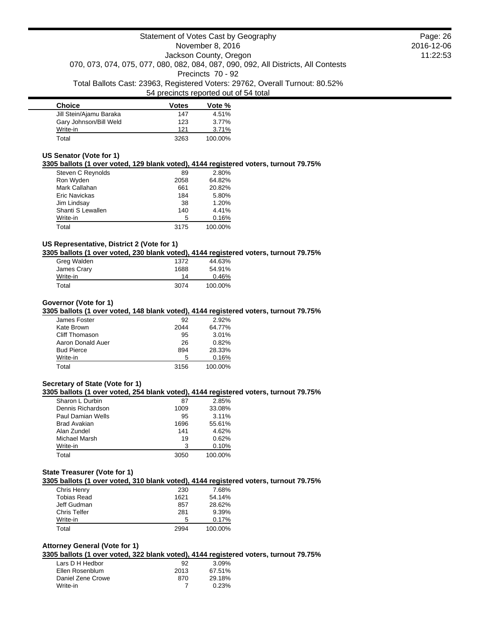| <b>Choice</b>           | <b>Votes</b> | Vote %  |
|-------------------------|--------------|---------|
| Jill Stein/Ajamu Baraka | 147          | 4.51%   |
| Gary Johnson/Bill Weld  | 123          | 3.77%   |
| Write-in                | 121          | 3.71%   |
| Total                   | 3263         | 100.00% |

## **US Senator (Vote for 1)**

**3305 ballots (1 over voted, 129 blank voted), 4144 registered voters, turnout 79.75%**

| Steven C Reynolds | 89   | 2.80%   |
|-------------------|------|---------|
| Ron Wyden         | 2058 | 64.82%  |
| Mark Callahan     | 661  | 20.82%  |
| Eric Navickas     | 184  | 5.80%   |
| Jim Lindsay       | 38   | 1.20%   |
| Shanti S Lewallen | 140  | 4.41%   |
| Write-in          | 5    | 0.16%   |
| Total             | 3175 | 100.00% |

# **US Representative, District 2 (Vote for 1)**

**3305 ballots (1 over voted, 230 blank voted), 4144 registered voters, turnout 79.75%**

| Greg Walden | 1372 | 44.63%  |
|-------------|------|---------|
| James Crary | 1688 | 54.91%  |
| Write-in    | 14   | 0.46%   |
| Total       | 3074 | 100.00% |

### **Governor (Vote for 1)**

**3305 ballots (1 over voted, 148 blank voted), 4144 registered voters, turnout 79.75%**

| James Foster      | 92   | $2.92\%$ |
|-------------------|------|----------|
| Kate Brown        | 2044 | 64.77%   |
| Cliff Thomason    | 95   | 3.01%    |
| Aaron Donald Auer | 26   | 0.82%    |
| <b>Bud Pierce</b> | 894  | 28.33%   |
| Write-in          | 5    | 0.16%    |
| Total             | 3156 | 100.00%  |

### **Secretary of State (Vote for 1)**

**3305 ballots (1 over voted, 254 blank voted), 4144 registered voters, turnout 79.75%**

| Sharon L Durbin   | 87   | 2.85%   |
|-------------------|------|---------|
| Dennis Richardson | 1009 | 33.08%  |
| Paul Damian Wells | 95   | 3.11%   |
| Brad Avakian      | 1696 | 55.61%  |
| Alan Zundel       | 141  | 4.62%   |
| Michael Marsh     | 19   | 0.62%   |
| Write-in          | з    | 0.10%   |
| Total             | 3050 | 100.00% |

# **State Treasurer (Vote for 1)**

**3305 ballots (1 over voted, 310 blank voted), 4144 registered voters, turnout 79.75%**

| Chris Henry         | 230  | 7.68%   |
|---------------------|------|---------|
| <b>Tobias Read</b>  | 1621 | 54.14%  |
| Jeff Gudman         | 857  | 28.62%  |
| <b>Chris Telfer</b> | 281  | 9.39%   |
| Write-in            | 5    | 0.17%   |
| Total               | 2994 | 100.00% |

# **Attorney General (Vote for 1)**

**3305 ballots (1 over voted, 322 blank voted), 4144 registered voters, turnout 79.75%**

| Lars D H Hedbor   | 92   | 3.09%  |
|-------------------|------|--------|
| Ellen Rosenblum   | 2013 | 67.51% |
| Daniel Zene Crowe | 870  | 29.18% |
| Write-in          |      | 0.23%  |
|                   |      |        |

Page: 26 2016-12-06 11:22:53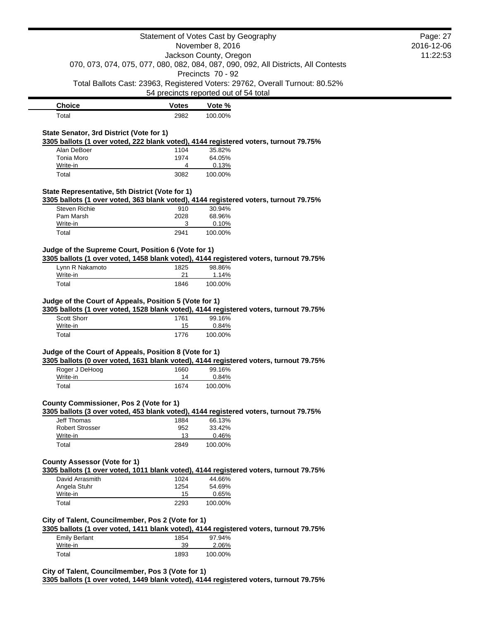|                                                                                                                                                                       |              | Statement of Votes Cast by Geography                                                                    |          | Page: 27   |
|-----------------------------------------------------------------------------------------------------------------------------------------------------------------------|--------------|---------------------------------------------------------------------------------------------------------|----------|------------|
|                                                                                                                                                                       |              | November 8, 2016                                                                                        |          | 2016-12-06 |
| Jackson County, Oregon                                                                                                                                                |              |                                                                                                         | 11:22:53 |            |
|                                                                                                                                                                       |              | 070, 073, 074, 075, 077, 080, 082, 084, 087, 090, 092, All Districts, All Contests<br>Precincts 70 - 92 |          |            |
|                                                                                                                                                                       |              | Total Ballots Cast: 23963, Registered Voters: 29762, Overall Turnout: 80.52%                            |          |            |
|                                                                                                                                                                       |              | 54 precincts reported out of 54 total                                                                   |          |            |
| <b>Choice</b>                                                                                                                                                         | <b>Votes</b> | Vote %                                                                                                  |          |            |
| Total                                                                                                                                                                 | 2982         | 100.00%                                                                                                 |          |            |
|                                                                                                                                                                       |              |                                                                                                         |          |            |
| State Senator, 3rd District (Vote for 1)<br>3305 ballots (1 over voted, 222 blank voted), 4144 registered voters, turnout 79.75%                                      |              |                                                                                                         |          |            |
| Alan DeBoer                                                                                                                                                           | 1104         | 35.82%                                                                                                  |          |            |
| Tonia Moro                                                                                                                                                            | 1974         | 64.05%                                                                                                  |          |            |
| Write-in                                                                                                                                                              | 4            | 0.13%                                                                                                   |          |            |
| Total                                                                                                                                                                 | 3082         | 100.00%                                                                                                 |          |            |
| State Representative, 5th District (Vote for 1)                                                                                                                       |              |                                                                                                         |          |            |
| 3305 ballots (1 over voted, 363 blank voted), 4144 registered voters, turnout 79.75%                                                                                  |              |                                                                                                         |          |            |
| <b>Steven Richie</b>                                                                                                                                                  | 910          | 30.94%                                                                                                  |          |            |
| Pam Marsh                                                                                                                                                             | 2028         | 68.96%                                                                                                  |          |            |
| Write-in<br>Total                                                                                                                                                     | 3            | 0.10%<br>100.00%                                                                                        |          |            |
|                                                                                                                                                                       | 2941         |                                                                                                         |          |            |
| Judge of the Supreme Court, Position 6 (Vote for 1)                                                                                                                   |              |                                                                                                         |          |            |
| 3305 ballots (1 over voted, 1458 blank voted), 4144 registered voters, turnout 79.75%                                                                                 |              |                                                                                                         |          |            |
| Lynn R Nakamoto                                                                                                                                                       | 1825         | 98.86%                                                                                                  |          |            |
| Write-in                                                                                                                                                              | 21           | 1.14%                                                                                                   |          |            |
| Total                                                                                                                                                                 | 1846         | 100.00%                                                                                                 |          |            |
| Judge of the Court of Appeals, Position 5 (Vote for 1)<br>3305 ballots (1 over voted, 1528 blank voted), 4144 registered voters, turnout 79.75%<br><b>Scott Shorr</b> | 1761         | 99.16%                                                                                                  |          |            |
| Write-in                                                                                                                                                              | 15           | 0.84%                                                                                                   |          |            |
| Total                                                                                                                                                                 | 1776         | 100.00%                                                                                                 |          |            |
| Judge of the Court of Appeals, Position 8 (Vote for 1)                                                                                                                |              |                                                                                                         |          |            |
| 3305 ballots (0 over voted, 1631 blank voted), 4144 registered voters, turnout 79.75%                                                                                 |              |                                                                                                         |          |            |
| Roger J DeHoog                                                                                                                                                        | 1660         | 99.16%                                                                                                  |          |            |
| Write-in                                                                                                                                                              | 14           | 0.84%                                                                                                   |          |            |
| Total                                                                                                                                                                 | 1674         | 100.00%                                                                                                 |          |            |
| County Commissioner, Pos 2 (Vote for 1)                                                                                                                               |              |                                                                                                         |          |            |
| 3305 ballots (3 over voted, 453 blank voted), 4144 registered voters, turnout 79.75%                                                                                  |              |                                                                                                         |          |            |
| Jeff Thomas                                                                                                                                                           | 1884         | 66.13%                                                                                                  |          |            |
| <b>Robert Strosser</b>                                                                                                                                                | 952          | 33.42%                                                                                                  |          |            |
| Write-in                                                                                                                                                              | 13           | 0.46%                                                                                                   |          |            |
| Total                                                                                                                                                                 | 2849         | 100.00%                                                                                                 |          |            |
| <b>County Assessor (Vote for 1)</b><br>3305 ballots (1 over voted, 1011 blank voted), 4144 registered voters, turnout 79.75%                                          |              |                                                                                                         |          |            |
| David Arrasmith                                                                                                                                                       | 1024         | 44.66%                                                                                                  |          |            |
| Angela Stuhr                                                                                                                                                          | 1254         | 54.69%                                                                                                  |          |            |
| Write-in                                                                                                                                                              | 15           | 0.65%                                                                                                   |          |            |
| Total                                                                                                                                                                 | 2293         | 100.00%                                                                                                 |          |            |
| City of Talent, Councilmember, Pos 2 (Vote for 1)<br>3305 ballots (1 over voted, 1411 blank voted), 4144 registered voters, turnout 79.75%                            |              |                                                                                                         |          |            |
| <b>Emily Berlant</b>                                                                                                                                                  | 1854         | 97.94%                                                                                                  |          |            |
|                                                                                                                                                                       |              |                                                                                                         |          |            |
| Write-in                                                                                                                                                              | 39           | 2.06%                                                                                                   |          |            |

**3305 ballots (1 over voted, 1449 blank voted), 4144 registered voters, turnout 79.75%**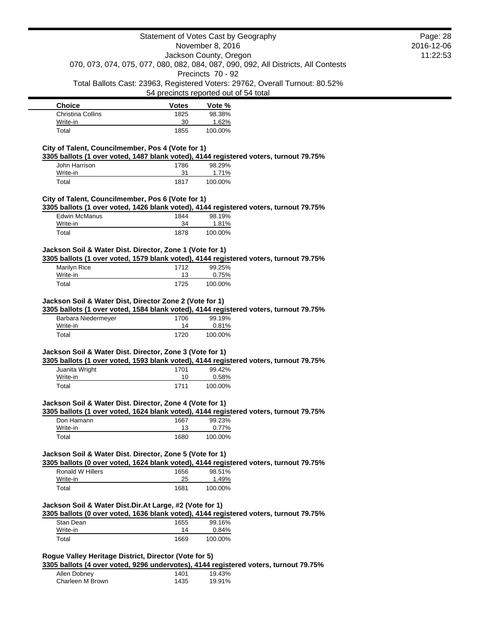|                                                                                                                                                   | Statement of Votes Cast by Geography                                                                         |                                       |                                                                              | Page: 28   |
|---------------------------------------------------------------------------------------------------------------------------------------------------|--------------------------------------------------------------------------------------------------------------|---------------------------------------|------------------------------------------------------------------------------|------------|
|                                                                                                                                                   |                                                                                                              | November 8, 2016                      |                                                                              | 2016-12-06 |
|                                                                                                                                                   | Jackson County, Oregon<br>070, 073, 074, 075, 077, 080, 082, 084, 087, 090, 092, All Districts, All Contests |                                       | 11:22:53                                                                     |            |
|                                                                                                                                                   |                                                                                                              | Precincts 70 - 92                     |                                                                              |            |
|                                                                                                                                                   |                                                                                                              |                                       | Total Ballots Cast: 23963, Registered Voters: 29762, Overall Turnout: 80.52% |            |
|                                                                                                                                                   |                                                                                                              | 54 precincts reported out of 54 total |                                                                              |            |
| <b>Choice</b>                                                                                                                                     | <b>Votes</b>                                                                                                 | Vote %                                |                                                                              |            |
| <b>Christina Collins</b>                                                                                                                          | 1825                                                                                                         | 98.38%                                |                                                                              |            |
| Write-in                                                                                                                                          | 30                                                                                                           | 1.62%                                 |                                                                              |            |
| Total                                                                                                                                             | 1855                                                                                                         | 100.00%                               |                                                                              |            |
| City of Talent, Councilmember, Pos 4 (Vote for 1)                                                                                                 |                                                                                                              |                                       |                                                                              |            |
| 3305 ballots (1 over voted, 1487 blank voted), 4144 registered voters, turnout 79.75%                                                             |                                                                                                              |                                       |                                                                              |            |
| John Harrison<br>Write-in                                                                                                                         | 1786<br>31                                                                                                   | 98.29%<br>1.71%                       |                                                                              |            |
| Total                                                                                                                                             | 1817                                                                                                         | 100.00%                               |                                                                              |            |
|                                                                                                                                                   |                                                                                                              |                                       |                                                                              |            |
| City of Talent, Councilmember, Pos 6 (Vote for 1)                                                                                                 |                                                                                                              |                                       |                                                                              |            |
| 3305 ballots (1 over voted, 1426 blank voted), 4144 registered voters, turnout 79.75%<br><b>Edwin McManus</b>                                     | 1844                                                                                                         | 98.19%                                |                                                                              |            |
| Write-in                                                                                                                                          | 34                                                                                                           | 1.81%                                 |                                                                              |            |
| Total                                                                                                                                             | 1878                                                                                                         | 100.00%                               |                                                                              |            |
|                                                                                                                                                   |                                                                                                              |                                       |                                                                              |            |
| Jackson Soil & Water Dist. Director, Zone 1 (Vote for 1)<br>3305 ballots (1 over voted, 1579 blank voted), 4144 registered voters, turnout 79.75% |                                                                                                              |                                       |                                                                              |            |
| Marilyn Rice                                                                                                                                      | 1712                                                                                                         | 99.25%                                |                                                                              |            |
| Write-in                                                                                                                                          | 13                                                                                                           | 0.75%                                 |                                                                              |            |
| Total                                                                                                                                             | 1725                                                                                                         | 100.00%                               |                                                                              |            |
| 3305 ballots (1 over voted, 1584 blank voted), 4144 registered voters, turnout 79.75%<br>Barbara Niedermeyer<br>Write-in                          | 1706<br>14                                                                                                   | 99.19%<br>0.81%                       |                                                                              |            |
| Total                                                                                                                                             | 1720                                                                                                         | 100.00%                               |                                                                              |            |
|                                                                                                                                                   |                                                                                                              |                                       |                                                                              |            |
| Jackson Soil & Water Dist. Director, Zone 3 (Vote for 1)                                                                                          |                                                                                                              |                                       |                                                                              |            |
| 3305 ballots (1 over voted, 1593 blank voted), 4144 registered voters, turnout 79.75%<br>Juanita Wright                                           | 1701                                                                                                         | 99.42%                                |                                                                              |            |
| Write-in                                                                                                                                          | 10                                                                                                           | 0.58%                                 |                                                                              |            |
| Total                                                                                                                                             | 1711                                                                                                         | 100.00%                               |                                                                              |            |
| Jackson Soil & Water Dist. Director, Zone 4 (Vote for 1)                                                                                          |                                                                                                              |                                       |                                                                              |            |
| 3305 ballots (1 over voted, 1624 blank voted), 4144 registered voters, turnout 79.75%                                                             |                                                                                                              |                                       |                                                                              |            |
| Don Hamann                                                                                                                                        | 1667                                                                                                         | 99.23%                                |                                                                              |            |
| Write-in                                                                                                                                          | 13                                                                                                           | 0.77%                                 |                                                                              |            |
| Total                                                                                                                                             | 1680                                                                                                         | 100.00%                               |                                                                              |            |
| Jackson Soil & Water Dist. Director, Zone 5 (Vote for 1)                                                                                          |                                                                                                              |                                       |                                                                              |            |
| 3305 ballots (0 over voted, 1624 blank voted), 4144 registered voters, turnout 79.75%                                                             |                                                                                                              |                                       |                                                                              |            |
| Ronald W Hillers                                                                                                                                  | 1656                                                                                                         | 98.51%                                |                                                                              |            |
| Write-in<br>Total                                                                                                                                 | 25<br>1681                                                                                                   | 1.49%                                 |                                                                              |            |
|                                                                                                                                                   |                                                                                                              | 100.00%                               |                                                                              |            |
| Jackson Soil & Water Dist.Dir.At Large, #2 (Vote for 1)                                                                                           |                                                                                                              |                                       |                                                                              |            |
| 3305 ballots (0 over voted, 1636 blank voted), 4144 registered voters, turnout 79.75%                                                             |                                                                                                              |                                       |                                                                              |            |
| Stan Dean                                                                                                                                         | 1655                                                                                                         | 99.16%                                |                                                                              |            |
| Write-in<br>Total                                                                                                                                 | 14<br>1669                                                                                                   | 0.84%<br>100.00%                      |                                                                              |            |
|                                                                                                                                                   |                                                                                                              |                                       |                                                                              |            |
| Rogue Valley Heritage District, Director (Vote for 5)                                                                                             |                                                                                                              |                                       |                                                                              |            |
| 3305 ballots (4 over voted, 9296 undervotes), 4144 registered voters, turnout 79.75%                                                              |                                                                                                              |                                       |                                                                              |            |
|                                                                                                                                                   |                                                                                                              |                                       |                                                                              |            |
| Allen Dobney                                                                                                                                      | 1401                                                                                                         | 19.43%                                |                                                                              |            |
| Charleen M Brown                                                                                                                                  | 1435                                                                                                         | 19.91%                                |                                                                              |            |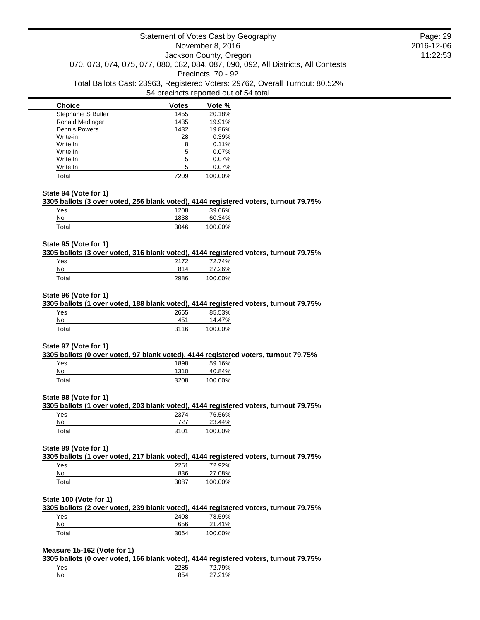| <b>Choice</b>          | <b>Votes</b> | Vote %  |
|------------------------|--------------|---------|
| Stephanie S Butler     | 1455         | 20.18%  |
| <b>Ronald Medinger</b> | 1435         | 19.91%  |
| <b>Dennis Powers</b>   | 1432         | 19.86%  |
| Write-in               | 28           | 0.39%   |
| Write In               | 8            | 0.11%   |
| Write In               | 5            | 0.07%   |
| Write In               | 5            | 0.07%   |
| Write In               | 5            | 0.07%   |
| Total                  | 7209         | 100.00% |

### **State 94 (Vote for 1)**

### **3305 ballots (3 over voted, 256 blank voted), 4144 registered voters, turnout 79.75%**

| Yes   | 1208 | 39.66%  |
|-------|------|---------|
| No    | 1838 | 60.34%  |
| Total | 3046 | 100.00% |

### **State 95 (Vote for 1)**

## **3305 ballots (3 over voted, 316 blank voted), 4144 registered voters, turnout 79.75%**

| Yes   | 2172 | 72.74%  |
|-------|------|---------|
| No    | 814  | 27.26%  |
| Total | 2986 | 100.00% |

#### **State 96 (Vote for 1)**

#### **3305 ballots (1 over voted, 188 blank voted), 4144 registered voters, turnout 79.75%**

| Yes   | 2665 | 85.53%  |
|-------|------|---------|
| No    | 451  | 14.47%  |
| Total | 3116 | 100.00% |

### **State 97 (Vote for 1)**

#### **3305 ballots (0 over voted, 97 blank voted), 4144 registered voters, turnout 79.75%**

| Yes   | 1898 | 59.16%  |
|-------|------|---------|
| No    | 1310 | 40.84%  |
| Total | 3208 | 100.00% |

#### **State 98 (Vote for 1)**

# **3305 ballots (1 over voted, 203 blank voted), 4144 registered voters, turnout 79.75%** Yes 2374 76.56%

| No          | 727  | 23.44%  |
|-------------|------|---------|
| $\tau$ otal | 3101 | 100.00% |

#### **State 99 (Vote for 1)**

**3305 ballots (1 over voted, 217 blank voted), 4144 registered voters, turnout 79.75%**

| Yes   | 2251 | 72.92%  |
|-------|------|---------|
| No    | 836  | 27.08%  |
| Total | 3087 | 100.00% |

### **State 100 (Vote for 1)**

|     | 3305 ballots (2 over voted, 239 blank voted), 4144 registered voters, turnout 79.75% |       |         |  |
|-----|--------------------------------------------------------------------------------------|-------|---------|--|
| Yes |                                                                                      | 2408. | 78.59%  |  |
|     |                                                                                      |       | 24.440/ |  |

| No    | 656  | 21.41%  |
|-------|------|---------|
| Total | 3064 | 100.00% |

# **Measure 15-162 (Vote for 1)**

**3305 ballots (0 over voted, 166 blank voted), 4144 registered voters, turnout 79.75%**

| Yes | 2285 | 72.79% |
|-----|------|--------|
| No. | 854  | 27.21% |

Page: 29 2016-12-06 11:22:53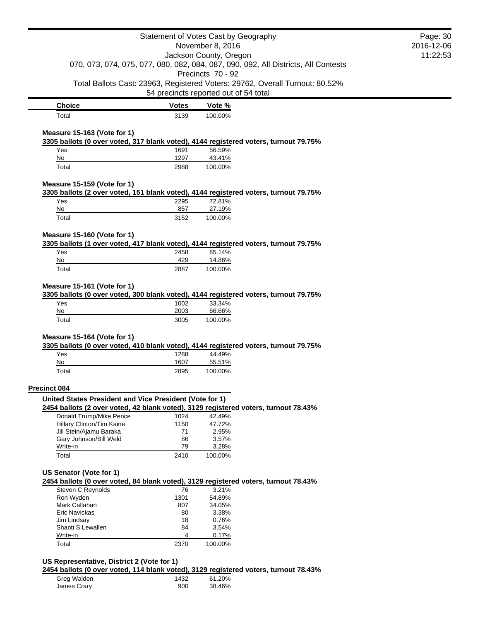|                                                                         |              | Statement of Votes Cast by Geography<br>November 8, 2016                                                              | Page: 30<br>2016-12-06 |
|-------------------------------------------------------------------------|--------------|-----------------------------------------------------------------------------------------------------------------------|------------------------|
| Jackson County, Oregon                                                  |              |                                                                                                                       | 11:22:53               |
|                                                                         |              | 070, 073, 074, 075, 077, 080, 082, 084, 087, 090, 092, All Districts, All Contests                                    |                        |
|                                                                         |              | Precincts 70 - 92                                                                                                     |                        |
|                                                                         |              | Total Ballots Cast: 23963, Registered Voters: 29762, Overall Turnout: 80.52%<br>54 precincts reported out of 54 total |                        |
| <b>Choice</b>                                                           | <b>Votes</b> | Vote %                                                                                                                |                        |
| Total                                                                   | 3139         | 100.00%                                                                                                               |                        |
| Measure 15-163 (Vote for 1)                                             |              |                                                                                                                       |                        |
|                                                                         |              | 3305 ballots (0 over voted, 317 blank voted), 4144 registered voters, turnout 79.75%                                  |                        |
| Yes                                                                     | 1691         | 56.59%                                                                                                                |                        |
| No                                                                      | 1297         | 43.41%                                                                                                                |                        |
| Total                                                                   | 2988         | 100.00%                                                                                                               |                        |
| Measure 15-159 (Vote for 1)                                             |              | 3305 ballots (2 over voted, 151 blank voted), 4144 registered voters, turnout 79.75%                                  |                        |
| Yes                                                                     | 2295         | 72.81%                                                                                                                |                        |
| No                                                                      | 857          | 27.19%                                                                                                                |                        |
| Total                                                                   | 3152         | 100.00%                                                                                                               |                        |
| Measure 15-160 (Vote for 1)                                             |              |                                                                                                                       |                        |
|                                                                         |              | 3305 ballots (1 over voted, 417 blank voted), 4144 registered voters, turnout 79.75%                                  |                        |
| Yes                                                                     | 2458         | 85.14%                                                                                                                |                        |
| No<br>Total                                                             | 429<br>2887  | 14.86%<br>100.00%                                                                                                     |                        |
|                                                                         |              |                                                                                                                       |                        |
| Measure 15-161 (Vote for 1)                                             |              |                                                                                                                       |                        |
|                                                                         |              |                                                                                                                       |                        |
|                                                                         |              | 3305 ballots (0 over voted, 300 blank voted), 4144 registered voters, turnout 79.75%                                  |                        |
| Yes                                                                     | 1002         | 33.34%                                                                                                                |                        |
| No                                                                      | 2003         | 66.66%                                                                                                                |                        |
| Total                                                                   | 3005         | 100.00%                                                                                                               |                        |
|                                                                         |              |                                                                                                                       |                        |
| Measure 15-164 (Vote for 1)                                             |              | 3305 ballots (0 over voted, 410 blank voted), 4144 registered voters, turnout 79.75%                                  |                        |
| Yes<br>No                                                               | 1288<br>1607 | 44.49%                                                                                                                |                        |
| Total                                                                   | 2895         | 55.51%<br>100.00%                                                                                                     |                        |
|                                                                         |              |                                                                                                                       |                        |
|                                                                         |              |                                                                                                                       |                        |
| Precinct 084<br>United States President and Vice President (Vote for 1) |              | 2454 ballots (2 over voted, 42 blank voted), 3129 registered voters, turnout 78.43%                                   |                        |
| Donald Trump/Mike Pence                                                 | 1024         | 42.49%                                                                                                                |                        |
| Hillary Clinton/Tim Kaine                                               | 1150         | 47.72%                                                                                                                |                        |
| Jill Stein/Ajamu Baraka                                                 | 71           | 2.95%                                                                                                                 |                        |
| Gary Johnson/Bill Weld<br>Write-in                                      | 86<br>79     | 3.57%                                                                                                                 |                        |
| Total                                                                   | 2410         | 3.28%<br>100.00%                                                                                                      |                        |
|                                                                         |              |                                                                                                                       |                        |
|                                                                         |              | 2454 ballots (0 over voted, 84 blank voted), 3129 registered voters, turnout 78.43%                                   |                        |
| Steven C Reynolds                                                       | 76           | 3.21%                                                                                                                 |                        |
| Ron Wyden                                                               | 1301         | 54.89%                                                                                                                |                        |
| Mark Callahan                                                           | 807          | 34.05%                                                                                                                |                        |
| Eric Navickas                                                           | 80           | 3.38%                                                                                                                 |                        |
| Jim Lindsay                                                             | 18           | 0.76%                                                                                                                 |                        |
| Shanti S Lewallen                                                       | 84           | 3.54%                                                                                                                 |                        |
| US Senator (Vote for 1)<br>Write-in<br>Total                            | 4<br>2370    | 0.17%<br>100.00%                                                                                                      |                        |

Greg Walden 1432 61.20% James Crary 300 38.46%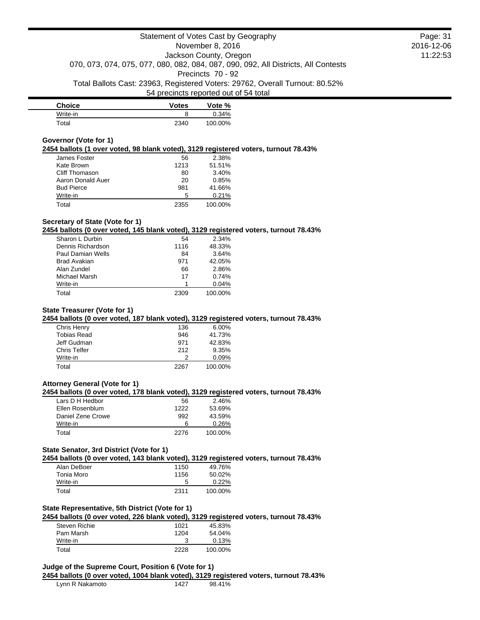| <b>Choice</b> | Votes | Vote %  |
|---------------|-------|---------|
| Write-in      |       | 0.34%   |
| Total         | 2340  | 100.00% |

#### **Governor (Vote for 1)**

**2454 ballots (1 over voted, 98 blank voted), 3129 registered voters, turnout 78.43%**

| James Foster      | 56   | 2.38%   |
|-------------------|------|---------|
| Kate Brown        | 1213 | 51.51%  |
| Cliff Thomason    | 80   | 3.40%   |
| Aaron Donald Auer | 20   | 0.85%   |
| <b>Bud Pierce</b> | 981  | 41.66%  |
| Write-in          | 5    | 0.21%   |
| Total             | 2355 | 100.00% |

# **Secretary of State (Vote for 1)**

**2454 ballots (0 over voted, 145 blank voted), 3129 registered voters, turnout 78.43%**

| Sharon L Durbin   | 54   | 2.34%   |
|-------------------|------|---------|
| Dennis Richardson | 1116 | 48.33%  |
| Paul Damian Wells | 84   | 3.64%   |
| Brad Avakian      | 971  | 42.05%  |
| Alan Zundel       | 66   | 2.86%   |
| Michael Marsh     | 17   | 0.74%   |
| Write-in          |      | 0.04%   |
| Total             | 2309 | 100.00% |

# **State Treasurer (Vote for 1)**

**2454 ballots (0 over voted, 187 blank voted), 3129 registered voters, turnout 78.43%**

| 136  | $6.00\%$ |
|------|----------|
| 946  | 41.73%   |
| 971  | 42.83%   |
| 212  | 9.35%    |
|      | 0.09%    |
| 2267 | 100.00%  |
|      |          |

### **Attorney General (Vote for 1)**

**2454 ballots (0 over voted, 178 blank voted), 3129 registered voters, turnout 78.43%**

| Lars D H Hedbor   | 56   | 2.46%   |
|-------------------|------|---------|
| Ellen Rosenblum   | 1222 | 53.69%  |
| Daniel Zene Crowe | 992  | 43.59%  |
| Write-in          | 6    | 0.26%   |
| Total             | 2276 | 100.00% |

# **State Senator, 3rd District (Vote for 1)**

**2454 ballots (0 over voted, 143 blank voted), 3129 registered voters, turnout 78.43%**

| Alan DeBoer | 1150 | 49.76%  |
|-------------|------|---------|
| Tonia Moro  | 1156 | 50.02%  |
| Write-in    | 5    | 0.22%   |
| Total       | 2311 | 100.00% |

### **State Representative, 5th District (Vote for 1)**

**2454 ballots (0 over voted, 226 blank voted), 3129 registered voters, turnout 78.43%**

| Steven Richie | 1021 | 45.83%  |
|---------------|------|---------|
| Pam Marsh     | 1204 | 54.04%  |
| Write-in      |      | 0.13%   |
| Total         | 2228 | 100.00% |

# **Judge of the Supreme Court, Position 6 (Vote for 1)**

**2454 ballots (0 over voted, 1004 blank voted), 3129 registered voters, turnout 78.43%**

|  | Lynn R Nakamoto | 1427 | 98.41% |  |
|--|-----------------|------|--------|--|
|--|-----------------|------|--------|--|

Page: 31 2016-12-06 11:22:53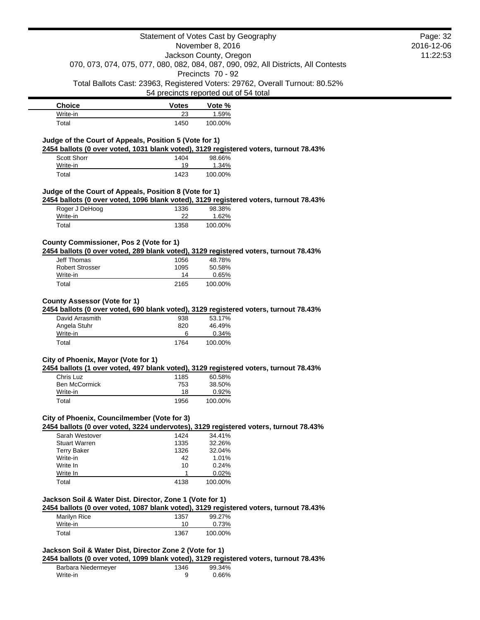|                                                          |              | Statement of Votes Cast by Geography                                                                                  |            | Page: 32 |
|----------------------------------------------------------|--------------|-----------------------------------------------------------------------------------------------------------------------|------------|----------|
|                                                          |              | November 8, 2016                                                                                                      | 2016-12-06 |          |
|                                                          |              | Jackson County, Oregon                                                                                                |            | 11:22:53 |
|                                                          |              | 070, 073, 074, 075, 077, 080, 082, 084, 087, 090, 092, All Districts, All Contests                                    |            |          |
|                                                          |              | Precincts 70 - 92                                                                                                     |            |          |
|                                                          |              | Total Ballots Cast: 23963, Registered Voters: 29762, Overall Turnout: 80.52%<br>54 precincts reported out of 54 total |            |          |
|                                                          |              |                                                                                                                       |            |          |
| <b>Choice</b>                                            | <b>Votes</b> | Vote %                                                                                                                |            |          |
| Write-in<br>Total                                        | 23<br>1450   | 1.59%<br>100.00%                                                                                                      |            |          |
|                                                          |              |                                                                                                                       |            |          |
| Judge of the Court of Appeals, Position 5 (Vote for 1)   |              |                                                                                                                       |            |          |
|                                                          |              | 2454 ballots (0 over voted, 1031 blank voted), 3129 registered voters, turnout 78.43%                                 |            |          |
| Scott Shorr<br>Write-in                                  | 1404<br>19   | 98.66%<br>1.34%                                                                                                       |            |          |
| Total                                                    | 1423         | 100.00%                                                                                                               |            |          |
|                                                          |              |                                                                                                                       |            |          |
| Judge of the Court of Appeals, Position 8 (Vote for 1)   |              |                                                                                                                       |            |          |
|                                                          |              | 2454 ballots (0 over voted, 1096 blank voted), 3129 registered voters, turnout 78.43%                                 |            |          |
| Roger J DeHoog                                           | 1336         | 98.38%                                                                                                                |            |          |
| Write-in<br>Total                                        | 22<br>1358   | 1.62%<br>100.00%                                                                                                      |            |          |
|                                                          |              |                                                                                                                       |            |          |
| County Commissioner, Pos 2 (Vote for 1)                  |              |                                                                                                                       |            |          |
|                                                          |              | 2454 ballots (0 over voted, 289 blank voted), 3129 registered voters, turnout 78.43%                                  |            |          |
| Jeff Thomas                                              | 1056         | 48.78%                                                                                                                |            |          |
| <b>Robert Strosser</b>                                   | 1095         | 50.58%                                                                                                                |            |          |
| Write-in                                                 | 14           | 0.65%                                                                                                                 |            |          |
| Total                                                    | 2165         | 100.00%                                                                                                               |            |          |
|                                                          |              |                                                                                                                       |            |          |
|                                                          |              |                                                                                                                       |            |          |
| <b>County Assessor (Vote for 1)</b>                      |              |                                                                                                                       |            |          |
|                                                          |              | 2454 ballots (0 over voted, 690 blank voted), 3129 registered voters, turnout 78.43%                                  |            |          |
| David Arrasmith<br>Angela Stuhr                          | 938<br>820   | 53.17%<br>46.49%                                                                                                      |            |          |
| Write-in                                                 | 6            | 0.34%                                                                                                                 |            |          |
| Total                                                    | 1764         | 100.00%                                                                                                               |            |          |
|                                                          |              |                                                                                                                       |            |          |
| City of Phoenix, Mayor (Vote for 1)                      |              |                                                                                                                       |            |          |
|                                                          |              | 2454 ballots (1 over voted, 497 blank voted), 3129 registered voters, turnout 78.43%                                  |            |          |
| Chris Luz<br>Ben McCormick                               | 1185         | 60.58%                                                                                                                |            |          |
| Write-in                                                 | 753<br>18    | 38.50%<br>0.92%                                                                                                       |            |          |
| Total                                                    | 1956         | 100.00%                                                                                                               |            |          |
|                                                          |              |                                                                                                                       |            |          |
| City of Phoenix, Councilmember (Vote for 3)              |              |                                                                                                                       |            |          |
|                                                          |              | 2454 ballots (0 over voted, 3224 undervotes), 3129 registered voters, turnout 78.43%                                  |            |          |
| Sarah Westover                                           | 1424         | 34.41%                                                                                                                |            |          |
| <b>Stuart Warren</b><br><b>Terry Baker</b>               | 1335<br>1326 | 32.26%<br>32.04%                                                                                                      |            |          |
| Write-in                                                 | 42           | 1.01%                                                                                                                 |            |          |
| Write In                                                 | 10           | 0.24%                                                                                                                 |            |          |
| Write In                                                 | 1            | 0.02%                                                                                                                 |            |          |
| Total                                                    | 4138         | 100.00%                                                                                                               |            |          |
|                                                          |              |                                                                                                                       |            |          |
| Jackson Soil & Water Dist. Director, Zone 1 (Vote for 1) |              |                                                                                                                       |            |          |
|                                                          |              | 2454 ballots (0 over voted, 1087 blank voted), 3129 registered voters, turnout 78.43%                                 |            |          |
| Marilyn Rice<br>Write-in                                 | 1357<br>10   | 99.27%<br>0.73%                                                                                                       |            |          |
| Total                                                    | 1367         | 100.00%                                                                                                               |            |          |

| Barbara Niedermeyer | 1346 | 99.34% |
|---------------------|------|--------|
| Write-in            |      | 0.66%  |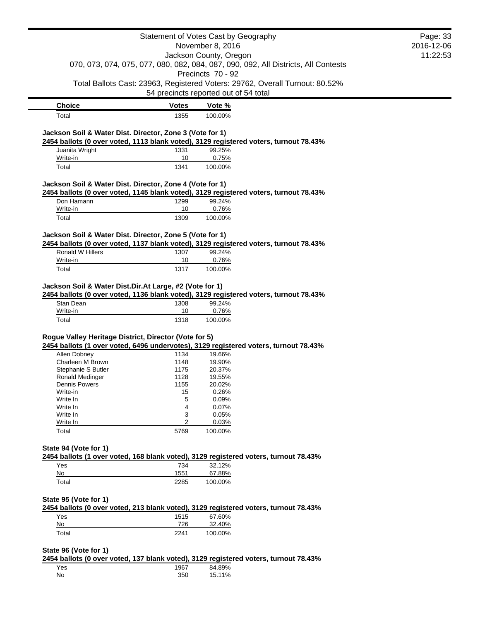|                                                          |              | Statement of Votes Cast by Geography                                                  | Page: 33   |
|----------------------------------------------------------|--------------|---------------------------------------------------------------------------------------|------------|
|                                                          |              | November 8, 2016                                                                      | 2016-12-06 |
|                                                          |              | Jackson County, Oregon                                                                | 11:22:53   |
|                                                          |              | 070, 073, 074, 075, 077, 080, 082, 084, 087, 090, 092, All Districts, All Contests    |            |
|                                                          |              | Precincts 70 - 92                                                                     |            |
|                                                          |              | Total Ballots Cast: 23963, Registered Voters: 29762, Overall Turnout: 80.52%          |            |
|                                                          |              | 54 precincts reported out of 54 total                                                 |            |
| <b>Choice</b>                                            | <b>Votes</b> | Vote %                                                                                |            |
| Total                                                    | 1355         | 100.00%                                                                               |            |
| Jackson Soil & Water Dist. Director, Zone 3 (Vote for 1) |              | 2454 ballots (0 over voted, 1113 blank voted), 3129 registered voters, turnout 78.43% |            |
| Juanita Wright                                           | 1331         | 99.25%                                                                                |            |
| Write-in                                                 | 10           | 0.75%                                                                                 |            |
| Total                                                    | 1341         | 100.00%                                                                               |            |
| Jackson Soil & Water Dist. Director, Zone 4 (Vote for 1) |              |                                                                                       |            |
|                                                          |              | 2454 ballots (0 over voted, 1145 blank voted), 3129 registered voters, turnout 78.43% |            |
| Don Hamann                                               | 1299         | 99.24%                                                                                |            |
| Write-in                                                 | 10           | 0.76%                                                                                 |            |
| Total                                                    | 1309         | 100.00%                                                                               |            |
| Jackson Soil & Water Dist. Director, Zone 5 (Vote for 1) |              |                                                                                       |            |
|                                                          |              | 2454 ballots (0 over voted, 1137 blank voted), 3129 registered voters, turnout 78.43% |            |
| Ronald W Hillers                                         | 1307         | 99.24%                                                                                |            |
| Write-in<br>Total                                        | 10<br>1317   | 0.76%<br>100.00%                                                                      |            |
|                                                          |              |                                                                                       |            |
| Write-in<br>Total                                        | 10<br>1318   | 0.76%<br>100.00%                                                                      |            |
| Rogue Valley Heritage District, Director (Vote for 5)    |              |                                                                                       |            |
|                                                          |              | 2454 ballots (1 over voted, 6496 undervotes), 3129 registered voters, turnout 78.43%  |            |
| Allen Dobney                                             | 1134         | 19.66%                                                                                |            |
| Charleen M Brown                                         | 1148         | 19.90%                                                                                |            |
| Stephanie S Butler                                       | 1175         | 20.37%                                                                                |            |
| Ronald Medinger                                          | 1128         | 19.55%                                                                                |            |
| <b>Dennis Powers</b>                                     | 1155         | 20.02%                                                                                |            |
| Write-in                                                 | 15           | 0.26%                                                                                 |            |
| Write In                                                 | 5            | 0.09%                                                                                 |            |
| Write In                                                 | 4            | 0.07%                                                                                 |            |
| Write In                                                 | 3            | 0.05%                                                                                 |            |
| Write In<br>Total                                        | 2<br>5769    | 0.03%<br>100.00%                                                                      |            |
|                                                          |              |                                                                                       |            |
| State 94 (Vote for 1)                                    |              | 2454 ballots (1 over voted, 168 blank voted), 3129 registered voters, turnout 78.43%  |            |
| Yes                                                      | 734          | 32.12%                                                                                |            |
| No                                                       | 1551         | 67.88%                                                                                |            |
| Total                                                    | 2285         | 100.00%                                                                               |            |
|                                                          |              |                                                                                       |            |
| State 95 (Vote for 1)                                    |              |                                                                                       |            |
|                                                          |              | 2454 ballots (0 over voted, 213 blank voted), 3129 registered voters, turnout 78.43%  |            |
| Yes                                                      | 1515         | 67.60%                                                                                |            |
| No                                                       | 726          | 32.40%                                                                                |            |
| Total                                                    | 2241         | 100.00%                                                                               |            |
| State 96 (Vote for 1)                                    |              |                                                                                       |            |
|                                                          |              | 2454 ballots (0 over voted, 137 blank voted), 3129 registered voters, turnout 78.43%  |            |
| Yes                                                      | 1967         | 84.89%                                                                                |            |
| No                                                       | 350          | 15.11%                                                                                |            |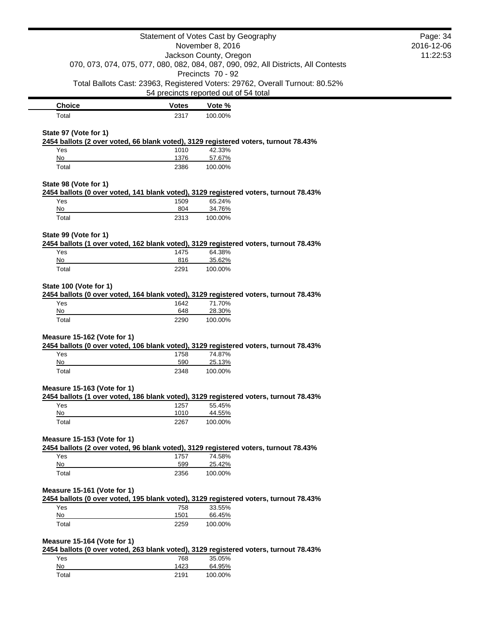|                             |              | Statement of Votes Cast by Geography                                                                    | Page: 34   |
|-----------------------------|--------------|---------------------------------------------------------------------------------------------------------|------------|
|                             |              | November 8, 2016                                                                                        | 2016-12-06 |
|                             |              | Jackson County, Oregon                                                                                  | 11:22:53   |
|                             |              | 070, 073, 074, 075, 077, 080, 082, 084, 087, 090, 092, All Districts, All Contests<br>Precincts 70 - 92 |            |
|                             |              | Total Ballots Cast: 23963, Registered Voters: 29762, Overall Turnout: 80.52%                            |            |
|                             |              | 54 precincts reported out of 54 total                                                                   |            |
| <b>Choice</b>               | <b>Votes</b> | Vote %                                                                                                  |            |
| Total                       | 2317         | 100.00%                                                                                                 |            |
|                             |              |                                                                                                         |            |
| State 97 (Vote for 1)       |              | 2454 ballots (2 over voted, 66 blank voted), 3129 registered voters, turnout 78.43%                     |            |
| Yes                         | 1010         | 42.33%                                                                                                  |            |
| No                          | 1376         | 57.67%                                                                                                  |            |
| Total                       | 2386         | 100.00%                                                                                                 |            |
| State 98 (Vote for 1)       |              |                                                                                                         |            |
|                             |              | 2454 ballots (0 over voted, 141 blank voted), 3129 registered voters, turnout 78.43%                    |            |
| Yes                         | 1509         | 65.24%                                                                                                  |            |
| No                          | 804          | 34.76%                                                                                                  |            |
| Total                       | 2313         | 100.00%                                                                                                 |            |
| State 99 (Vote for 1)       |              |                                                                                                         |            |
|                             |              | 2454 ballots (1 over voted, 162 blank voted), 3129 registered voters, turnout 78.43%                    |            |
| Yes                         | 1475         | 64.38%                                                                                                  |            |
| No                          | 816          | 35.62%                                                                                                  |            |
| Total                       | 2291         | 100.00%                                                                                                 |            |
| State 100 (Vote for 1)      |              |                                                                                                         |            |
|                             |              | 2454 ballots (0 over voted, 164 blank voted), 3129 registered voters, turnout 78.43%                    |            |
| Yes                         | 1642         | 71.70%                                                                                                  |            |
| No                          | 648          | 28.30%                                                                                                  |            |
| Total                       | 2290         | 100.00%                                                                                                 |            |
| Measure 15-162 (Vote for 1) |              |                                                                                                         |            |
|                             |              | 2454 ballots (0 over voted, 106 blank voted), 3129 registered voters, turnout 78.43%                    |            |
| Yes                         | 1758         | 74.87%                                                                                                  |            |
| No                          | 590          | 25.13%                                                                                                  |            |
| Total                       | 2348         | 100.00%                                                                                                 |            |
| Measure 15-163 (Vote for 1) |              |                                                                                                         |            |
|                             |              | 2454 ballots (1 over voted, 186 blank voted), 3129 registered voters, turnout 78.43%                    |            |
| Yes                         | 1257         | 55.45%                                                                                                  |            |
| No                          | 1010         | 44.55%                                                                                                  |            |
| Total                       | 2267         | 100.00%                                                                                                 |            |
| Measure 15-153 (Vote for 1) |              |                                                                                                         |            |
|                             |              | 2454 ballots (2 over voted, 96 blank voted), 3129 registered voters, turnout 78.43%                     |            |
| Yes                         | 1757         | 74.58%                                                                                                  |            |
| No                          | 599          | 25.42%                                                                                                  |            |
| Total                       | 2356         | 100.00%                                                                                                 |            |
| Measure 15-161 (Vote for 1) |              |                                                                                                         |            |
|                             |              | 2454 ballots (0 over voted, 195 blank voted), 3129 registered voters, turnout 78.43%                    |            |
| Yes                         | 758          | 33.55%                                                                                                  |            |
| No                          | 1501         | 66.45%                                                                                                  |            |
| Total                       | 2259         | 100.00%                                                                                                 |            |
| Measure 15-164 (Vote for 1) |              |                                                                                                         |            |
|                             |              | 2454 ballots (0 over voted, 263 blank voted), 3129 registered voters, turnout 78.43%                    |            |
| Yes                         | 768          | 35.05%                                                                                                  |            |
| No                          | 1423         | 64.95%                                                                                                  |            |
| Total                       | 2191         | 100.00%                                                                                                 |            |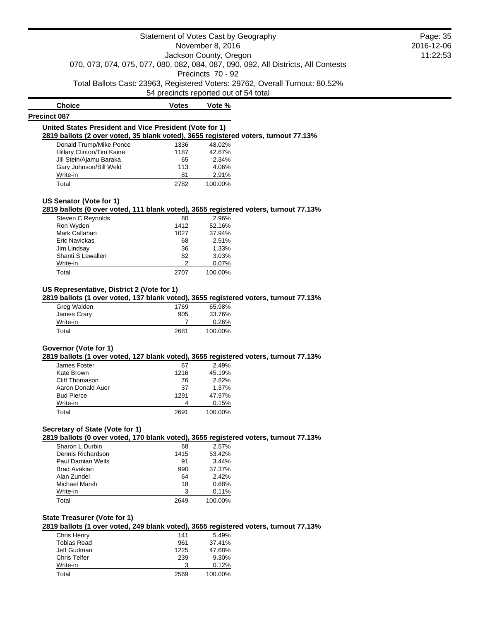**Choice Votes Votes Vote % Precinct 087 United States President and Vice President (Vote for 1) 2819 ballots (2 over voted, 35 blank voted), 3655 registered voters, turnout 77.13%** Donald Trump/Mike Pence 1336 48.02% Hillary Clinton/Tim Kaine 1187 42.67% Jill Stein/Ajamu Baraka 65 2.34% Gary Johnson/Bill Weld 113 4.06% Write-in 2.91% Total 2782 100.00%

#### **US Senator (Vote for 1)**

**2819 ballots (0 over voted, 111 blank voted), 3655 registered voters, turnout 77.13%**

| Steven C Reynolds | 80   | 2.96%   |
|-------------------|------|---------|
| Ron Wyden         | 1412 | 52.16%  |
| Mark Callahan     | 1027 | 37.94%  |
| Eric Navickas     | 68   | 2.51%   |
| Jim Lindsay       | 36   | 1.33%   |
| Shanti S Lewallen | 82   | 3.03%   |
| Write-in          | っ    | 0.07%   |
| Total             | 2707 | 100.00% |

# **US Representative, District 2 (Vote for 1)**

**2819 ballots (1 over voted, 137 blank voted), 3655 registered voters, turnout 77.13%**

| Greg Walden | 1769 | 65.98%  |
|-------------|------|---------|
| James Crary | 905  | 33.76%  |
| Write-in    |      | 0.26%   |
| Total       | 2681 | 100.00% |

# **Governor (Vote for 1)**

**2819 ballots (1 over voted, 127 blank voted), 3655 registered voters, turnout 77.13%**

| James Foster      | 67   | 2.49%   |
|-------------------|------|---------|
| Kate Brown        | 1216 | 45.19%  |
| Cliff Thomason    | 76   | 2.82%   |
| Aaron Donald Auer | 37   | 1.37%   |
| <b>Bud Pierce</b> | 1291 | 47.97%  |
| Write-in          |      | 0.15%   |
| Total             | 2691 | 100.00% |

# **Secretary of State (Vote for 1)**

**2819 ballots (0 over voted, 170 blank voted), 3655 registered voters, turnout 77.13%**

| Sharon L Durbin   | 68   | 2.57%   |
|-------------------|------|---------|
| Dennis Richardson | 1415 | 53.42%  |
| Paul Damian Wells | 91   | 3.44%   |
| Brad Avakian      | 990  | 37.37%  |
| Alan Zundel       | 64   | 2.42%   |
| Michael Marsh     | 18   | 0.68%   |
| Write-in          | 3    | 0.11%   |
| Total             | 2649 | 100.00% |

# **State Treasurer (Vote for 1)**

**2819 ballots (1 over voted, 249 blank voted), 3655 registered voters, turnout 77.13%**

| 141  | 5.49%   |
|------|---------|
| 961  | 37.41%  |
| 1225 | 47.68%  |
| 239  | 9.30%   |
| 3    | 0.12%   |
| 2569 | 100.00% |
|      |         |

Page: 35 2016-12-06 11:22:53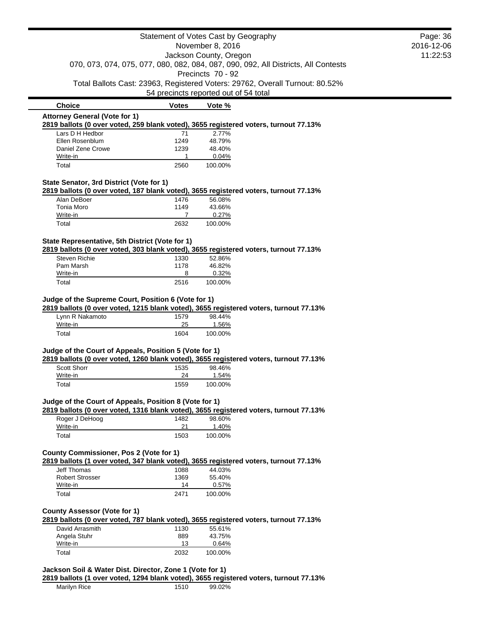|                                                          |              | Statement of Votes Cast by Geography                                                  | Page: 36   |
|----------------------------------------------------------|--------------|---------------------------------------------------------------------------------------|------------|
|                                                          |              | November 8, 2016                                                                      | 2016-12-06 |
|                                                          |              | Jackson County, Oregon                                                                | 11:22:53   |
|                                                          |              | 070, 073, 074, 075, 077, 080, 082, 084, 087, 090, 092, All Districts, All Contests    |            |
|                                                          |              | Precincts 70 - 92                                                                     |            |
|                                                          |              | Total Ballots Cast: 23963, Registered Voters: 29762, Overall Turnout: 80.52%          |            |
|                                                          |              | 54 precincts reported out of 54 total                                                 |            |
| <b>Choice</b>                                            | <b>Votes</b> | Vote %                                                                                |            |
| <b>Attorney General (Vote for 1)</b>                     |              |                                                                                       |            |
|                                                          |              | 2819 ballots (0 over voted, 259 blank voted), 3655 registered voters, turnout 77.13%  |            |
| Lars D H Hedbor                                          | 71           | 2.77%                                                                                 |            |
| Ellen Rosenblum<br>Daniel Zene Crowe                     | 1249<br>1239 | 48.79%<br>48.40%                                                                      |            |
| Write-in                                                 | 1            | 0.04%                                                                                 |            |
| Total                                                    | 2560         | 100.00%                                                                               |            |
|                                                          |              |                                                                                       |            |
| State Senator, 3rd District (Vote for 1)                 |              |                                                                                       |            |
|                                                          |              | 2819 ballots (0 over voted, 187 blank voted), 3655 registered voters, turnout 77.13%  |            |
| Alan DeBoer                                              | 1476         | 56.08%                                                                                |            |
| Tonia Moro                                               | 1149         | 43.66%                                                                                |            |
| Write-in                                                 | 7<br>2632    | 0.27%<br>100.00%                                                                      |            |
| Total                                                    |              |                                                                                       |            |
| State Representative, 5th District (Vote for 1)          |              |                                                                                       |            |
|                                                          |              | 2819 ballots (0 over voted, 303 blank voted), 3655 registered voters, turnout 77.13%  |            |
| <b>Steven Richie</b>                                     | 1330         | 52.86%                                                                                |            |
| Pam Marsh                                                | 1178         | 46.82%                                                                                |            |
| Write-in                                                 | 8            | 0.32%                                                                                 |            |
| Total                                                    | 2516         | 100.00%                                                                               |            |
| Lynn R Nakamoto<br>Write-in                              | 1579<br>25   | 98.44%<br>1.56%                                                                       |            |
| Total                                                    | 1604         | 100.00%                                                                               |            |
|                                                          |              |                                                                                       |            |
| Judge of the Court of Appeals, Position 5 (Vote for 1)   |              |                                                                                       |            |
|                                                          |              | 2819 ballots (0 over voted, 1260 blank voted), 3655 registered voters, turnout 77.13% |            |
| Scott Shorr                                              | 1535         | 98.46%                                                                                |            |
| Write-in                                                 | 24           | 1.54%                                                                                 |            |
| Total                                                    | 1559         | 100.00%                                                                               |            |
| Judge of the Court of Appeals, Position 8 (Vote for 1)   |              |                                                                                       |            |
|                                                          |              | 2819 ballots (0 over voted, 1316 blank voted), 3655 registered voters, turnout 77.13% |            |
| Roger J DeHoog                                           | 1482         | 98.60%                                                                                |            |
| Write-in                                                 | 21           | 1.40%                                                                                 |            |
| Total                                                    | 1503         | 100.00%                                                                               |            |
|                                                          |              |                                                                                       |            |
| <b>County Commissioner, Pos 2 (Vote for 1)</b>           |              |                                                                                       |            |
|                                                          |              | 2819 ballots (1 over voted, 347 blank voted), 3655 registered voters, turnout 77.13%  |            |
| Jeff Thomas<br><b>Robert Strosser</b>                    | 1088<br>1369 | 44.03%<br>55.40%                                                                      |            |
| Write-in                                                 | 14           | 0.57%                                                                                 |            |
| Total                                                    | 2471         | 100.00%                                                                               |            |
|                                                          |              |                                                                                       |            |
| <b>County Assessor (Vote for 1)</b>                      |              |                                                                                       |            |
|                                                          |              | 2819 ballots (0 over voted, 787 blank voted), 3655 registered voters, turnout 77.13%  |            |
| David Arrasmith                                          | 1130         | 55.61%                                                                                |            |
| Angela Stuhr                                             | 889          | 43.75%                                                                                |            |
| Write-in                                                 | 13           | 0.64%                                                                                 |            |
| Total                                                    | 2032         | 100.00%                                                                               |            |
|                                                          |              |                                                                                       |            |
| Jackson Soil & Water Dist. Director, Zone 1 (Vote for 1) |              |                                                                                       |            |
|                                                          |              | 2819 ballots (1 over voted, 1294 blank voted), 3655 registered voters, turnout 77.13% |            |
| Marilyn Rice                                             | 1510         | 99.02%                                                                                |            |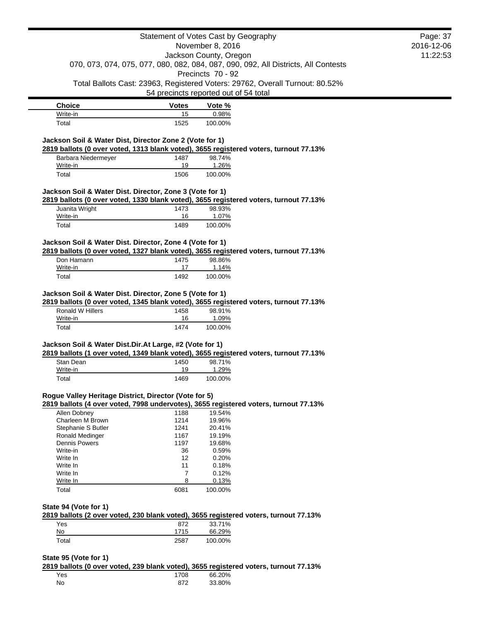|                                                          |                | Statement of Votes Cast by Geography                                                                     | Page: 37   |
|----------------------------------------------------------|----------------|----------------------------------------------------------------------------------------------------------|------------|
|                                                          |                | November 8, 2016                                                                                         | 2016-12-06 |
|                                                          |                | Jackson County, Oregon                                                                                   | 11:22:53   |
|                                                          |                | 070, 073, 074, 075, 077, 080, 082, 084, 087, 090, 092, All Districts, All Contests                       |            |
|                                                          |                | Precincts 70 - 92                                                                                        |            |
|                                                          |                | Total Ballots Cast: 23963, Registered Voters: 29762, Overall Turnout: 80.52%                             |            |
|                                                          |                | 54 precincts reported out of 54 total                                                                    |            |
| <b>Choice</b>                                            | <b>Votes</b>   | Vote %                                                                                                   |            |
| Write-in                                                 | 15             | 0.98%                                                                                                    |            |
| Total                                                    | 1525           | 100.00%                                                                                                  |            |
|                                                          |                |                                                                                                          |            |
| Jackson Soil & Water Dist, Director Zone 2 (Vote for 1)  |                |                                                                                                          |            |
|                                                          |                | 2819 ballots (0 over voted, 1313 blank voted), 3655 registered voters, turnout 77.13%<br>98.74%          |            |
| Barbara Niedermeyer<br>Write-in                          | 1487<br>19     | 1.26%                                                                                                    |            |
| Total                                                    | 1506           | 100.00%                                                                                                  |            |
|                                                          |                |                                                                                                          |            |
| Jackson Soil & Water Dist. Director, Zone 3 (Vote for 1) |                |                                                                                                          |            |
|                                                          |                | 2819 ballots (0 over voted, 1330 blank voted), 3655 registered voters, turnout 77.13%                    |            |
| Juanita Wright                                           | 1473           | 98.93%                                                                                                   |            |
| Write-in                                                 | 16             | 1.07%                                                                                                    |            |
| Total                                                    | 1489           | 100.00%                                                                                                  |            |
|                                                          |                |                                                                                                          |            |
| Jackson Soil & Water Dist. Director, Zone 4 (Vote for 1) |                |                                                                                                          |            |
|                                                          |                | 2819 ballots (0 over voted, 1327 blank voted), 3655 registered voters, turnout 77.13%                    |            |
| Don Hamann                                               | 1475           | 98.86%                                                                                                   |            |
| Write-in                                                 | 17             | 1.14%<br>100.00%                                                                                         |            |
| Total                                                    | 1492           |                                                                                                          |            |
| Ronald W Hillers<br>Write-in                             | 1458<br>16     | 2819 ballots (0 over voted, 1345 blank voted), 3655 registered voters, turnout 77.13%<br>98.91%<br>1.09% |            |
| Total                                                    | 1474           | 100.00%                                                                                                  |            |
|                                                          |                |                                                                                                          |            |
| Jackson Soil & Water Dist.Dir.At Large, #2 (Vote for 1)  |                |                                                                                                          |            |
|                                                          |                | 2819 ballots (1 over voted, 1349 blank voted), 3655 registered voters, turnout 77.13%                    |            |
| Stan Dean                                                | 1450           | 98.71%                                                                                                   |            |
| Write-in                                                 | 19             | 1.29%                                                                                                    |            |
| Total                                                    | 1469           | 100.00%                                                                                                  |            |
| Rogue Valley Heritage District, Director (Vote for 5)    |                |                                                                                                          |            |
|                                                          |                | 2819 ballots (4 over voted, 7998 undervotes), 3655 registered voters, turnout 77.13%                     |            |
| Allen Dobney                                             | 1188           | 19.54%                                                                                                   |            |
| Charleen M Brown                                         | 1214           | 19.96%                                                                                                   |            |
| Stephanie S Butler                                       | 1241           | 20.41%                                                                                                   |            |
| Ronald Medinger                                          | 1167           | 19.19%                                                                                                   |            |
| <b>Dennis Powers</b>                                     | 1197           | 19.68%                                                                                                   |            |
| Write-in                                                 | 36             | 0.59%                                                                                                    |            |
| Write In                                                 | 12             | 0.20%                                                                                                    |            |
| Write In                                                 | 11             | 0.18%                                                                                                    |            |
| Write In                                                 | $\overline{7}$ | 0.12%                                                                                                    |            |
| Write In                                                 | 8              | 0.13%                                                                                                    |            |
| Total                                                    | 6081           | 100.00%                                                                                                  |            |
|                                                          |                |                                                                                                          |            |
| State 94 (Vote for 1)                                    |                |                                                                                                          |            |
|                                                          |                | 2819 ballots (2 over voted, 230 blank voted), 3655 registered voters, turnout 77.13%                     |            |
| Yes<br>No                                                | 872<br>1715    | 33.71%<br>66.29%                                                                                         |            |
| Total                                                    | 2587           | 100.00%                                                                                                  |            |
|                                                          |                |                                                                                                          |            |

**State 95 (Vote for 1)**

**2819 ballots (0 over voted, 239 blank voted), 3655 registered voters, turnout 77.13%**

| Yes | 1708 | 66.20% |
|-----|------|--------|
| No  | 872  | 33.80% |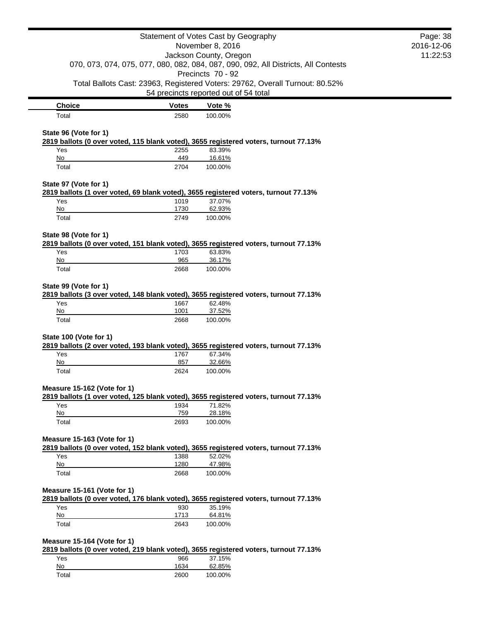|                             |              | Statement of Votes Cast by Geography<br>November 8, 2016                                                              | Page: 38<br>2016-12-06 |
|-----------------------------|--------------|-----------------------------------------------------------------------------------------------------------------------|------------------------|
|                             |              | Jackson County, Oregon                                                                                                | 11:22:53               |
|                             |              | 070, 073, 074, 075, 077, 080, 082, 084, 087, 090, 092, All Districts, All Contests<br>Precincts 70 - 92               |                        |
|                             |              | Total Ballots Cast: 23963, Registered Voters: 29762, Overall Turnout: 80.52%<br>54 precincts reported out of 54 total |                        |
| <b>Choice</b>               | <b>Votes</b> | Vote %                                                                                                                |                        |
| Total                       | 2580         | 100.00%                                                                                                               |                        |
| State 96 (Vote for 1)       |              |                                                                                                                       |                        |
|                             |              | 2819 ballots (0 over voted, 115 blank voted), 3655 registered voters, turnout 77.13%                                  |                        |
| Yes<br>No                   | 2255<br>449  | 83.39%<br>16.61%                                                                                                      |                        |
| Total                       | 2704         | 100.00%                                                                                                               |                        |
| State 97 (Vote for 1)       |              |                                                                                                                       |                        |
|                             |              | 2819 ballots (1 over voted, 69 blank voted), 3655 registered voters, turnout 77.13%                                   |                        |
| Yes<br>No                   | 1019<br>1730 | 37.07%<br>62.93%                                                                                                      |                        |
| Total                       | 2749         | 100.00%                                                                                                               |                        |
| State 98 (Vote for 1)       |              |                                                                                                                       |                        |
|                             |              | 2819 ballots (0 over voted, 151 blank voted), 3655 registered voters, turnout 77.13%                                  |                        |
| Yes                         | 1703         | 63.83%                                                                                                                |                        |
| No<br>Total                 | 965<br>2668  | 36.17%<br>100.00%                                                                                                     |                        |
|                             |              |                                                                                                                       |                        |
| State 99 (Vote for 1)       |              | 2819 ballots (3 over voted, 148 blank voted), 3655 registered voters, turnout 77.13%                                  |                        |
| Yes                         | 1667         | 62.48%                                                                                                                |                        |
| No                          | 1001         | 37.52%                                                                                                                |                        |
| Total                       | 2668         | 100.00%                                                                                                               |                        |
| State 100 (Vote for 1)      |              |                                                                                                                       |                        |
|                             |              | 2819 ballots (2 over voted, 193 blank voted), 3655 registered voters, turnout 77.13%                                  |                        |
| Yes                         | 1767         | 67.34%                                                                                                                |                        |
| No                          | 857          | 32.66%                                                                                                                |                        |
| Total                       | 2624         | 100.00%                                                                                                               |                        |
| Measure 15-162 (Vote for 1) |              |                                                                                                                       |                        |
| Yes                         | 1934         | 2819 ballots (1 over voted, 125 blank voted), 3655 registered voters, turnout 77.13%<br>71.82%                        |                        |
| No                          | 759          | 28.18%                                                                                                                |                        |
| Total                       | 2693         | 100.00%                                                                                                               |                        |
| Measure 15-163 (Vote for 1) |              |                                                                                                                       |                        |
|                             |              | 2819 ballots (0 over voted, 152 blank voted), 3655 registered voters, turnout 77.13%                                  |                        |
| Yes                         | 1388         | 52.02%                                                                                                                |                        |
| No                          | 1280         | 47.98%                                                                                                                |                        |
| Total                       | 2668         | 100.00%                                                                                                               |                        |
| Measure 15-161 (Vote for 1) |              | 2819 ballots (0 over voted, 176 blank voted), 3655 registered voters, turnout 77.13%                                  |                        |
| Yes                         | 930          | 35.19%                                                                                                                |                        |
| No                          | 1713         | 64.81%                                                                                                                |                        |
| Total                       | 2643         | 100.00%                                                                                                               |                        |
| Measure 15-164 (Vote for 1) |              |                                                                                                                       |                        |
|                             |              | 2819 ballots (0 over voted, 219 blank voted), 3655 registered voters, turnout 77.13%                                  |                        |
| Yes                         | 966          | 37.15%                                                                                                                |                        |
| No                          | 1634         | 62.85%                                                                                                                |                        |
| Total                       | 2600         | 100.00%                                                                                                               |                        |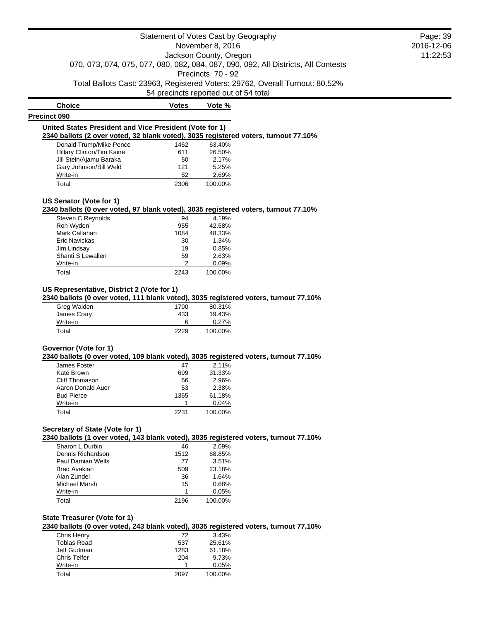**Choice Votes Votes Vote** % **Precinct 090 United States President and Vice President (Vote for 1) 2340 ballots (2 over voted, 32 blank voted), 3035 registered voters, turnout 77.10%** Donald Trump/Mike Pence 1462 63.40% Hillary Clinton/Tim Kaine 611 26.50% Jill Stein/Ajamu Baraka 50 2.17% Gary Johnson/Bill Weld 121 5.25% Write-in 62 2.69%

Total 2306 100.00%

#### **US Senator (Vote for 1)**

#### **2340 ballots (0 over voted, 97 blank voted), 3035 registered voters, turnout 77.10%**

| Steven C Reynolds | 94            | 4.19%   |
|-------------------|---------------|---------|
| Ron Wyden         | 955           | 42.58%  |
| Mark Callahan     | 1084          | 48.33%  |
| Eric Navickas     | 30            | 1.34%   |
| Jim Lindsay       | 19            | 0.85%   |
| Shanti S Lewallen | 59            | 2.63%   |
| Write-in          | $\mathcal{P}$ | 0.09%   |
| Total             | 2243          | 100.00% |

# **US Representative, District 2 (Vote for 1)**

# **2340 ballots (0 over voted, 111 blank voted), 3035 registered voters, turnout 77.10%**

| Greg Walden | 1790 | 80.31%  |
|-------------|------|---------|
| James Crary | 433  | 19.43%  |
| Write-in    | 6    | 0.27%   |
| Total       | 2229 | 100.00% |

## **Governor (Vote for 1)**

#### **2340 ballots (0 over voted, 109 blank voted), 3035 registered voters, turnout 77.10%**

| James Foster      | 47   | 2.11%   |
|-------------------|------|---------|
| Kate Brown        | 699  | 31.33%  |
| Cliff Thomason    | 66   | 2.96%   |
| Aaron Donald Auer | 53   | 2.38%   |
| <b>Bud Pierce</b> | 1365 | 61.18%  |
| Write-in          |      | 0.04%   |
| Total             | 2231 | 100.00% |

### **Secretary of State (Vote for 1)**

# **2340 ballots (1 over voted, 143 blank voted), 3035 registered voters, turnout 77.10%**

| Sharon L Durbin     | 46   | 2.09%   |
|---------------------|------|---------|
| Dennis Richardson   | 1512 | 68.85%  |
| Paul Damian Wells   | 77   | 3.51%   |
| <b>Brad Avakian</b> | 509  | 23.18%  |
| Alan Zundel         | 36   | 1.64%   |
| Michael Marsh       | 15   | 0.68%   |
| Write-in            |      | 0.05%   |
| Total               | 2196 | 100.00% |

# **State Treasurer (Vote for 1)**

# **2340 ballots (0 over voted, 243 blank voted), 3035 registered voters, turnout 77.10%**

| Chris Henry        | 72   | 3.43%   |
|--------------------|------|---------|
| <b>Tobias Read</b> | 537  | 25.61%  |
| Jeff Gudman        | 1283 | 61.18%  |
| Chris Telfer       | 204  | 9.73%   |
| Write-in           |      | 0.05%   |
| Total              | 2097 | 100.00% |

Page: 39 2016-12-06 11:22:53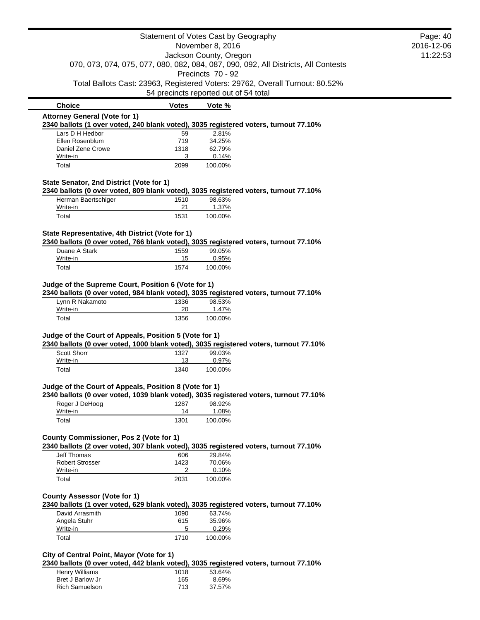|                                                        |              | Statement of Votes Cast by Geography                                                                                  | Page: 40   |
|--------------------------------------------------------|--------------|-----------------------------------------------------------------------------------------------------------------------|------------|
|                                                        |              | November 8, 2016                                                                                                      | 2016-12-06 |
|                                                        |              | Jackson County, Oregon                                                                                                | 11:22:53   |
|                                                        |              | 070, 073, 074, 075, 077, 080, 082, 084, 087, 090, 092, All Districts, All Contests                                    |            |
|                                                        |              | Precincts 70 - 92                                                                                                     |            |
|                                                        |              | Total Ballots Cast: 23963, Registered Voters: 29762, Overall Turnout: 80.52%<br>54 precincts reported out of 54 total |            |
| <b>Choice</b>                                          | <b>Votes</b> | Vote %                                                                                                                |            |
| <b>Attorney General (Vote for 1)</b>                   |              |                                                                                                                       |            |
|                                                        |              | 2340 ballots (1 over voted, 240 blank voted), 3035 registered voters, turnout 77.10%                                  |            |
| Lars D H Hedbor<br>Ellen Rosenblum                     | 59<br>719    | 2.81%<br>34.25%                                                                                                       |            |
| Daniel Zene Crowe                                      | 1318         | 62.79%                                                                                                                |            |
| Write-in                                               | 3            | 0.14%                                                                                                                 |            |
| Total                                                  | 2099         | 100.00%                                                                                                               |            |
| State Senator, 2nd District (Vote for 1)               |              |                                                                                                                       |            |
|                                                        |              | 2340 ballots (0 over voted, 809 blank voted), 3035 registered voters, turnout 77.10%                                  |            |
| Herman Baertschiger                                    | 1510         | 98.63%                                                                                                                |            |
| Write-in                                               | 21           | 1.37%                                                                                                                 |            |
| Total                                                  | 1531         | 100.00%                                                                                                               |            |
| State Representative, 4th District (Vote for 1)        |              |                                                                                                                       |            |
|                                                        |              | 2340 ballots (0 over voted, 766 blank voted), 3035 registered voters, turnout 77.10%                                  |            |
| Duane A Stark                                          | 1559         | 99.05%                                                                                                                |            |
| Write-in<br>Total                                      | 15<br>1574   | 0.95%<br>100.00%                                                                                                      |            |
|                                                        |              |                                                                                                                       |            |
| Judge of the Supreme Court, Position 6 (Vote for 1)    |              |                                                                                                                       |            |
|                                                        |              | 2340 ballots (0 over voted, 984 blank voted), 3035 registered voters, turnout 77.10%                                  |            |
| Lynn R Nakamoto                                        | 1336         | 98.53%                                                                                                                |            |
| Write-in                                               | 20           | 1.47%                                                                                                                 |            |
| Total                                                  | 1356         | 100.00%                                                                                                               |            |
| Judge of the Court of Appeals, Position 5 (Vote for 1) |              |                                                                                                                       |            |
|                                                        |              | 2340 ballots (0 over voted, 1000 blank voted), 3035 registered voters, turnout 77.10%                                 |            |
| Scott Shorr                                            | 1327         | 99.03%                                                                                                                |            |
| Write-in                                               | 13           | 0.97%                                                                                                                 |            |
| Total                                                  | 1340         | 100.00%                                                                                                               |            |
| Judge of the Court of Appeals, Position 8 (Vote for 1) |              |                                                                                                                       |            |
|                                                        |              | 2340 ballots (0 over voted, 1039 blank voted), 3035 registered voters, turnout 77.10%                                 |            |
| Roger J DeHoog                                         | 1287         | 98.92%                                                                                                                |            |
| Write-in                                               | 14           | 1.08%                                                                                                                 |            |
| Total                                                  | 1301         | 100.00%                                                                                                               |            |
| County Commissioner, Pos 2 (Vote for 1)                |              |                                                                                                                       |            |
|                                                        |              | 2340 ballots (2 over voted, 307 blank voted), 3035 registered voters, turnout 77.10%                                  |            |
| <b>Jeff Thomas</b>                                     | 606          | 29.84%                                                                                                                |            |
| <b>Robert Strosser</b>                                 | 1423         | 70.06%                                                                                                                |            |
| Write-in                                               | 2            | 0.10%                                                                                                                 |            |
| Total                                                  | 2031         | 100.00%                                                                                                               |            |
|                                                        |              |                                                                                                                       |            |
| <b>County Assessor (Vote for 1)</b>                    |              | 2340 ballots (1 over voted, 629 blank voted), 3035 registered voters, turnout 77.10%                                  |            |
| David Arrasmith                                        |              | 63.74%                                                                                                                |            |
| Angela Stuhr                                           | 1090<br>615  | 35.96%                                                                                                                |            |
| Write-in                                               | 5            | 0.29%                                                                                                                 |            |
| Total                                                  | 1710         | 100.00%                                                                                                               |            |
| City of Central Point, Mayor (Vote for 1)              |              |                                                                                                                       |            |
|                                                        |              | 2340 ballots (0 over voted, 442 blank voted), 3035 registered voters, turnout 77.10%                                  |            |
| Henry Williams                                         | 1018         | 53.64%                                                                                                                |            |

| Henry Williams   | 1018 | 53.64% |
|------------------|------|--------|
| Bret J Barlow Jr | 165  | 8.69%  |
| Rich Samuelson   | 713  | 37.57% |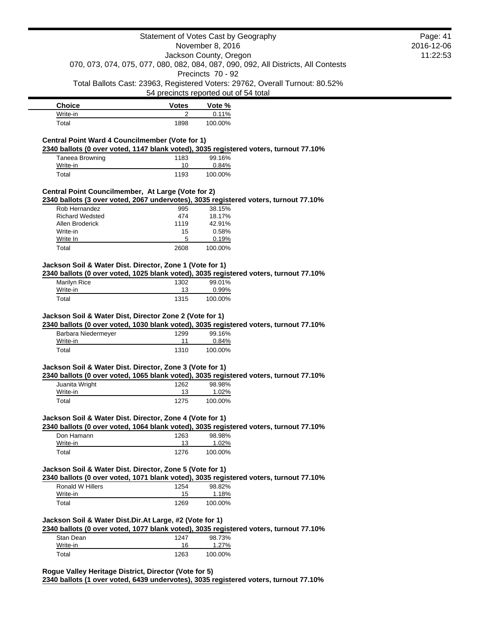|                                                                                        |              | Statement of Votes Cast by Geography                                                            | Page: 41   |
|----------------------------------------------------------------------------------------|--------------|-------------------------------------------------------------------------------------------------|------------|
|                                                                                        |              | November 8, 2016                                                                                | 2016-12-06 |
|                                                                                        |              | Jackson County, Oregon                                                                          | 11:22:53   |
|                                                                                        |              | 070, 073, 074, 075, 077, 080, 082, 084, 087, 090, 092, All Districts, All Contests              |            |
|                                                                                        |              | Precincts 70 - 92                                                                               |            |
|                                                                                        |              | Total Ballots Cast: 23963, Registered Voters: 29762, Overall Turnout: 80.52%                    |            |
|                                                                                        |              | 54 precincts reported out of 54 total                                                           |            |
| <b>Choice</b>                                                                          | <b>Votes</b> | Vote %                                                                                          |            |
| Write-in                                                                               | 2            | 0.11%                                                                                           |            |
| Total                                                                                  | 1898         | 100.00%                                                                                         |            |
| Central Point Ward 4 Councilmember (Vote for 1)                                        |              |                                                                                                 |            |
|                                                                                        |              | 2340 ballots (0 over voted, 1147 blank voted), 3035 registered voters, turnout 77.10%           |            |
| Taneea Browning                                                                        | 1183         | 99.16%                                                                                          |            |
| Write-in                                                                               | 10           | 0.84%                                                                                           |            |
| Total                                                                                  | 1193         | 100.00%                                                                                         |            |
| Central Point Councilmember, At Large (Vote for 2)                                     |              |                                                                                                 |            |
| Rob Hernandez                                                                          | 995          | 2340 ballots (3 over voted, 2067 undervotes), 3035 registered voters, turnout 77.10%<br>38.15%  |            |
| <b>Richard Wedsted</b>                                                                 | 474          | 18.17%                                                                                          |            |
| Allen Broderick                                                                        | 1119         | 42.91%                                                                                          |            |
| Write-in                                                                               | 15           | 0.58%                                                                                           |            |
| Write In                                                                               | 5            | 0.19%                                                                                           |            |
| Total                                                                                  | 2608         | 100.00%                                                                                         |            |
| Jackson Soil & Water Dist. Director, Zone 1 (Vote for 1)                               |              |                                                                                                 |            |
|                                                                                        |              | 2340 ballots (0 over voted, 1025 blank voted), 3035 registered voters, turnout 77.10%           |            |
|                                                                                        |              |                                                                                                 |            |
| <b>Marilyn Rice</b>                                                                    | 1302         | 99.01%                                                                                          |            |
| Write-in<br>Total<br>Jackson Soil & Water Dist, Director Zone 2 (Vote for 1)           | 13<br>1315   | 0.99%<br>100.00%                                                                                |            |
|                                                                                        |              | 2340 ballots (0 over voted, 1030 blank voted), 3035 registered voters, turnout 77.10%           |            |
| Barbara Niedermeyer<br>Write-in                                                        | 1299<br>11   | 99.16%<br>0.84%                                                                                 |            |
| Total                                                                                  | 1310         | 100.00%                                                                                         |            |
|                                                                                        |              |                                                                                                 |            |
|                                                                                        |              |                                                                                                 |            |
|                                                                                        | 1262         | 2340 ballots (0 over voted, 1065 blank voted), 3035 registered voters, turnout 77.10%           |            |
| Jackson Soil & Water Dist. Director, Zone 3 (Vote for 1)<br>Juanita Wright<br>Write-in | 13           | 98.98%<br>1.02%                                                                                 |            |
| Total                                                                                  | 1275         | 100.00%                                                                                         |            |
| Jackson Soil & Water Dist. Director, Zone 4 (Vote for 1)                               |              |                                                                                                 |            |
|                                                                                        |              | 2340 ballots (0 over voted, 1064 blank voted), 3035 registered voters, turnout 77.10%           |            |
| Don Hamann                                                                             | 1263         | 98.98%                                                                                          |            |
| Write-in                                                                               | 13           | 1.02%                                                                                           |            |
| Total                                                                                  | 1276         | 100.00%                                                                                         |            |
|                                                                                        |              |                                                                                                 |            |
|                                                                                        |              |                                                                                                 |            |
| Ronald W Hillers                                                                       | 1254         | 2340 ballots (0 over voted, 1071 blank voted), 3035 registered voters, turnout 77.10%<br>98.82% |            |
| Jackson Soil & Water Dist. Director, Zone 5 (Vote for 1)<br>Write-in                   | 15           | 1.18%                                                                                           |            |
| Total                                                                                  | 1269         | 100.00%                                                                                         |            |
|                                                                                        |              |                                                                                                 |            |
|                                                                                        |              | 2340 ballots (0 over voted, 1077 blank voted), 3035 registered voters, turnout 77.10%           |            |
| Stan Dean                                                                              | 1247         | 98.73%                                                                                          |            |
| Jackson Soil & Water Dist.Dir.At Large, #2 (Vote for 1)<br>Write-in<br>Total           | 16<br>1263   | 1.27%<br>100.00%                                                                                |            |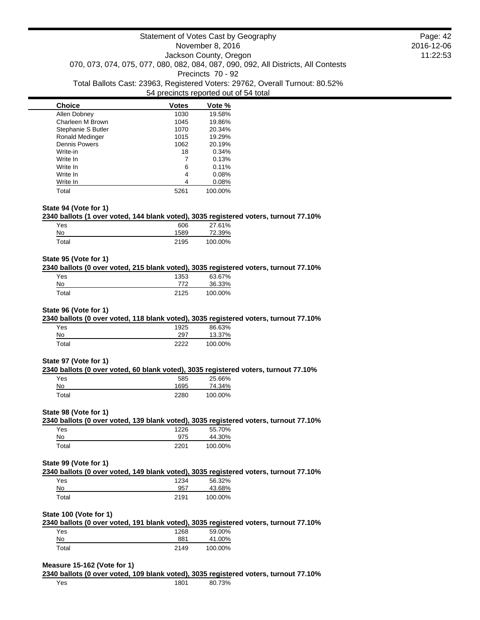| <b>Choice</b>          | <b>Votes</b> | Vote %  |
|------------------------|--------------|---------|
| Allen Dobney           | 1030         | 19.58%  |
| Charleen M Brown       | 1045         | 19.86%  |
| Stephanie S Butler     | 1070         | 20.34%  |
| <b>Ronald Medinger</b> | 1015         | 19.29%  |
| <b>Dennis Powers</b>   | 1062         | 20.19%  |
| Write-in               | 18           | 0.34%   |
| Write In               |              | 0.13%   |
| Write In               | 6            | 0.11%   |
| Write In               | 4            | 0.08%   |
| Write In               | 4            | 0.08%   |
| Total                  | 5261         | 100.00% |

### **State 94 (Vote for 1)**

## **2340 ballots (1 over voted, 144 blank voted), 3035 registered voters, turnout 77.10%**

| Yes   | 606  | 27.61%  |
|-------|------|---------|
| No    | 1589 | 72.39%  |
| Total | 2195 | 100.00% |

# **State 95 (Vote for 1)**

### **2340 ballots (0 over voted, 215 blank voted), 3035 registered voters, turnout 77.10%**

| Yes   | 1353 | 63.67%  |
|-------|------|---------|
| No    | 772  | 36.33%  |
| Total | 2125 | 100.00% |

# **State 96 (Vote for 1)**

# **2340 ballots (0 over voted, 118 blank voted), 3035 registered voters, turnout 77.10%**

| Yes   | 1925 | 86.63%  |
|-------|------|---------|
| No    | 297  | 13.37%  |
| Total | つつつつ | 100.00% |

### **State 97 (Vote for 1)**

### **2340 ballots (0 over voted, 60 blank voted), 3035 registered voters, turnout 77.10%**

| Yes   | 585  | 25.66%  |
|-------|------|---------|
| No    | 1695 | 74.34%  |
| Total | 2280 | 100.00% |

### **State 98 (Vote for 1)**

|       | 2340 ballots (0 over voted, 139 blank voted), 3035 registered voters, turnout 77.10% |         |  |
|-------|--------------------------------------------------------------------------------------|---------|--|
| Yes   | 1226                                                                                 | 55.70%  |  |
| No    | 975                                                                                  | 44.30%  |  |
| Total | 2201                                                                                 | 100.00% |  |

### **State 99 (Vote for 1)**

| 2340 ballots (0 over voted, 149 blank voted), 3035 registered voters, turnout 77.10% |      |        |  |
|--------------------------------------------------------------------------------------|------|--------|--|
| Yes.                                                                                 | 1234 | 56.32% |  |
| No                                                                                   | 957  | 43.68% |  |

| טצו         | 957  | 40.00%  |
|-------------|------|---------|
| $\tau$ otal | 2191 | 100.00% |
|             |      |         |

### **State 100 (Vote for 1)**

|       | 2340 ballots (0 over voted, 191 blank voted), 3035 registered voters, turnout 77.10% |         |  |  |
|-------|--------------------------------------------------------------------------------------|---------|--|--|
| Yes   | 1268                                                                                 | 59.00%  |  |  |
| No    | 881                                                                                  | 41.00%  |  |  |
| Total | 2149                                                                                 | 100.00% |  |  |

#### **Measure 15-162 (Vote for 1)**

|     |      |        | 2340 ballots (0 over voted, 109 blank voted), 3035 registered voters, turnout 77.10% |
|-----|------|--------|--------------------------------------------------------------------------------------|
| Yes | 1801 | 80.73% |                                                                                      |

Page: 42 2016-12-06 11:22:53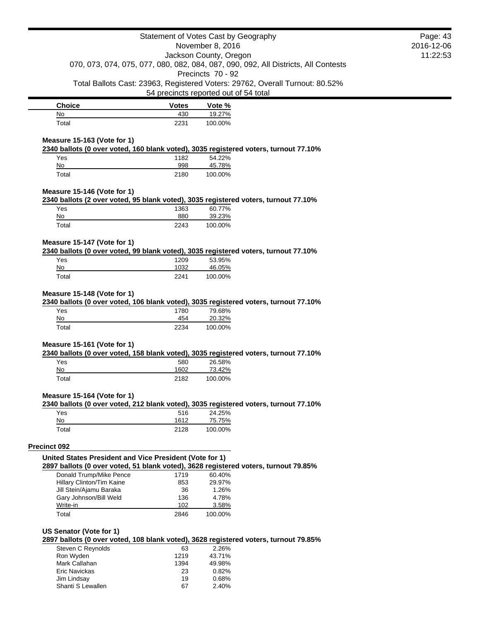|                                                                                      | Statement of Votes Cast by Geography  |                        |                                                                                    | Page: 43   |
|--------------------------------------------------------------------------------------|---------------------------------------|------------------------|------------------------------------------------------------------------------------|------------|
|                                                                                      |                                       | November 8, 2016       |                                                                                    | 2016-12-06 |
|                                                                                      |                                       | Jackson County, Oregon |                                                                                    | 11:22:53   |
|                                                                                      |                                       |                        | 070, 073, 074, 075, 077, 080, 082, 084, 087, 090, 092, All Districts, All Contests |            |
|                                                                                      |                                       | Precincts 70 - 92      |                                                                                    |            |
|                                                                                      |                                       |                        | Total Ballots Cast: 23963, Registered Voters: 29762, Overall Turnout: 80.52%       |            |
|                                                                                      | 54 precincts reported out of 54 total |                        |                                                                                    |            |
| <b>Choice</b>                                                                        | <b>Votes</b>                          | Vote %                 |                                                                                    |            |
| No                                                                                   | 430                                   | 19.27%                 |                                                                                    |            |
| Total                                                                                | 2231                                  | 100.00%                |                                                                                    |            |
| Measure 15-163 (Vote for 1)                                                          |                                       |                        |                                                                                    |            |
| 2340 ballots (0 over voted, 160 blank voted), 3035 registered voters, turnout 77.10% |                                       |                        |                                                                                    |            |
| Yes                                                                                  | 1182                                  | 54.22%                 |                                                                                    |            |
| No<br>Total                                                                          | 998<br>2180                           | 45.78%<br>100.00%      |                                                                                    |            |
|                                                                                      |                                       |                        |                                                                                    |            |
| Measure 15-146 (Vote for 1)                                                          |                                       |                        |                                                                                    |            |
| 2340 ballots (2 over voted, 95 blank voted), 3035 registered voters, turnout 77.10%  |                                       |                        |                                                                                    |            |
| Yes                                                                                  | 1363                                  | 60.77%                 |                                                                                    |            |
| No                                                                                   | 880                                   | 39.23%                 |                                                                                    |            |
| Total                                                                                | 2243                                  | 100.00%                |                                                                                    |            |
| Measure 15-147 (Vote for 1)                                                          |                                       |                        |                                                                                    |            |
| 2340 ballots (0 over voted, 99 blank voted), 3035 registered voters, turnout 77.10%  |                                       |                        |                                                                                    |            |
| Yes                                                                                  | 1209                                  | 53.95%                 |                                                                                    |            |
| No                                                                                   | 1032                                  | 46.05%                 |                                                                                    |            |
| Total                                                                                | 2241                                  | 100.00%                |                                                                                    |            |
| No<br>Total                                                                          | 454<br>2234                           | 20.32%<br>100.00%      |                                                                                    |            |
|                                                                                      |                                       |                        |                                                                                    |            |
| Measure 15-161 (Vote for 1)                                                          |                                       |                        |                                                                                    |            |
| 2340 ballots (0 over voted, 158 blank voted), 3035 registered voters, turnout 77.10% |                                       |                        |                                                                                    |            |
| Yes                                                                                  | 580<br>1602                           | 26.58%                 |                                                                                    |            |
| No<br>Total                                                                          | 2182                                  | 73.42%<br>100.00%      |                                                                                    |            |
|                                                                                      |                                       |                        |                                                                                    |            |
| Measure 15-164 (Vote for 1)                                                          |                                       |                        |                                                                                    |            |
| 2340 ballots (0 over voted, 212 blank voted), 3035 registered voters, turnout 77.10% |                                       |                        |                                                                                    |            |
| Yes<br>No                                                                            | 516<br>1612                           | 24.25%<br>75.75%       |                                                                                    |            |
| Total                                                                                | 2128                                  | 100.00%                |                                                                                    |            |
|                                                                                      |                                       |                        |                                                                                    |            |
| Precinct 092                                                                         |                                       |                        |                                                                                    |            |
| United States President and Vice President (Vote for 1)                              |                                       |                        |                                                                                    |            |
| 2897 ballots (0 over voted, 51 blank voted), 3628 registered voters, turnout 79.85%  |                                       |                        |                                                                                    |            |
| Donald Trump/Mike Pence                                                              | 1719                                  | 60.40%                 |                                                                                    |            |
| Hillary Clinton/Tim Kaine                                                            | 853                                   | 29.97%                 |                                                                                    |            |
| Jill Stein/Ajamu Baraka<br>Gary Johnson/Bill Weld                                    | 36<br>136                             | 1.26%<br>4.78%         |                                                                                    |            |
| Write-in                                                                             | 102                                   | 3.58%                  |                                                                                    |            |
| Total                                                                                | 2846                                  | 100.00%                |                                                                                    |            |
|                                                                                      |                                       |                        |                                                                                    |            |
| US Senator (Vote for 1)                                                              |                                       |                        |                                                                                    |            |
| 2897 ballots (0 over voted, 108 blank voted), 3628 registered voters, turnout 79.85% |                                       |                        |                                                                                    |            |
| Steven C Reynolds                                                                    | 63                                    | 2.26%                  |                                                                                    |            |
| Ron Wyden<br>Mark Callahan                                                           | 1219<br>1394                          | 43.71%<br>49.98%       |                                                                                    |            |
| Eric Navickas                                                                        | 23                                    | 0.82%                  |                                                                                    |            |
| Jim Lindsay                                                                          | 19                                    | 0.68%                  |                                                                                    |            |
| Shanti S Lewallen                                                                    | 67                                    | 2.40%                  |                                                                                    |            |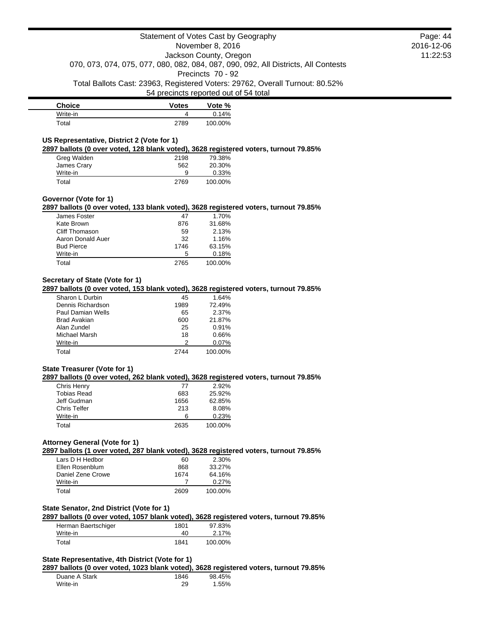| <b>Choice</b> | <b>Votes</b> | Vote %  |
|---------------|--------------|---------|
| Write-in      |              | 0.14%   |
| Total         | 2789         | 100.00% |

# **US Representative, District 2 (Vote for 1)**

**2897 ballots (0 over voted, 128 blank voted), 3628 registered voters, turnout 79.85%**

| Greg Walden | 2198 | 79.38%   |
|-------------|------|----------|
| James Crary | 562  | 20.30%   |
| Write-in    | 9    | $0.33\%$ |
| Total       | 2769 | 100.00%  |

### **Governor (Vote for 1)**

**2897 ballots (0 over voted, 133 blank voted), 3628 registered voters, turnout 79.85%**

| James Foster      | 47   | 1.70%   |
|-------------------|------|---------|
| Kate Brown        | 876  | 31.68%  |
| Cliff Thomason    | 59   | 2.13%   |
| Aaron Donald Auer | 32   | 1.16%   |
| <b>Bud Pierce</b> | 1746 | 63.15%  |
| Write-in          | 5    | 0.18%   |
| Total             | 2765 | 100.00% |

# **Secretary of State (Vote for 1)**

**2897 ballots (0 over voted, 153 blank voted), 3628 registered voters, turnout 79.85%**

| Sharon L Durbin   | 45   | 1.64%   |
|-------------------|------|---------|
| Dennis Richardson | 1989 | 72.49%  |
| Paul Damian Wells | 65   | 2.37%   |
| Brad Avakian      | 600  | 21.87%  |
| Alan Zundel       | 25   | 0.91%   |
| Michael Marsh     | 18   | 0.66%   |
| Write-in          | 2    | 0.07%   |
| Total             | 2744 | 100.00% |

## **State Treasurer (Vote for 1)**

#### **2897 ballots (0 over voted, 262 blank voted), 3628 registered voters, turnout 79.85%**

| Chris Henry         | 77   | 2.92%   |
|---------------------|------|---------|
| <b>Tobias Read</b>  | 683  | 25.92%  |
| Jeff Gudman         | 1656 | 62.85%  |
| <b>Chris Telfer</b> | 213  | 8.08%   |
| Write-in            | ิค   | 0.23%   |
| Total               | 2635 | 100.00% |

# **Attorney General (Vote for 1)**

**2897 ballots (1 over voted, 287 blank voted), 3628 registered voters, turnout 79.85%**

| Lars D H Hedbor   | 60   | 2.30%   |
|-------------------|------|---------|
| Ellen Rosenblum   | 868  | 33.27%  |
| Daniel Zene Crowe | 1674 | 64.16%  |
| Write-in          |      | 0.27%   |
| Total             | 2609 | 100.00% |

# **State Senator, 2nd District (Vote for 1)**

**2897 ballots (0 over voted, 1057 blank voted), 3628 registered voters, turnout 79.85%**

| Herman Baertschiger | 1801 | 97.83%  |
|---------------------|------|---------|
| Write-in            | 40   | 2.17%   |
| Total               | 1841 | 100.00% |

## **State Representative, 4th District (Vote for 1)**

**2897 ballots (0 over voted, 1023 blank voted), 3628 registered voters, turnout 79.85%**

| Duane A Stark | 1846 | 98.45% |
|---------------|------|--------|
| Write-in      | 29   | 1.55%  |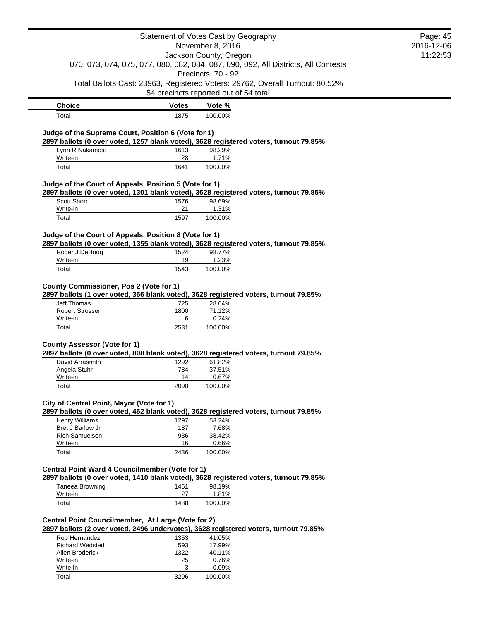|                                                                                                                                                              |              | Statement of Votes Cast by Geography                                               |            | Page: 45 |
|--------------------------------------------------------------------------------------------------------------------------------------------------------------|--------------|------------------------------------------------------------------------------------|------------|----------|
| November 8, 2016                                                                                                                                             |              |                                                                                    | 2016-12-06 |          |
|                                                                                                                                                              |              | Jackson County, Oregon                                                             |            | 11:22:53 |
|                                                                                                                                                              |              | 070, 073, 074, 075, 077, 080, 082, 084, 087, 090, 092, All Districts, All Contests |            |          |
|                                                                                                                                                              |              | Precincts 70 - 92                                                                  |            |          |
|                                                                                                                                                              |              | Total Ballots Cast: 23963, Registered Voters: 29762, Overall Turnout: 80.52%       |            |          |
|                                                                                                                                                              |              | 54 precincts reported out of 54 total                                              |            |          |
| <b>Choice</b>                                                                                                                                                | <b>Votes</b> | Vote %                                                                             |            |          |
| Total                                                                                                                                                        | 1875         | 100.00%                                                                            |            |          |
| Judge of the Supreme Court, Position 6 (Vote for 1)<br>2897 ballots (0 over voted, 1257 blank voted), 3628 registered voters, turnout 79.85%                 |              |                                                                                    |            |          |
| Lynn R Nakamoto                                                                                                                                              | 1613         | 98.29%                                                                             |            |          |
| Write-in                                                                                                                                                     | 28           | 1.71%                                                                              |            |          |
| Total                                                                                                                                                        | 1641         | 100.00%                                                                            |            |          |
| Judge of the Court of Appeals, Position 5 (Vote for 1)                                                                                                       |              |                                                                                    |            |          |
| 2897 ballots (0 over voted, 1301 blank voted), 3628 registered voters, turnout 79.85%                                                                        |              |                                                                                    |            |          |
| <b>Scott Shorr</b>                                                                                                                                           | 1576<br>21   | 98.69%                                                                             |            |          |
| Write-in                                                                                                                                                     | 1597         | 1.31%<br>100.00%                                                                   |            |          |
| Total                                                                                                                                                        |              |                                                                                    |            |          |
| Judge of the Court of Appeals, Position 8 (Vote for 1)<br>2897 ballots (0 over voted, 1355 blank voted), 3628 registered voters, turnout 79.85%              |              |                                                                                    |            |          |
| Roger J DeHoog                                                                                                                                               | 1524         | 98.77%                                                                             |            |          |
| Write-in                                                                                                                                                     | 19           | 1.23%                                                                              |            |          |
| Total                                                                                                                                                        | 1543         | 100.00%                                                                            |            |          |
| <b>County Commissioner, Pos 2 (Vote for 1)</b><br>2897 ballots (1 over voted, 366 blank voted), 3628 registered voters, turnout 79.85%<br><b>Jeff Thomas</b> | 725          | 28.64%                                                                             |            |          |
| <b>Robert Strosser</b>                                                                                                                                       | 1800         | 71.12%                                                                             |            |          |
| Write-in                                                                                                                                                     | 6            | 0.24%                                                                              |            |          |
| Total                                                                                                                                                        | 2531         | 100.00%                                                                            |            |          |
| <b>County Assessor (Vote for 1)</b>                                                                                                                          |              |                                                                                    |            |          |
| 2897 ballots (0 over voted, 808 blank voted), 3628 registered voters, turnout 79.85%                                                                         |              |                                                                                    |            |          |
| David Arrasmith                                                                                                                                              | 1292         | 61.82%                                                                             |            |          |
| Angela Stuhr                                                                                                                                                 | 784          | 37.51%                                                                             |            |          |
| Write-in                                                                                                                                                     | 14           | 0.67%                                                                              |            |          |
| Total                                                                                                                                                        | 2090         | 100.00%                                                                            |            |          |
| City of Central Point, Mayor (Vote for 1)                                                                                                                    |              |                                                                                    |            |          |
| 2897 ballots (0 over voted, 462 blank voted), 3628 registered voters, turnout 79.85%<br>Henry Williams                                                       | 1297         | 53.24%                                                                             |            |          |
| Bret J Barlow Jr                                                                                                                                             | 187          | 7.68%                                                                              |            |          |
| <b>Rich Samuelson</b>                                                                                                                                        | 936          | 38.42%                                                                             |            |          |
| Write-in                                                                                                                                                     | 16           | 0.66%                                                                              |            |          |
| Total                                                                                                                                                        | 2436         | 100.00%                                                                            |            |          |
| Central Point Ward 4 Councilmember (Vote for 1)                                                                                                              |              |                                                                                    |            |          |
| 2897 ballots (0 over voted, 1410 blank voted), 3628 registered voters, turnout 79.85%                                                                        |              |                                                                                    |            |          |
| Taneea Browning                                                                                                                                              | 1461         | 98.19%                                                                             |            |          |
| Write-in                                                                                                                                                     | 27           | 1.81%                                                                              |            |          |
| Total                                                                                                                                                        | 1488         | 100.00%                                                                            |            |          |
| Central Point Councilmember, At Large (Vote for 2)                                                                                                           |              |                                                                                    |            |          |
| 2897 ballots (2 over voted, 2496 undervotes), 3628 registered voters, turnout 79.85%                                                                         |              |                                                                                    |            |          |
| Rob Hernandez                                                                                                                                                | 1353         | 41.05%                                                                             |            |          |
| <b>Richard Wedsted</b>                                                                                                                                       | 593          | 17.99%                                                                             |            |          |
| Allen Broderick                                                                                                                                              | 1322         | 40.11%                                                                             |            |          |
| Write-in                                                                                                                                                     | 25           | 0.76%                                                                              |            |          |
| Write In                                                                                                                                                     | 3            | 0.09%                                                                              |            |          |
| Total                                                                                                                                                        | 3296         | 100.00%                                                                            |            |          |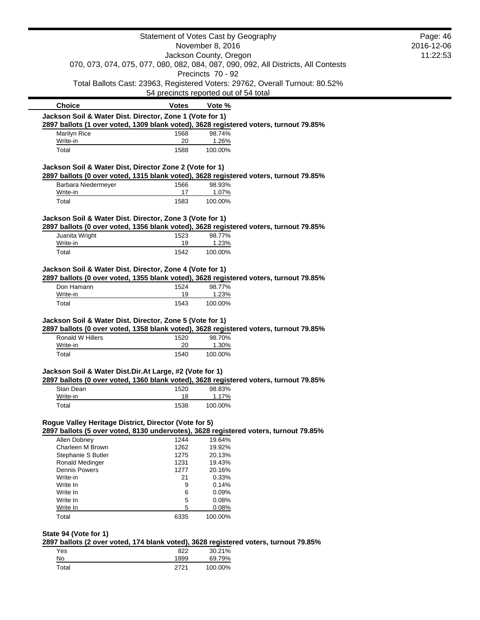|                                                                                                                                                   |              | Statement of Votes Cast by Geography  |                                                                                    | Page: 46 |
|---------------------------------------------------------------------------------------------------------------------------------------------------|--------------|---------------------------------------|------------------------------------------------------------------------------------|----------|
| November 8, 2016                                                                                                                                  |              |                                       | 2016-12-06                                                                         |          |
| Jackson County, Oregon                                                                                                                            |              |                                       | 11:22:53                                                                           |          |
|                                                                                                                                                   |              |                                       | 070, 073, 074, 075, 077, 080, 082, 084, 087, 090, 092, All Districts, All Contests |          |
|                                                                                                                                                   |              | Precincts 70 - 92                     |                                                                                    |          |
|                                                                                                                                                   |              |                                       |                                                                                    |          |
|                                                                                                                                                   |              |                                       | Total Ballots Cast: 23963, Registered Voters: 29762, Overall Turnout: 80.52%       |          |
|                                                                                                                                                   |              | 54 precincts reported out of 54 total |                                                                                    |          |
| <b>Choice</b>                                                                                                                                     | <b>Votes</b> | Vote %                                |                                                                                    |          |
| Jackson Soil & Water Dist. Director, Zone 1 (Vote for 1)                                                                                          |              |                                       |                                                                                    |          |
| 2897 ballots (1 over voted, 1309 blank voted), 3628 registered voters, turnout 79.85%                                                             |              |                                       |                                                                                    |          |
| Marilyn Rice                                                                                                                                      | 1568         | 98.74%                                |                                                                                    |          |
| Write-in<br>Total                                                                                                                                 | 20<br>1588   | 1.26%<br>100.00%                      |                                                                                    |          |
|                                                                                                                                                   |              |                                       |                                                                                    |          |
| Jackson Soil & Water Dist, Director Zone 2 (Vote for 1)<br>2897 ballots (0 over voted, 1315 blank voted), 3628 registered voters, turnout 79.85%  |              |                                       |                                                                                    |          |
| Barbara Niedermeyer                                                                                                                               | 1566         | 98.93%                                |                                                                                    |          |
| Write-in                                                                                                                                          | 17           | 1.07%                                 |                                                                                    |          |
| Total                                                                                                                                             | 1583         | 100.00%                               |                                                                                    |          |
|                                                                                                                                                   |              |                                       |                                                                                    |          |
| Jackson Soil & Water Dist. Director, Zone 3 (Vote for 1)<br>2897 ballots (0 over voted, 1356 blank voted), 3628 registered voters, turnout 79.85% |              |                                       |                                                                                    |          |
| Juanita Wright                                                                                                                                    |              |                                       |                                                                                    |          |
|                                                                                                                                                   | 1523         | 98.77%                                |                                                                                    |          |
| Write-in                                                                                                                                          | 19           | 1.23%                                 |                                                                                    |          |
| Total                                                                                                                                             | 1542         | 100.00%                               |                                                                                    |          |
|                                                                                                                                                   |              |                                       |                                                                                    |          |
| Jackson Soil & Water Dist. Director, Zone 4 (Vote for 1)                                                                                          |              |                                       |                                                                                    |          |
| 2897 ballots (0 over voted, 1355 blank voted), 3628 registered voters, turnout 79.85%                                                             |              |                                       |                                                                                    |          |
| Don Hamann                                                                                                                                        | 1524         | 98.77%                                |                                                                                    |          |
| Write-in                                                                                                                                          | 19           | 1.23%                                 |                                                                                    |          |
| Total                                                                                                                                             | 1543         | 100.00%                               |                                                                                    |          |
|                                                                                                                                                   |              |                                       |                                                                                    |          |
| Jackson Soil & Water Dist. Director, Zone 5 (Vote for 1)                                                                                          |              |                                       |                                                                                    |          |
| 2897 ballots (0 over voted, 1358 blank voted), 3628 registered voters, turnout 79.85%                                                             |              |                                       |                                                                                    |          |
| Ronald W Hillers                                                                                                                                  | 1520         | 98.70%                                |                                                                                    |          |
| Write-in                                                                                                                                          | 20           | 1.30%                                 |                                                                                    |          |
| Total                                                                                                                                             | 1540         | 100.00%                               |                                                                                    |          |
|                                                                                                                                                   |              |                                       |                                                                                    |          |
| Jackson Soil & Water Dist.Dir.At Large, #2 (Vote for 1)                                                                                           |              |                                       |                                                                                    |          |
| 2897 ballots (0 over voted, 1360 blank voted), 3628 registered voters, turnout 79.85%                                                             |              |                                       |                                                                                    |          |
| Stan Dean                                                                                                                                         | 1520         | 98.83%                                |                                                                                    |          |
| Write-in                                                                                                                                          | 18           | 1.17%                                 |                                                                                    |          |
| Total                                                                                                                                             | 1538         | 100.00%                               |                                                                                    |          |
|                                                                                                                                                   |              |                                       |                                                                                    |          |
| Rogue Valley Heritage District, Director (Vote for 5)<br>2897 ballots (5 over voted, 8130 undervotes), 3628 registered voters, turnout 79.85%     |              |                                       |                                                                                    |          |
|                                                                                                                                                   |              |                                       |                                                                                    |          |
| Allen Dobney                                                                                                                                      | 1244         | 19.64%                                |                                                                                    |          |
| Charleen M Brown                                                                                                                                  | 1262         | 19.92%                                |                                                                                    |          |
| Stephanie S Butler<br>Ronald Medinger                                                                                                             | 1275<br>1231 | 20.13%<br>19.43%                      |                                                                                    |          |
| <b>Dennis Powers</b>                                                                                                                              | 1277         | 20.16%                                |                                                                                    |          |
| Write-in                                                                                                                                          | 21           | 0.33%                                 |                                                                                    |          |
| Write In                                                                                                                                          | 9            | 0.14%                                 |                                                                                    |          |
| Write In                                                                                                                                          | 6            | 0.09%                                 |                                                                                    |          |
| Write In                                                                                                                                          | 5            | 0.08%                                 |                                                                                    |          |
| Write In                                                                                                                                          | 5            | 0.08%                                 |                                                                                    |          |
| Total                                                                                                                                             | 6335         | 100.00%                               |                                                                                    |          |
|                                                                                                                                                   |              |                                       |                                                                                    |          |
| State 94 (Vote for 1)                                                                                                                             |              |                                       |                                                                                    |          |
| 2897 ballots (2 over voted, 174 blank voted), 3628 registered voters, turnout 79.85%                                                              |              |                                       |                                                                                    |          |
| Yes                                                                                                                                               | 822          | 30.21%                                |                                                                                    |          |
| No                                                                                                                                                | 1899         | 69.79%                                |                                                                                    |          |
| Total                                                                                                                                             | 2721         | 100.00%                               |                                                                                    |          |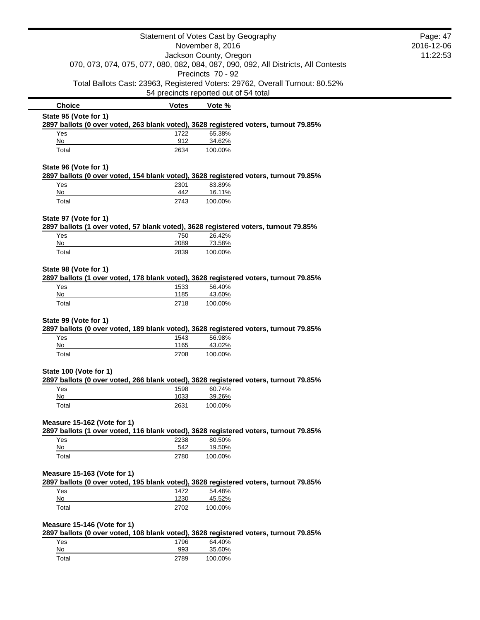|                                                                                                               | Statement of Votes Cast by Geography |                                       |                                                                                    | Page: 47   |
|---------------------------------------------------------------------------------------------------------------|--------------------------------------|---------------------------------------|------------------------------------------------------------------------------------|------------|
| November 8, 2016                                                                                              |                                      |                                       |                                                                                    | 2016-12-06 |
|                                                                                                               |                                      | Jackson County, Oregon                |                                                                                    | 11:22:53   |
|                                                                                                               |                                      | Precincts 70 - 92                     | 070, 073, 074, 075, 077, 080, 082, 084, 087, 090, 092, All Districts, All Contests |            |
|                                                                                                               |                                      |                                       | Total Ballots Cast: 23963, Registered Voters: 29762, Overall Turnout: 80.52%       |            |
|                                                                                                               |                                      | 54 precincts reported out of 54 total |                                                                                    |            |
| <b>Choice</b>                                                                                                 | <b>Votes</b>                         | Vote %                                |                                                                                    |            |
| State 95 (Vote for 1)<br>2897 ballots (0 over voted, 263 blank voted), 3628 registered voters, turnout 79.85% |                                      |                                       |                                                                                    |            |
| Yes                                                                                                           | 1722                                 | 65.38%                                |                                                                                    |            |
| No                                                                                                            | 912                                  | 34.62%                                |                                                                                    |            |
| Total                                                                                                         | 2634                                 | 100.00%                               |                                                                                    |            |
| State 96 (Vote for 1)                                                                                         |                                      |                                       |                                                                                    |            |
| 2897 ballots (0 over voted, 154 blank voted), 3628 registered voters, turnout 79.85%                          |                                      |                                       |                                                                                    |            |
| Yes                                                                                                           | 2301                                 | 83.89%                                |                                                                                    |            |
| No<br>Total                                                                                                   | 442<br>2743                          | 16.11%<br>100.00%                     |                                                                                    |            |
|                                                                                                               |                                      |                                       |                                                                                    |            |
| State 97 (Vote for 1)                                                                                         |                                      |                                       |                                                                                    |            |
| 2897 ballots (1 over voted, 57 blank voted), 3628 registered voters, turnout 79.85%                           |                                      |                                       |                                                                                    |            |
| Yes<br>No                                                                                                     | 750<br>2089                          | 26.42%<br>73.58%                      |                                                                                    |            |
| Total                                                                                                         | 2839                                 | 100.00%                               |                                                                                    |            |
|                                                                                                               |                                      |                                       |                                                                                    |            |
| State 98 (Vote for 1)<br>2897 ballots (1 over voted, 178 blank voted), 3628 registered voters, turnout 79.85% |                                      |                                       |                                                                                    |            |
| Yes                                                                                                           | 1533                                 | 56.40%                                |                                                                                    |            |
| No                                                                                                            | 1185                                 | 43.60%                                |                                                                                    |            |
| Total                                                                                                         | 2718                                 | 100.00%                               |                                                                                    |            |
| State 99 (Vote for 1)                                                                                         |                                      |                                       |                                                                                    |            |
| 2897 ballots (0 over voted, 189 blank voted), 3628 registered voters, turnout 79.85%                          |                                      |                                       |                                                                                    |            |
| Yes                                                                                                           | 1543                                 | 56.98%                                |                                                                                    |            |
| No<br>Total                                                                                                   | 1165<br>2708                         | 43.02%<br>100.00%                     |                                                                                    |            |
|                                                                                                               |                                      |                                       |                                                                                    |            |
| State 100 (Vote for 1)                                                                                        |                                      |                                       |                                                                                    |            |
| 2897 ballots (0 over voted, 266 blank voted), 3628 registered voters, turnout 79.85%                          |                                      |                                       |                                                                                    |            |
| Yes<br>No                                                                                                     | 1598<br>1033                         | 60.74%                                |                                                                                    |            |
| Total                                                                                                         | 2631                                 | 39.26%<br>100.00%                     |                                                                                    |            |
|                                                                                                               |                                      |                                       |                                                                                    |            |
| Measure 15-162 (Vote for 1)                                                                                   |                                      |                                       |                                                                                    |            |
| 2897 ballots (1 over voted, 116 blank voted), 3628 registered voters, turnout 79.85%                          |                                      |                                       |                                                                                    |            |
| Yes<br>No                                                                                                     | 2238<br>542                          | 80.50%<br>19.50%                      |                                                                                    |            |
| Total                                                                                                         | 2780                                 | 100.00%                               |                                                                                    |            |
|                                                                                                               |                                      |                                       |                                                                                    |            |
| Measure 15-163 (Vote for 1)                                                                                   |                                      |                                       |                                                                                    |            |
| 2897 ballots (0 over voted, 195 blank voted), 3628 registered voters, turnout 79.85%                          |                                      |                                       |                                                                                    |            |
| Yes                                                                                                           | 1472                                 | 54.48%                                |                                                                                    |            |
| No<br>Total                                                                                                   | 1230<br>2702                         | 45.52%<br>100.00%                     |                                                                                    |            |
|                                                                                                               |                                      |                                       |                                                                                    |            |
| Measure 15-146 (Vote for 1)                                                                                   |                                      |                                       |                                                                                    |            |
| 2897 ballots (0 over voted, 108 blank voted), 3628 registered voters, turnout 79.85%                          |                                      |                                       |                                                                                    |            |
| Yes<br>No                                                                                                     | 1796<br>993                          | 64.40%<br>35.60%                      |                                                                                    |            |
| Total                                                                                                         | 2789                                 | 100.00%                               |                                                                                    |            |
|                                                                                                               |                                      |                                       |                                                                                    |            |